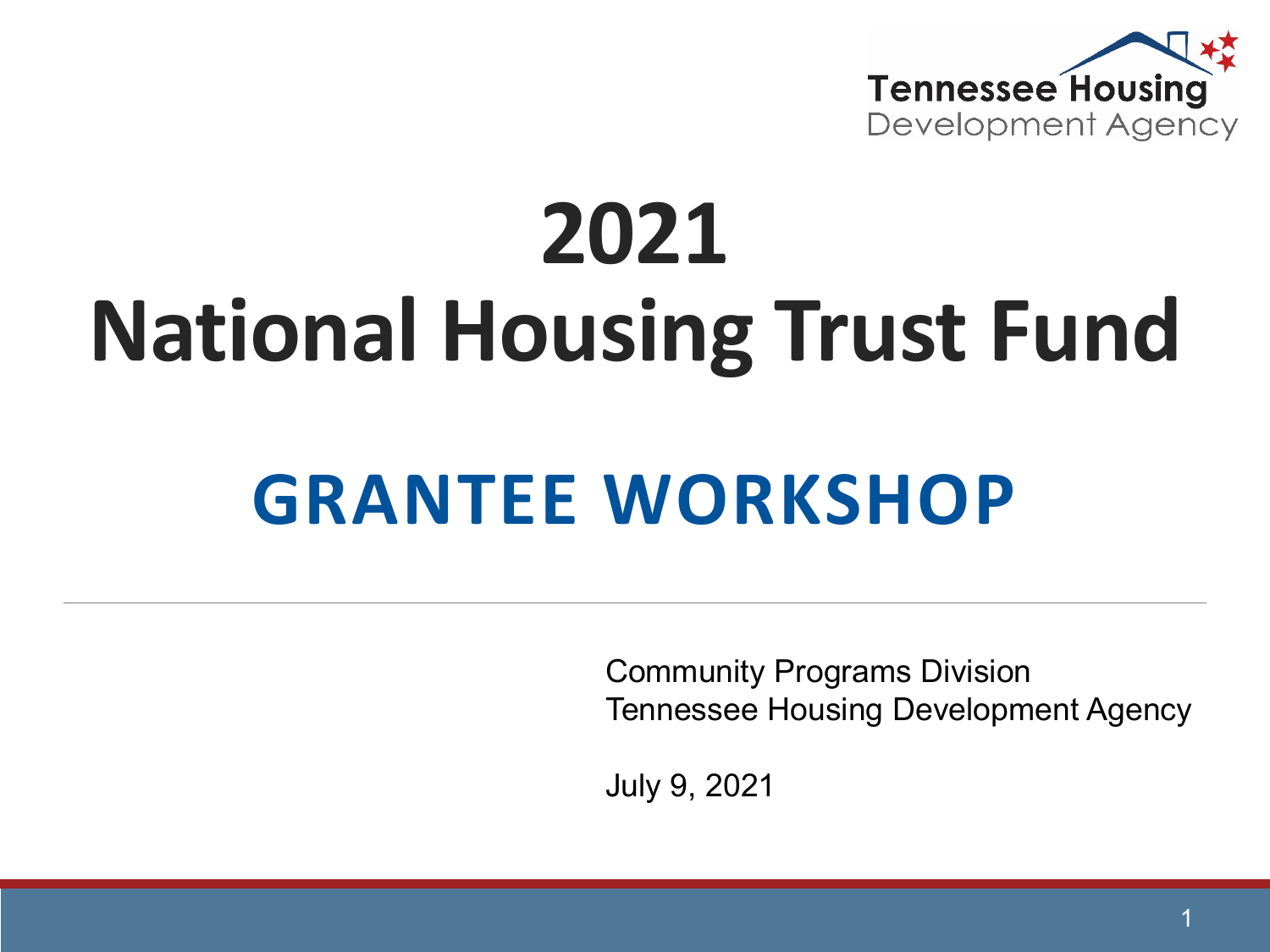

# **2021 National Housing Trust Fund**

## **GRANTEE WORKSHOP**

Community Programs Division Tennessee Housing Development Agency

July 9, 2021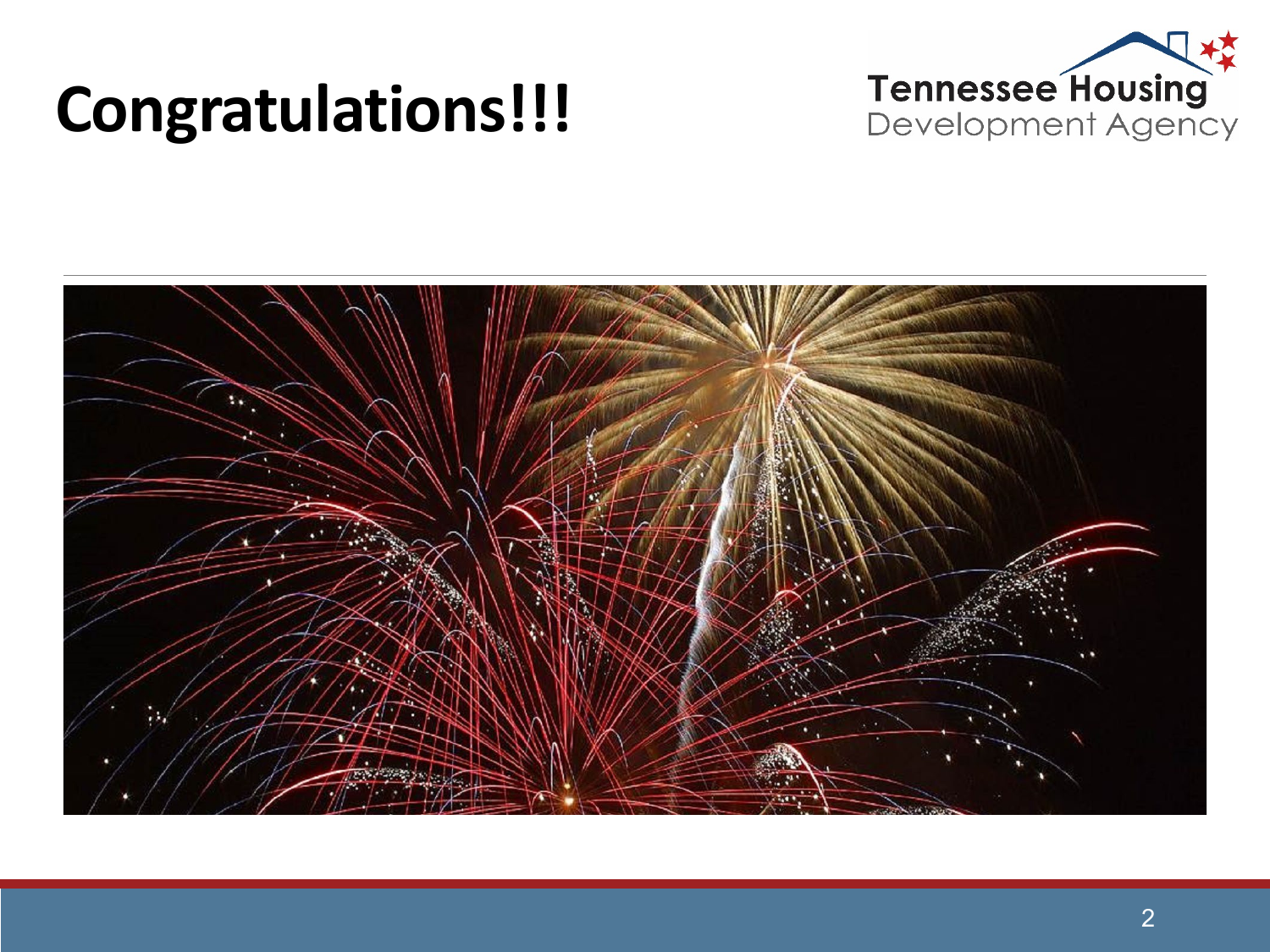#### **Congratulations!!!**



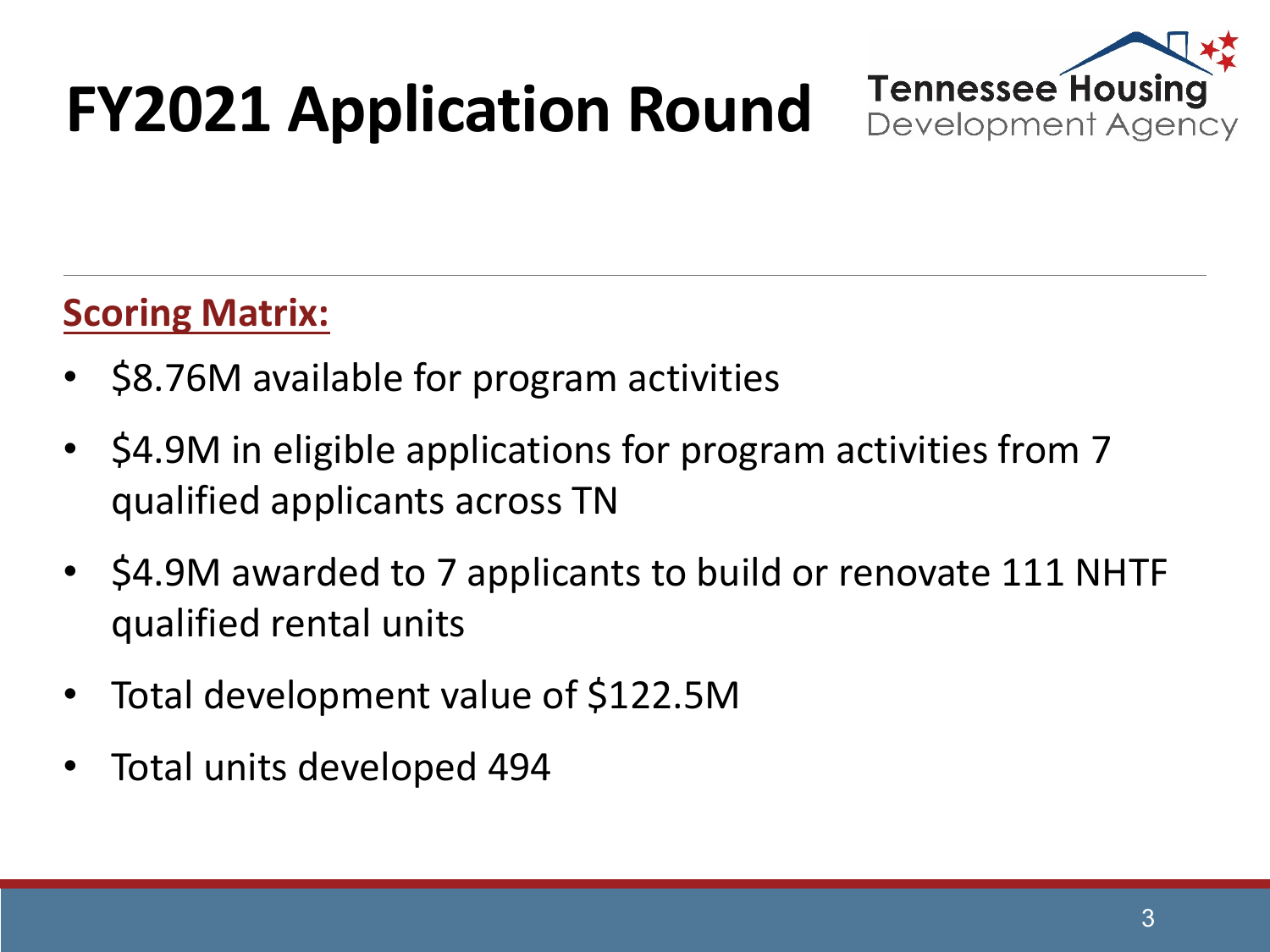## **FY2021 Application Round**



#### **Scoring Matrix:**

- \$8.76M available for program activities
- \$4.9M in eligible applications for program activities from 7 qualified applicants across TN
- \$4.9M awarded to 7 applicants to build or renovate 111 NHTF qualified rental units
- Total development value of \$122.5M
- Total units developed 494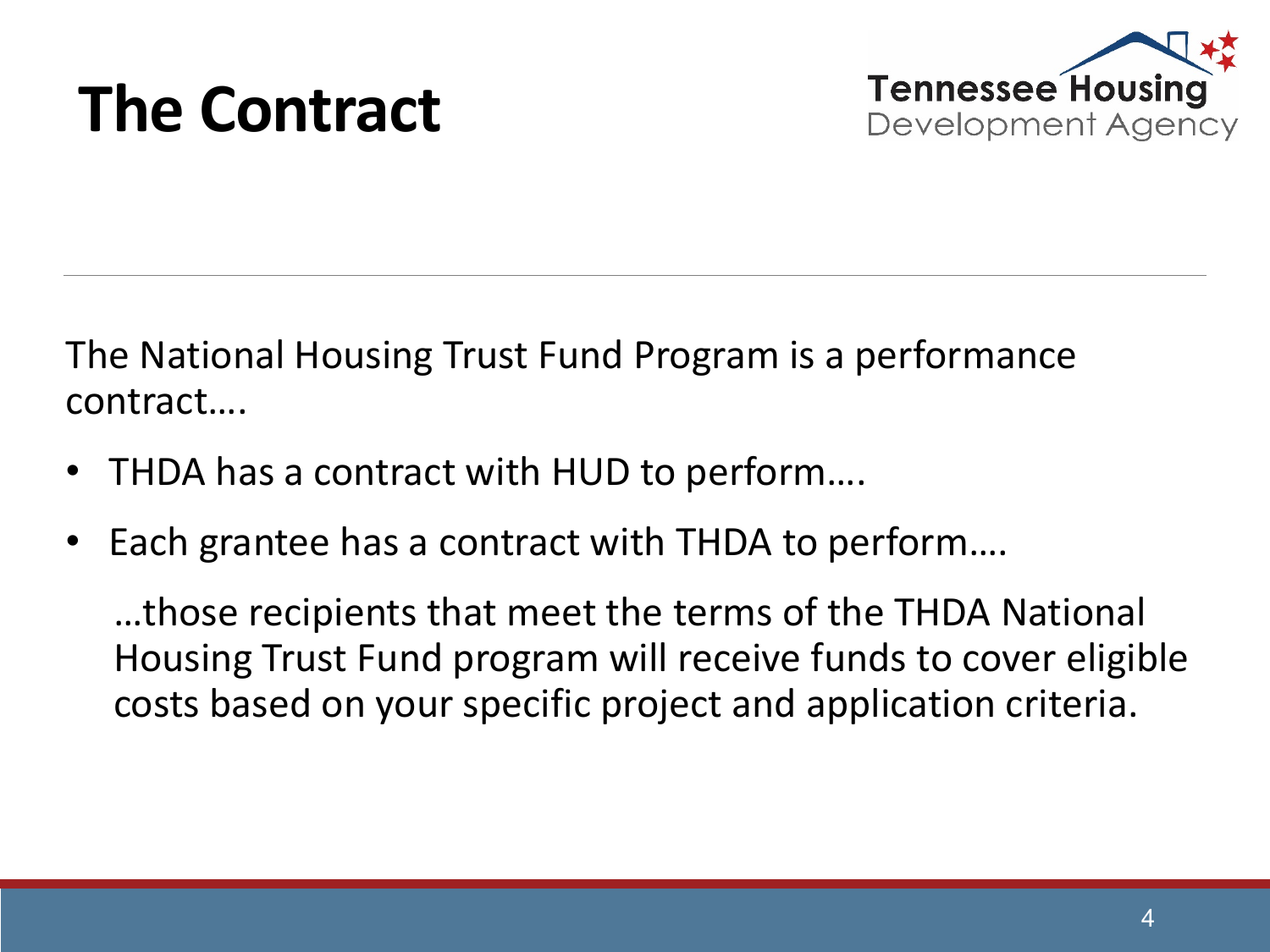#### **The Contract**



The National Housing Trust Fund Program is a performance contract….

- THDA has a contract with HUD to perform....
- Each grantee has a contract with THDA to perform....

…those recipients that meet the terms of the THDA National Housing Trust Fund program will receive funds to cover eligible costs based on your specific project and application criteria.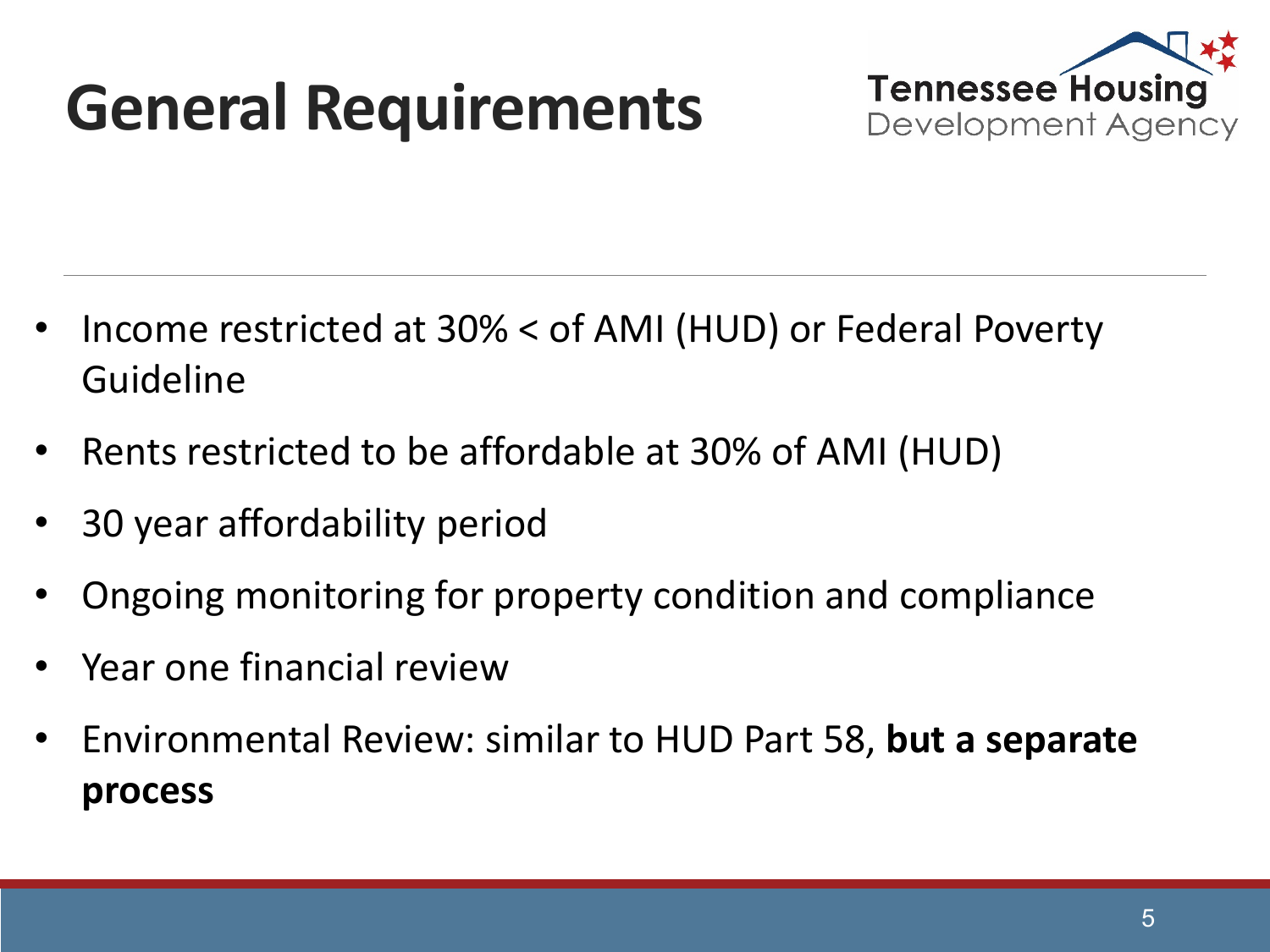## **General Requirements**



- Income restricted at 30% < of AMI (HUD) or Federal Poverty Guideline
- Rents restricted to be affordable at 30% of AMI (HUD)
- 30 year affordability period
- Ongoing monitoring for property condition and compliance
- Year one financial review
- Environmental Review: similar to HUD Part 58, **but a separate process**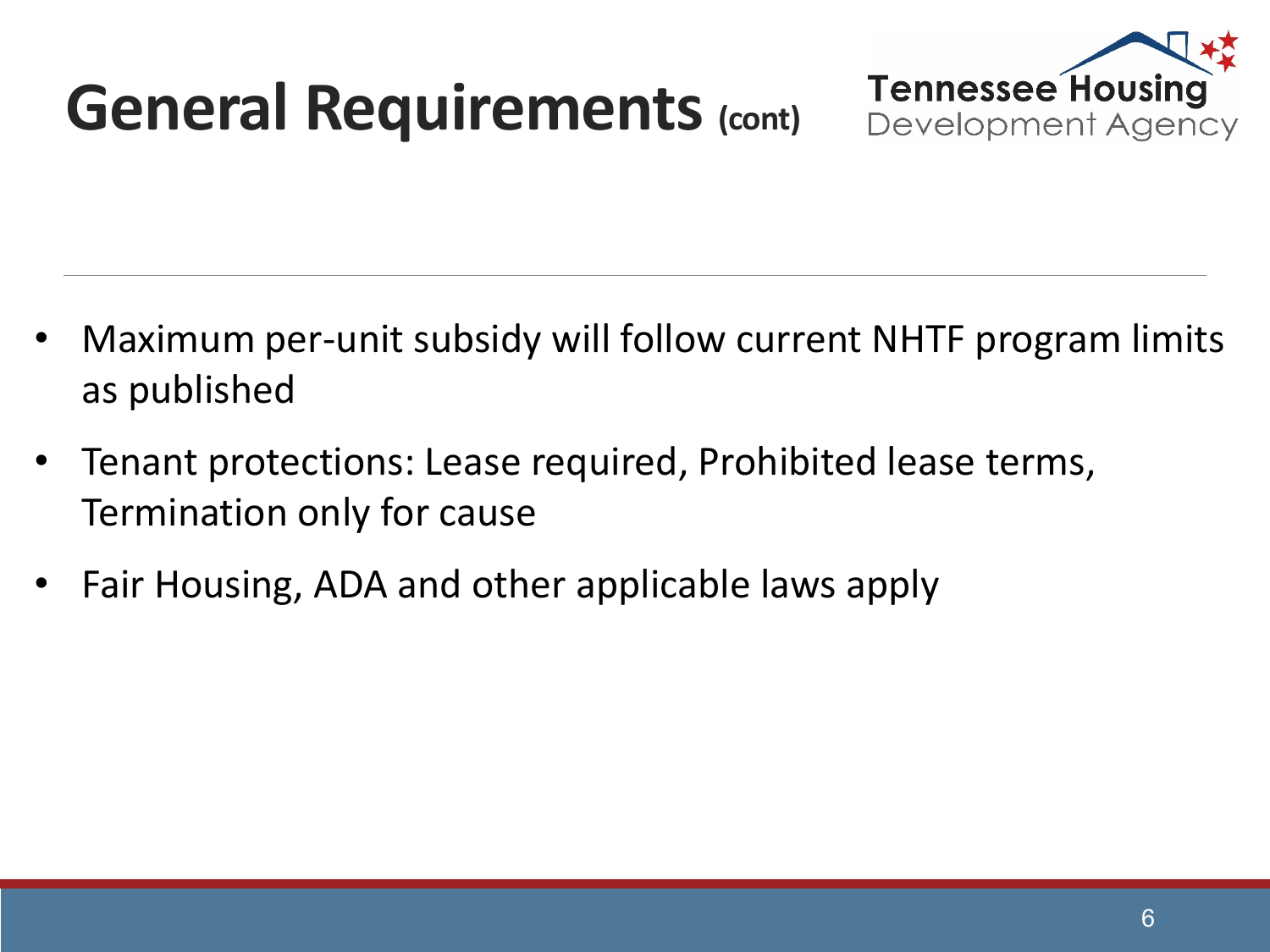## **General Requirements (cont)**



- Maximum per-unit subsidy will follow current NHTF program limits as published
- Tenant protections: Lease required, Prohibited lease terms, Termination only for cause
- Fair Housing, ADA and other applicable laws apply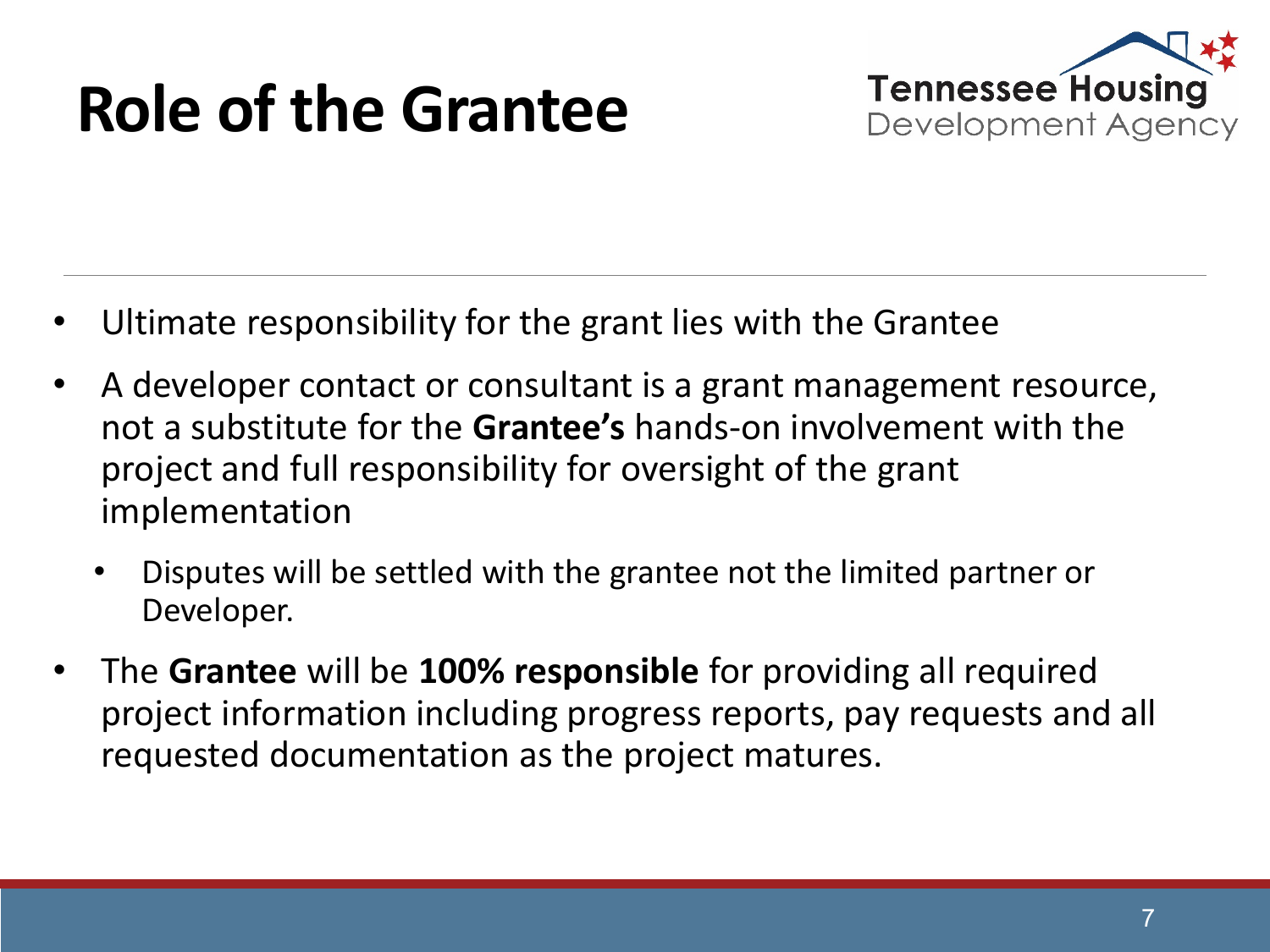## **Role of the Grantee**



- Ultimate responsibility for the grant lies with the Grantee
- A developer contact or consultant is a grant management resource, not a substitute for the **Grantee's** hands-on involvement with the project and full responsibility for oversight of the grant implementation
	- Disputes will be settled with the grantee not the limited partner or Developer.
- The **Grantee** will be **100% responsible** for providing all required project information including progress reports, pay requests and all requested documentation as the project matures.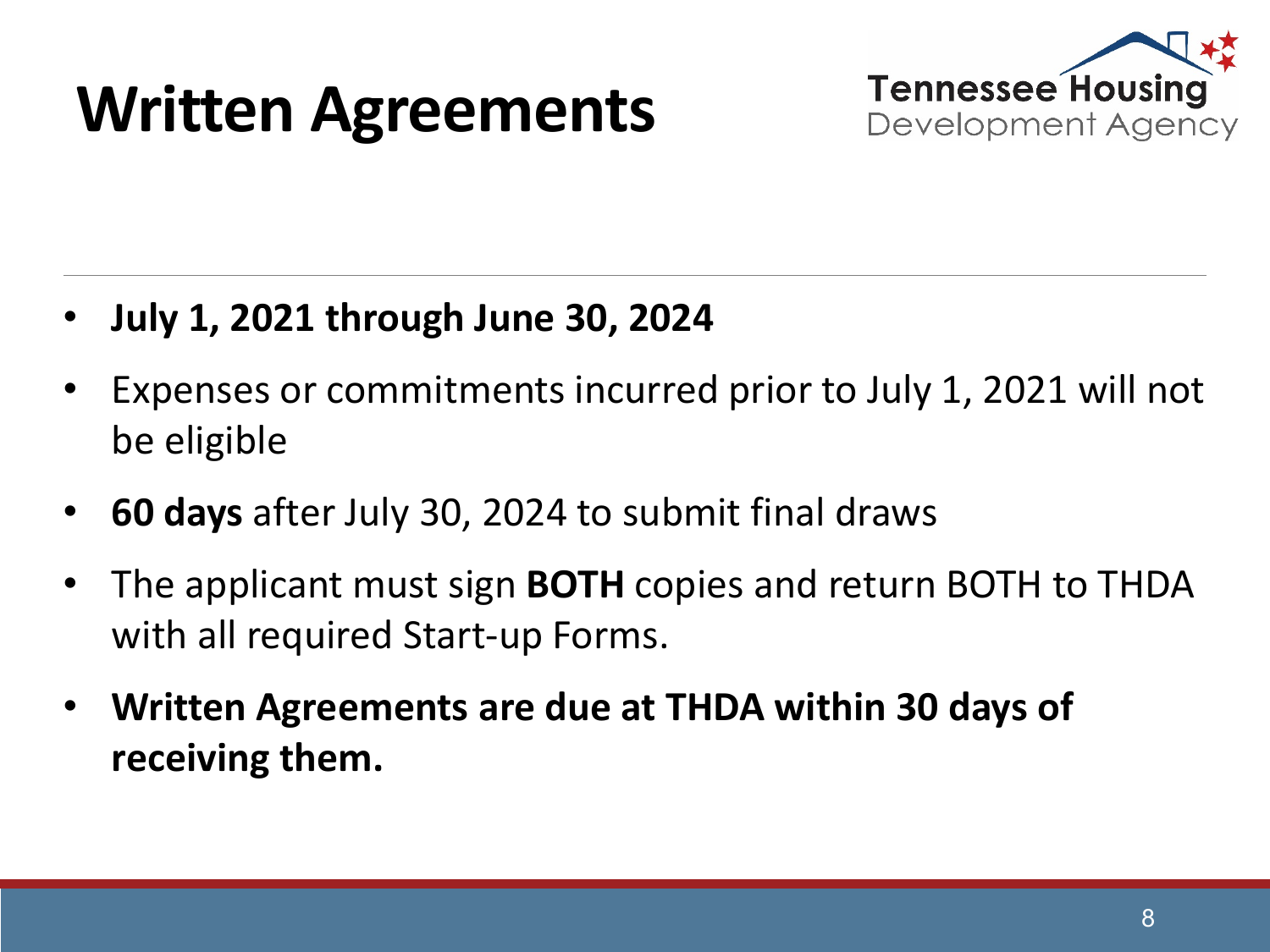#### **Written Agreements**



- **July 1, 2021 through June 30, 2024**
- Expenses or commitments incurred prior to July 1, 2021 will not be eligible
- **60 days** after July 30, 2024 to submit final draws
- The applicant must sign **BOTH** copies and return BOTH to THDA with all required Start-up Forms.
- **Written Agreements are due at THDA within 30 days of receiving them.**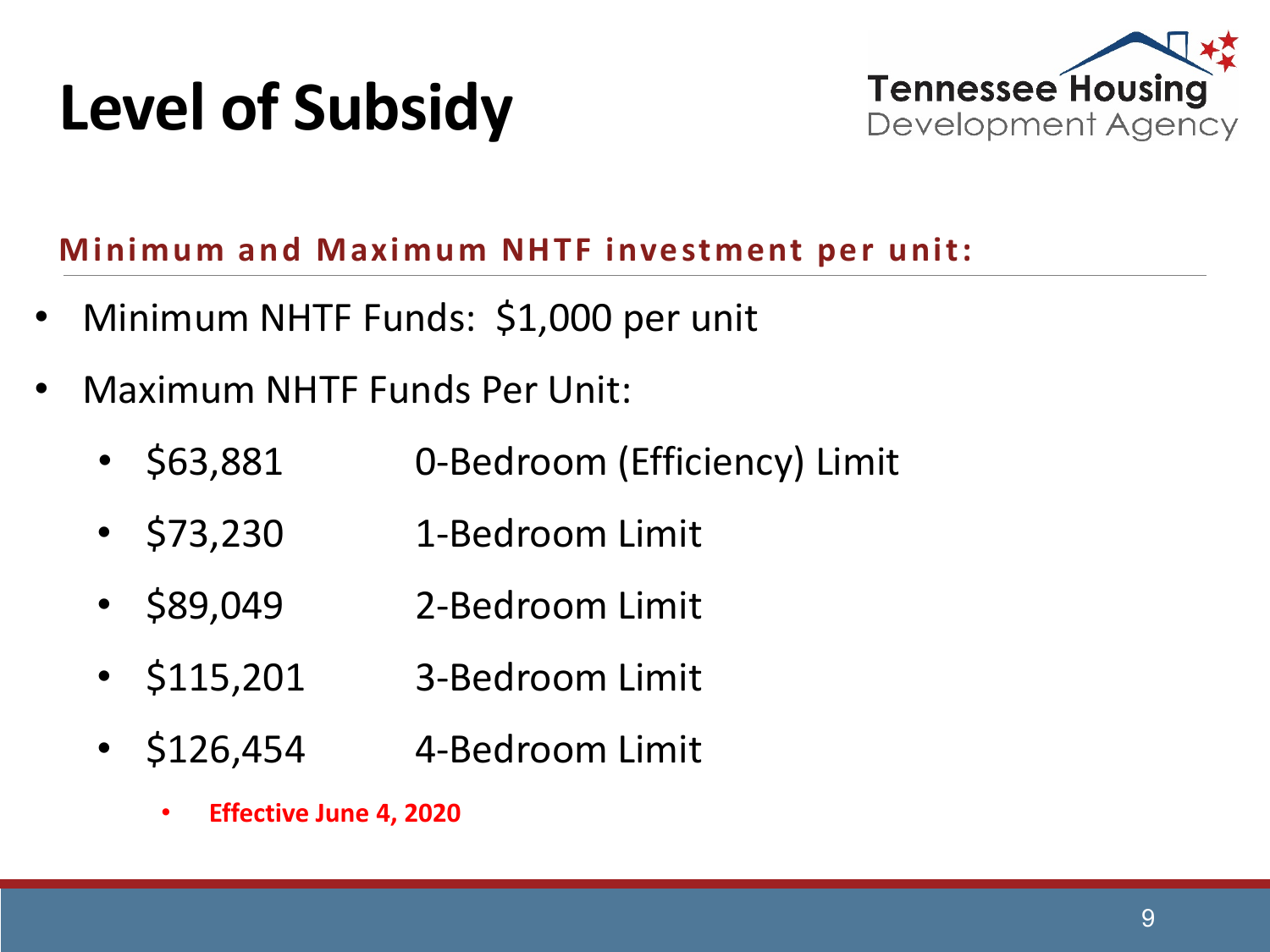## **Level of Subsidy**



#### **Minimum and Maximum NHTF investment per unit:**

- Minimum NHTF Funds: \$1,000 per unit
- Maximum NHTF Funds Per Unit:
	- \$63,881 0-Bedroom (Efficiency) Limit
	- \$73,230 1-Bedroom Limit
	- \$89,049 2-Bedroom Limit
	- \$115,201 3-Bedroom Limit
	- \$126,454 4-Bedroom Limit
		- **Effective June 4, 2020**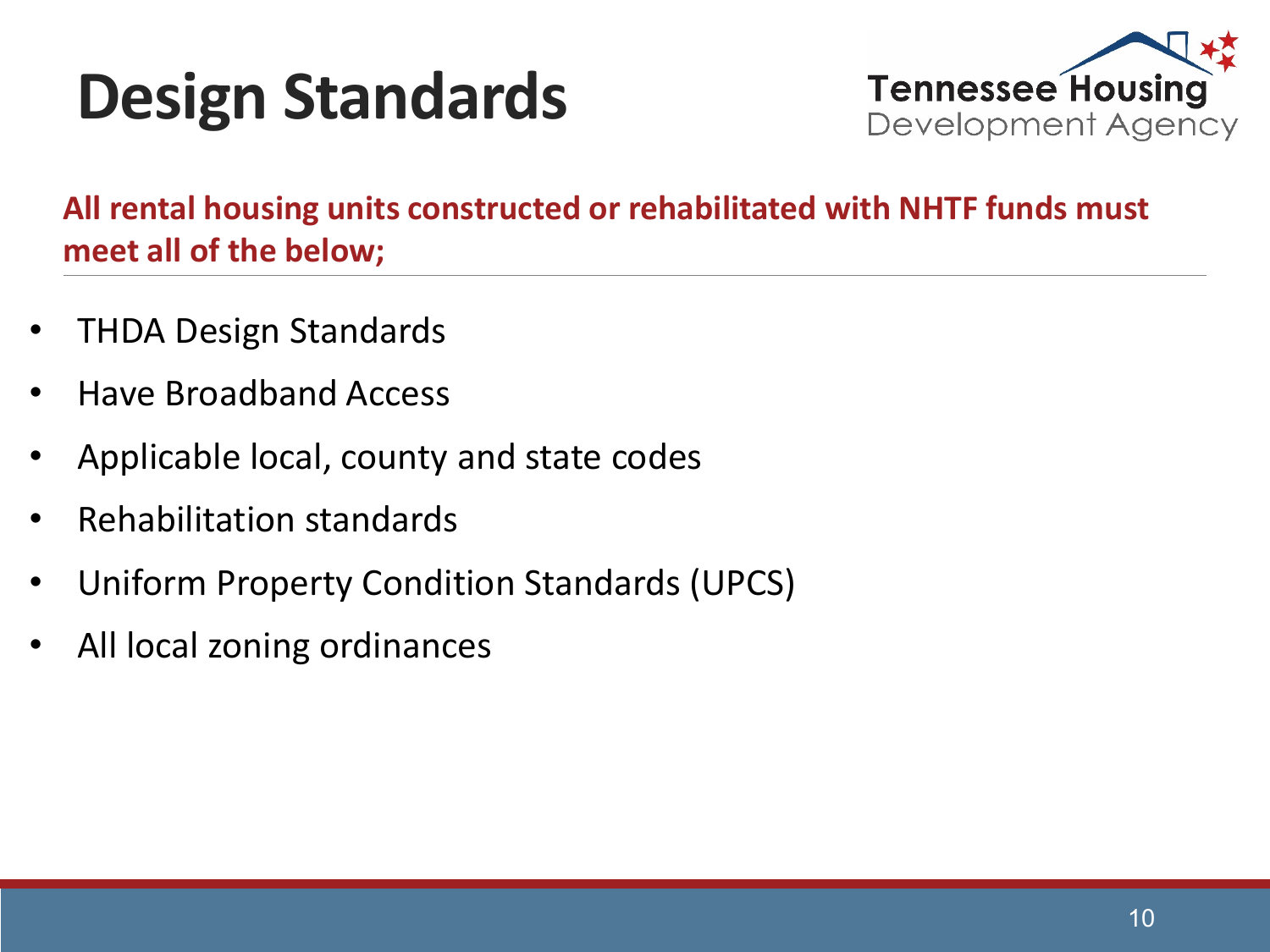## **Design Standards**



**All rental housing units constructed or rehabilitated with NHTF funds must meet all of the below;**

- THDA Design Standards
- Have Broadband Access
- Applicable local, county and state codes
- Rehabilitation standards
- Uniform Property Condition Standards (UPCS)
- All local zoning ordinances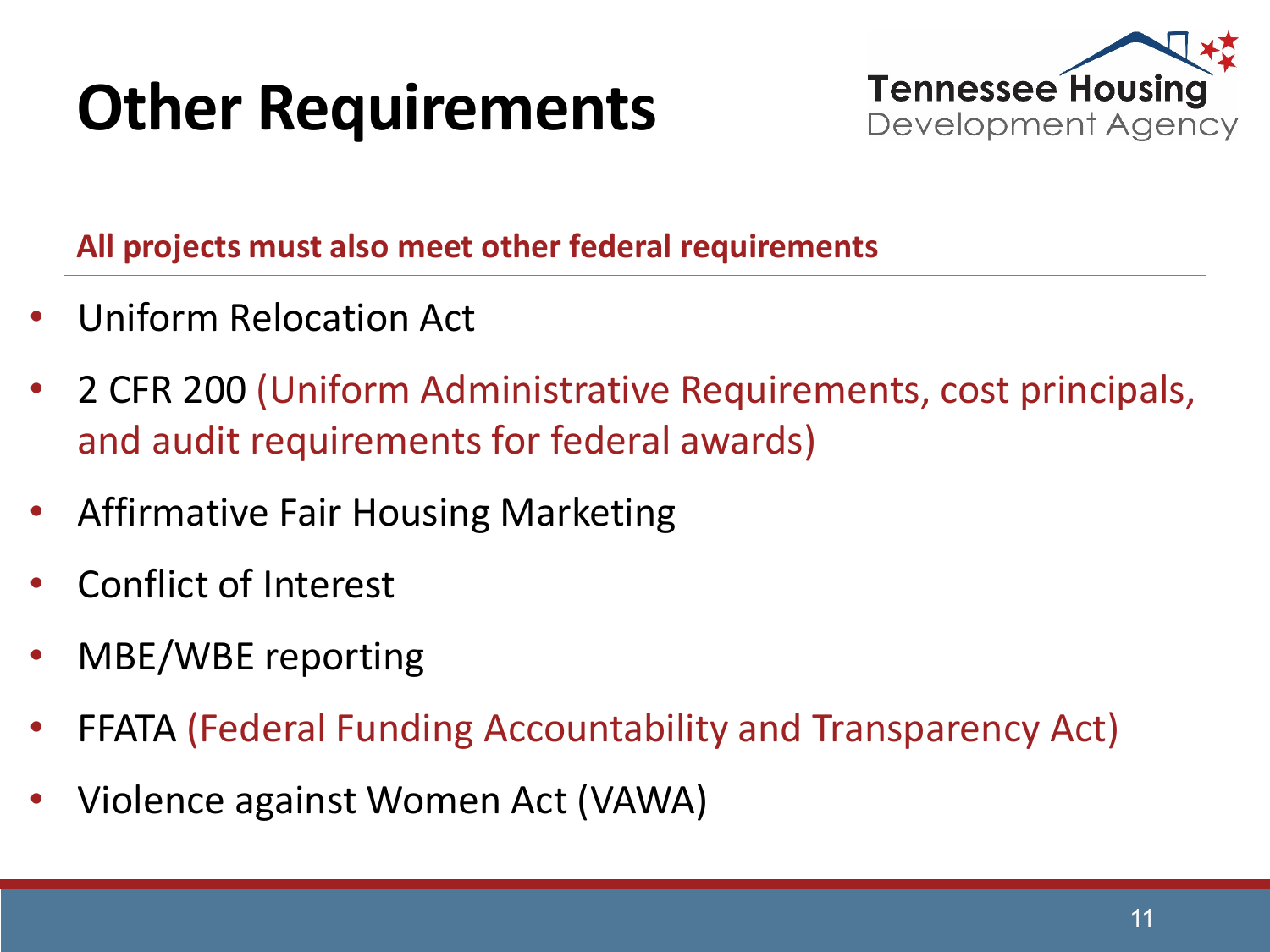## **Other Requirements**



**All projects must also meet other federal requirements**

- Uniform Relocation Act
- 2 CFR 200 (Uniform Administrative Requirements, cost principals, and audit requirements for federal awards)
- Affirmative Fair Housing Marketing
- Conflict of Interest
- MBE/WBE reporting
- FFATA (Federal Funding Accountability and Transparency Act)
- Violence against Women Act (VAWA)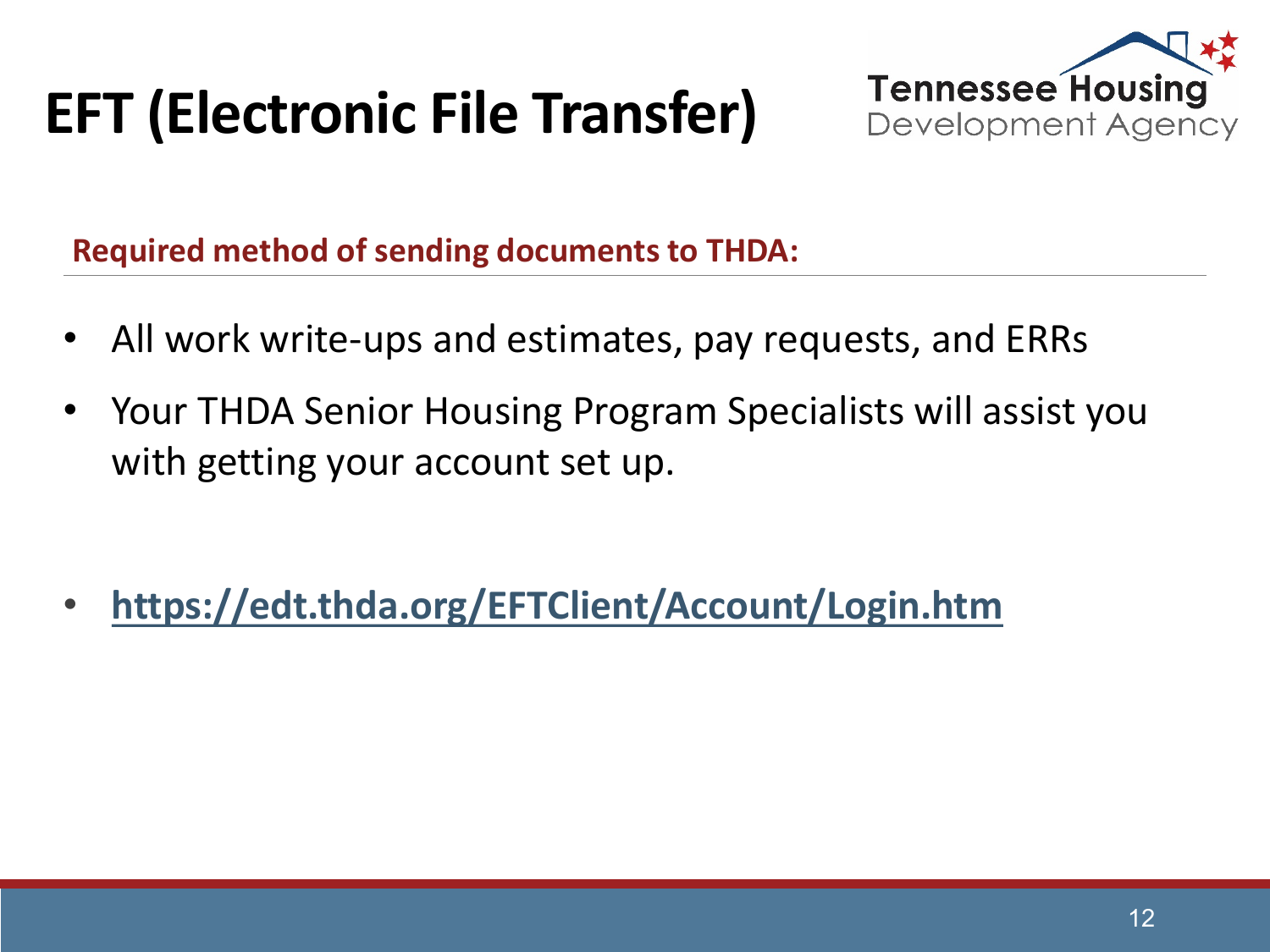#### **EFT (Electronic File Transfer)**



**Required method of sending documents to THDA:**

- All work write-ups and estimates, pay requests, and ERRs
- Your THDA Senior Housing Program Specialists will assist you with getting your account set up.

• **<https://edt.thda.org/EFTClient/Account/Login.htm>**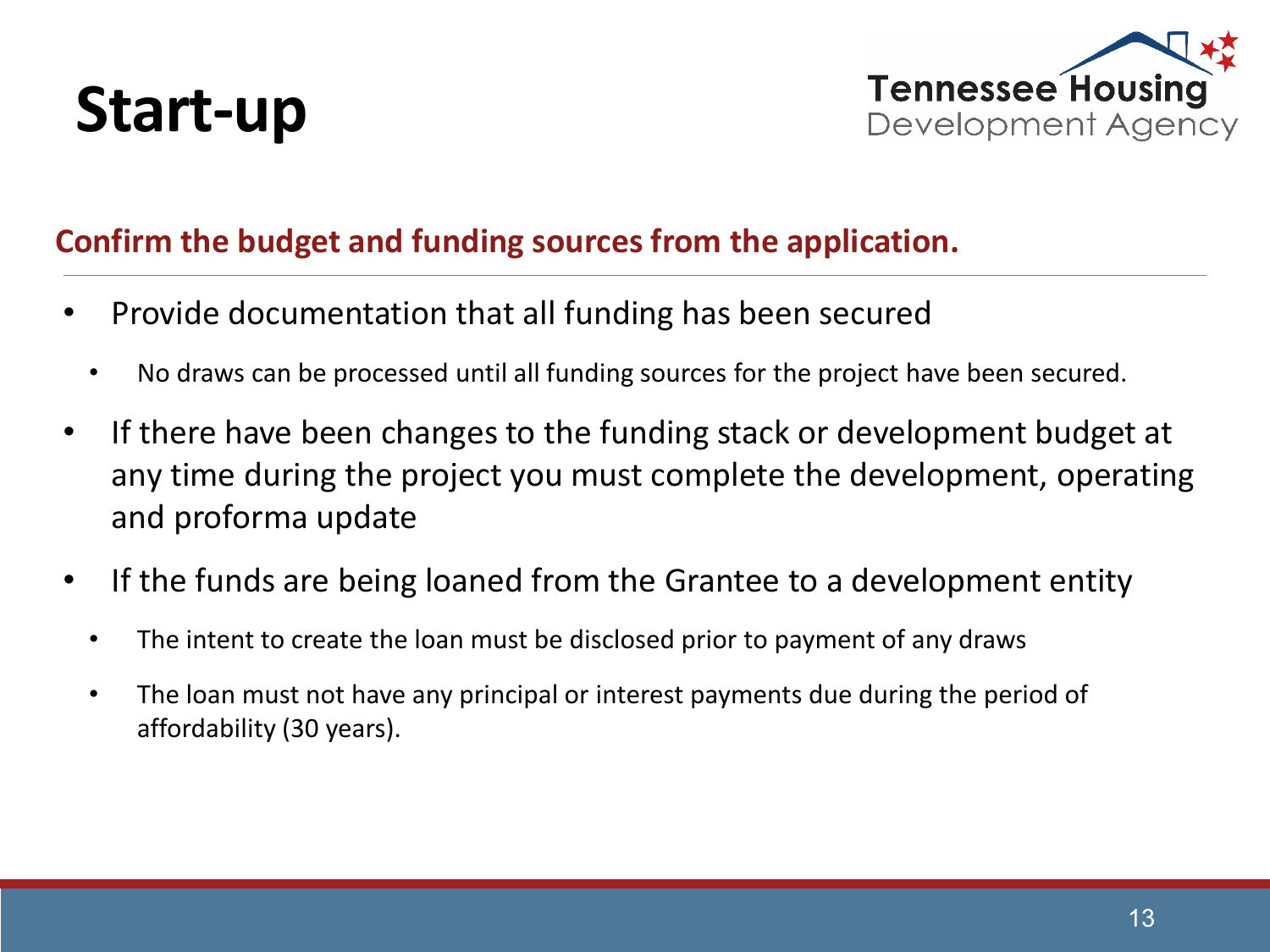



#### **Confirm the budget and funding sources from the application.**

- Provide documentation that all funding has been secured
	- No draws can be processed until all funding sources for the project have been secured.
- If there have been changes to the funding stack or development budget at any time during the project you must complete the development, operating and proforma update
- If the funds are being loaned from the Grantee to a development entity
	- The intent to create the loan must be disclosed prior to payment of any draws
	- The loan must not have any principal or interest payments due during the period of affordability (30 years).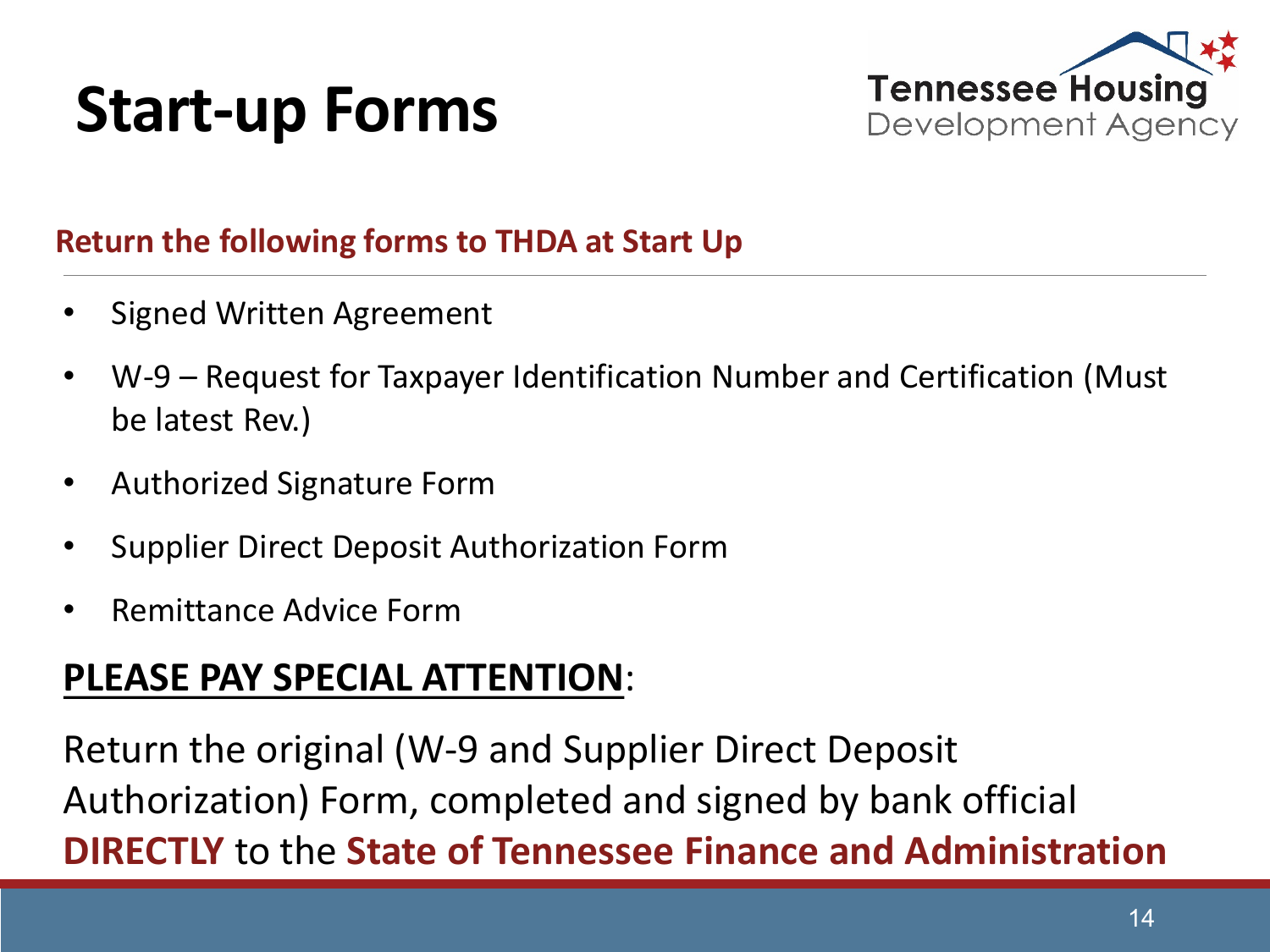#### **Start-up Forms**



#### **Return the following forms to THDA at Start Up**

- Signed Written Agreement
- W-9 Request for Taxpayer Identification Number and Certification (Must be latest Rev.)
- Authorized Signature Form
- Supplier Direct Deposit Authorization Form
- Remittance Advice Form

#### **PLEASE PAY SPECIAL ATTENTION**:

Return the original (W-9 and Supplier Direct Deposit Authorization) Form, completed and signed by bank official **DIRECTLY** to the **State of Tennessee Finance and Administration**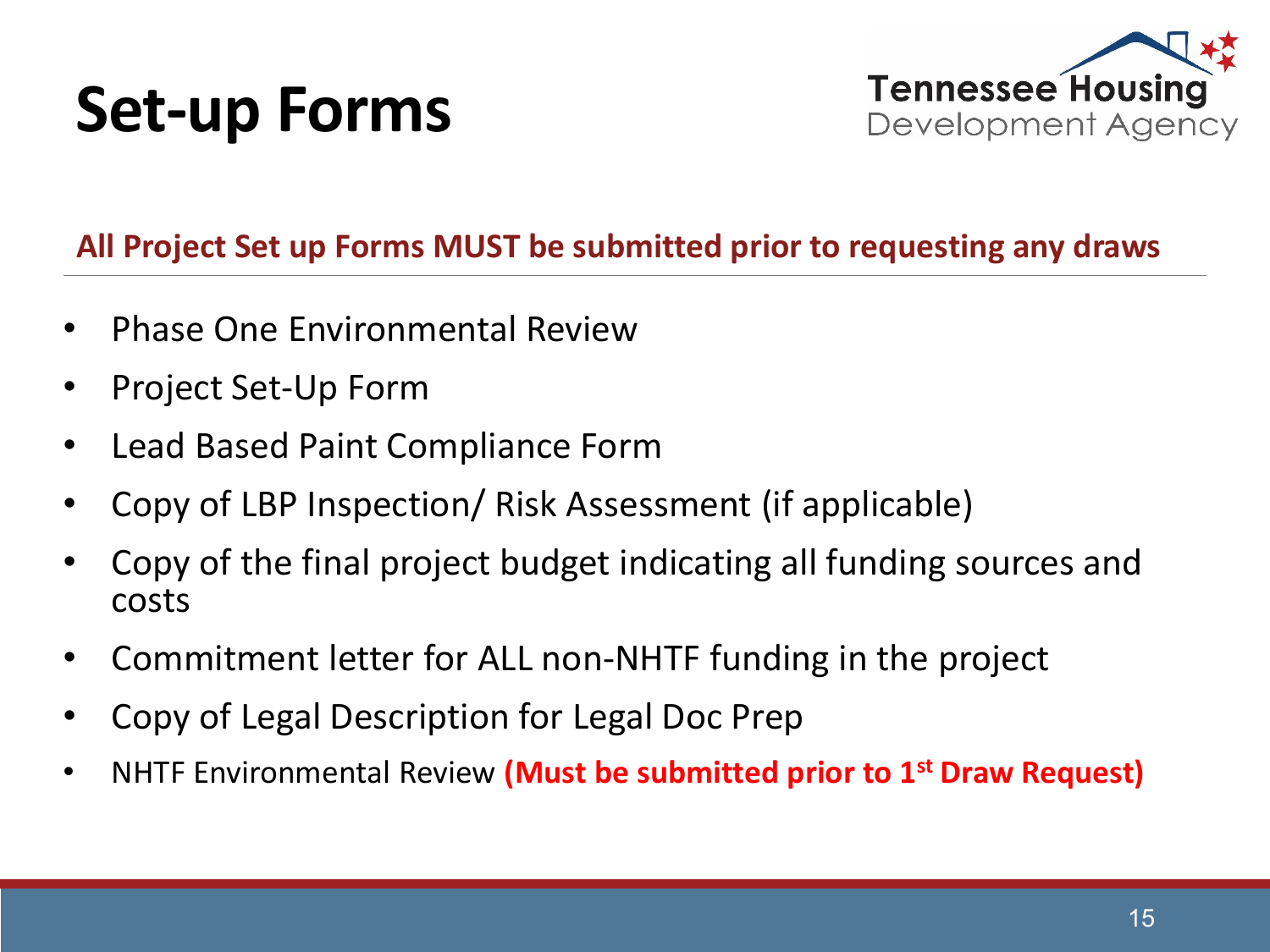#### **Set-up Forms**



#### **All Project Set up Forms MUST be submitted prior to requesting any draws**

- Phase One Environmental Review
- Project Set-Up Form
- Lead Based Paint Compliance Form
- Copy of LBP Inspection/ Risk Assessment (if applicable)
- Copy of the final project budget indicating all funding sources and costs
- Commitment letter for ALL non-NHTF funding in the project
- Copy of Legal Description for Legal Doc Prep
- NHTF Environmental Review **(Must be submitted prior to 1st Draw Request)**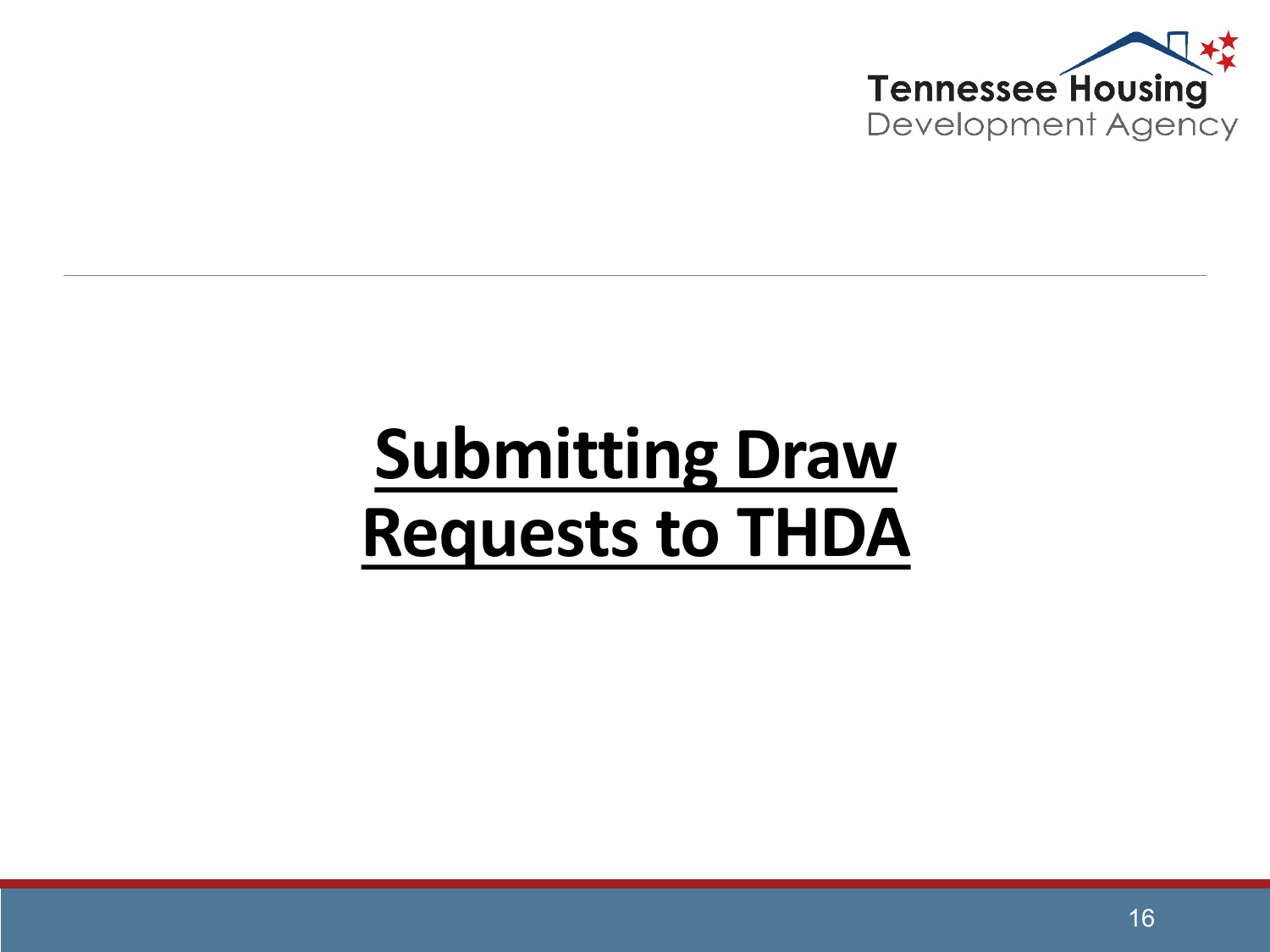

## **Submitting Draw Requests to THDA**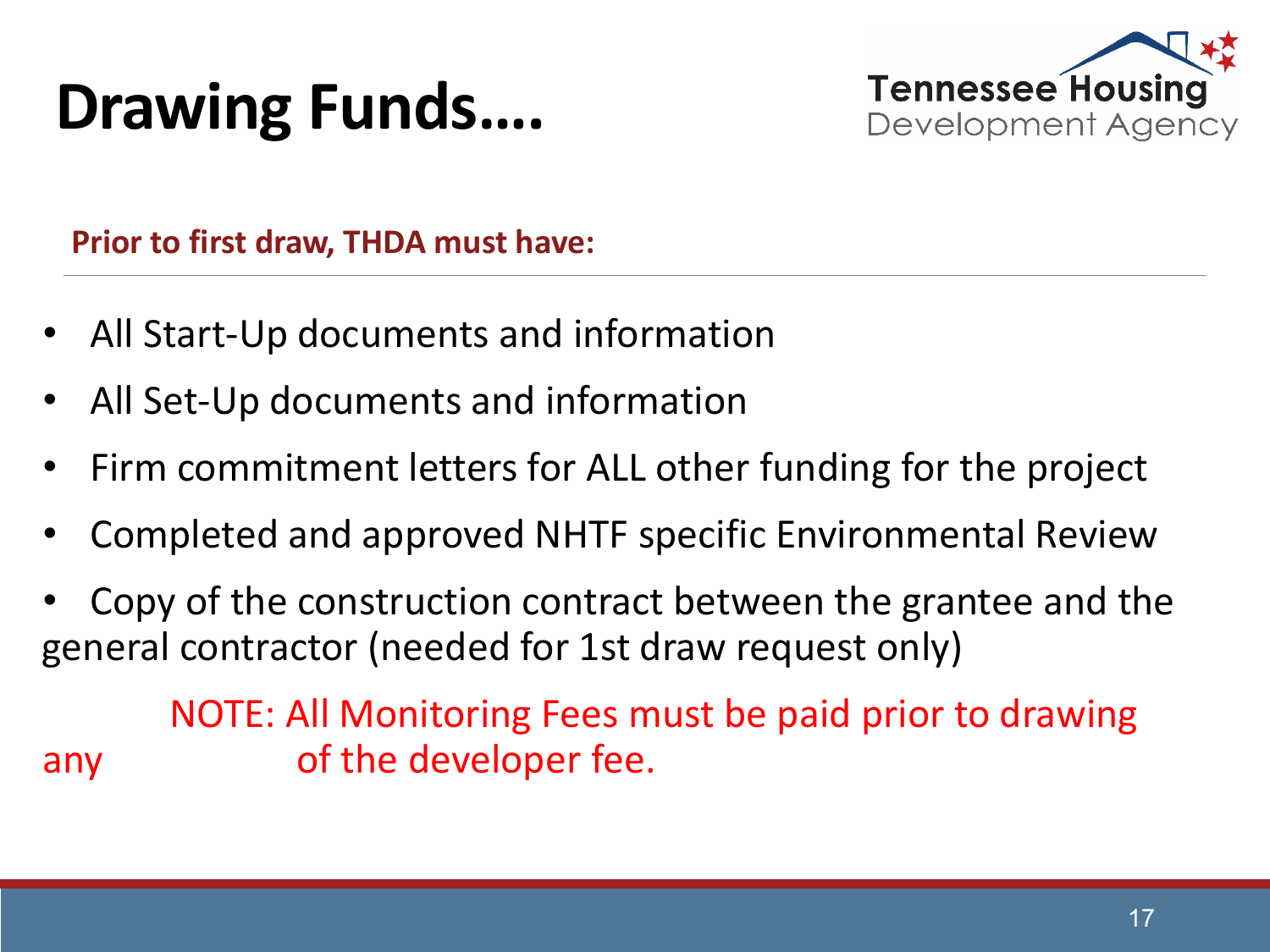#### **Drawing Funds….**



**Prior to first draw, THDA must have:**

- All Start-Up documents and information
- All Set-Up documents and information
- Firm commitment letters for ALL other funding for the project
- Completed and approved NHTF specific Environmental Review
- Copy of the construction contract between the grantee and the general contractor (needed for 1st draw request only)

NOTE: All Monitoring Fees must be paid prior to drawing any of the developer fee.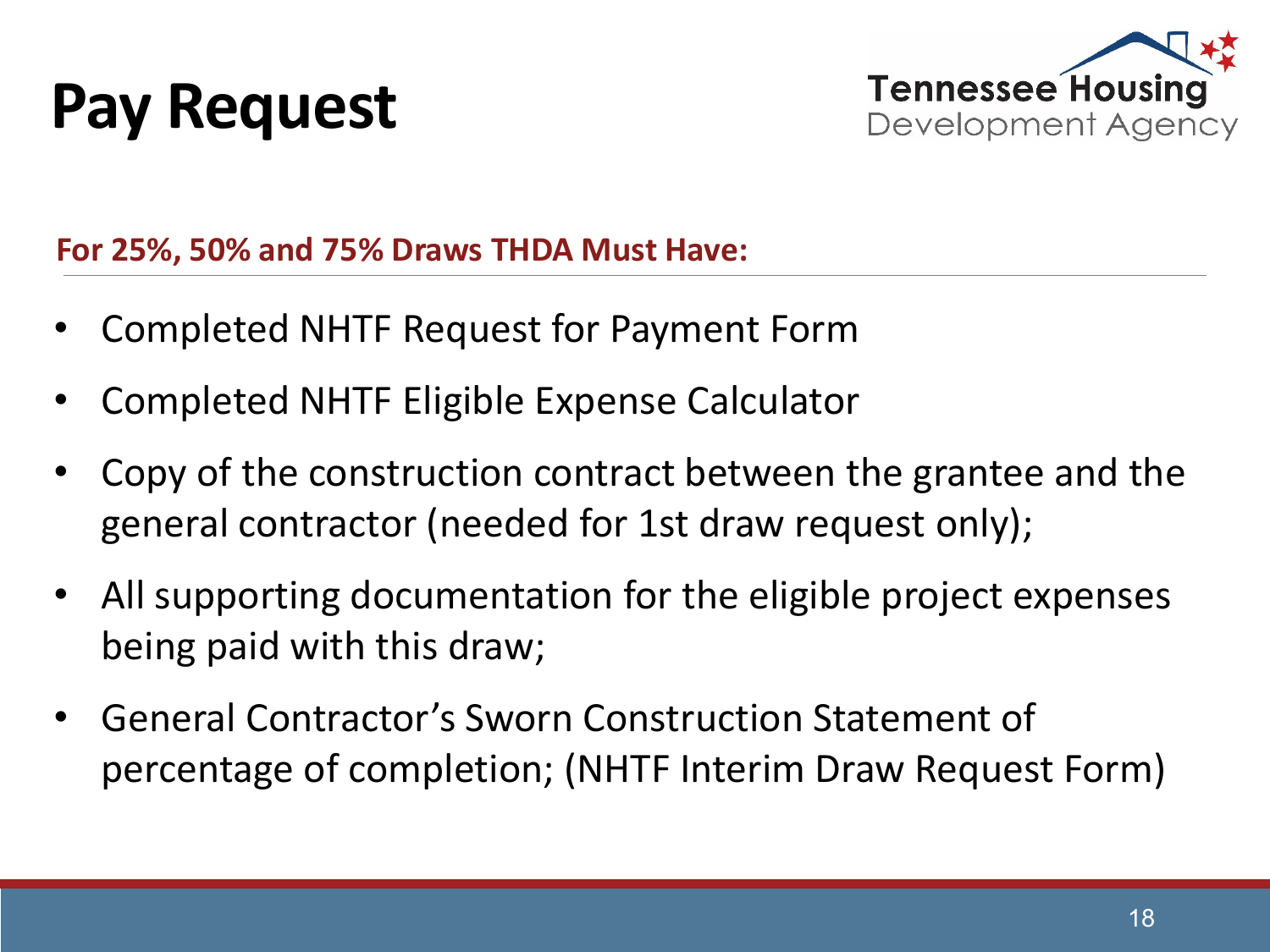#### **Pay Request**



**For 25%, 50% and 75% Draws THDA Must Have:**

- Completed NHTF Request for Payment Form
- Completed NHTF Eligible Expense Calculator
- Copy of the construction contract between the grantee and the general contractor (needed for 1st draw request only);
- All supporting documentation for the eligible project expenses being paid with this draw;
- General Contractor's Sworn Construction Statement of percentage of completion; (NHTF Interim Draw Request Form)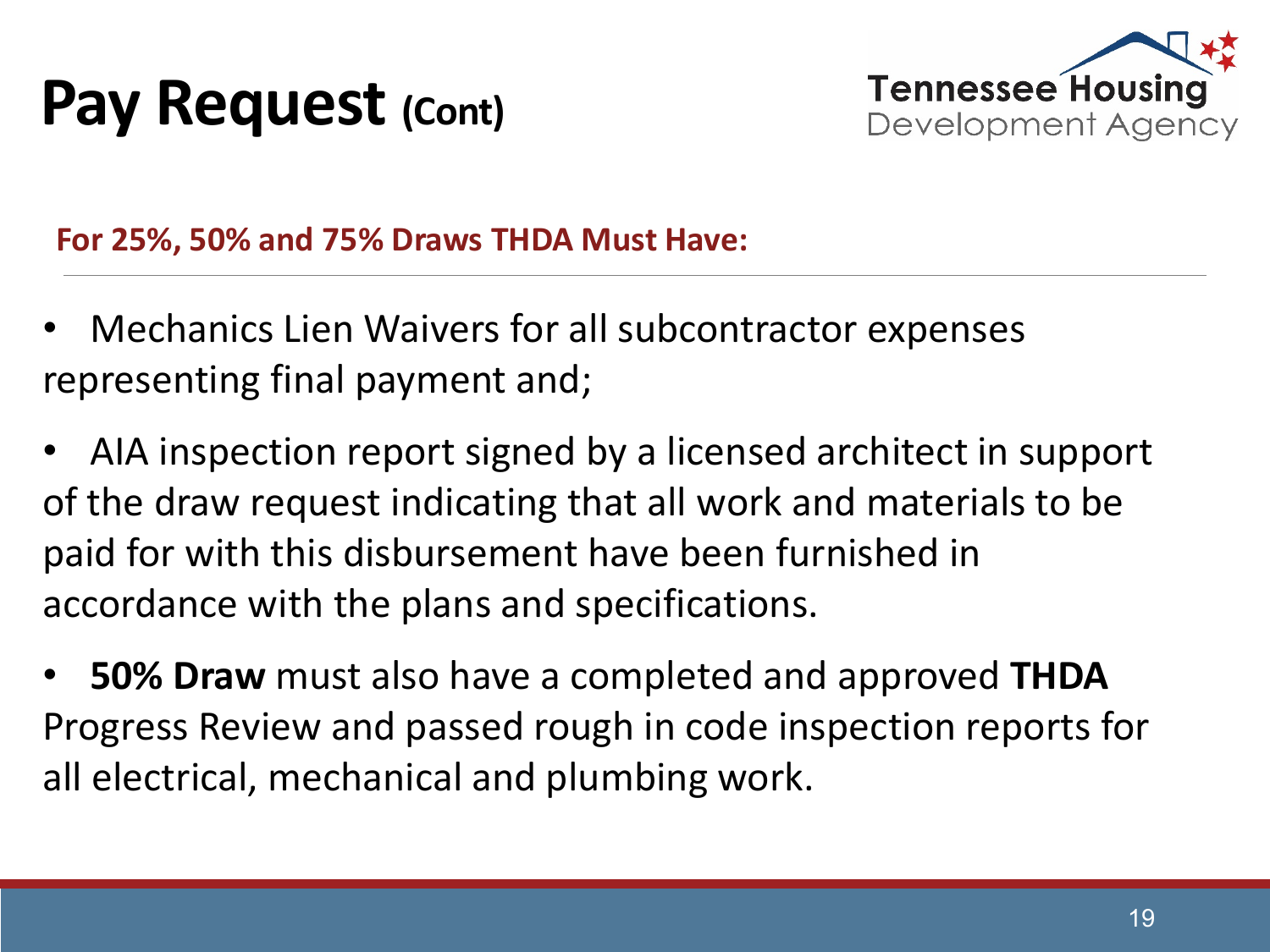#### **Pay Request (Cont)**



**For 25%, 50% and 75% Draws THDA Must Have:**

- Mechanics Lien Waivers for all subcontractor expenses representing final payment and;
- AIA inspection report signed by a licensed architect in support of the draw request indicating that all work and materials to be paid for with this disbursement have been furnished in accordance with the plans and specifications.
- **50% Draw** must also have a completed and approved **THDA** Progress Review and passed rough in code inspection reports for all electrical, mechanical and plumbing work.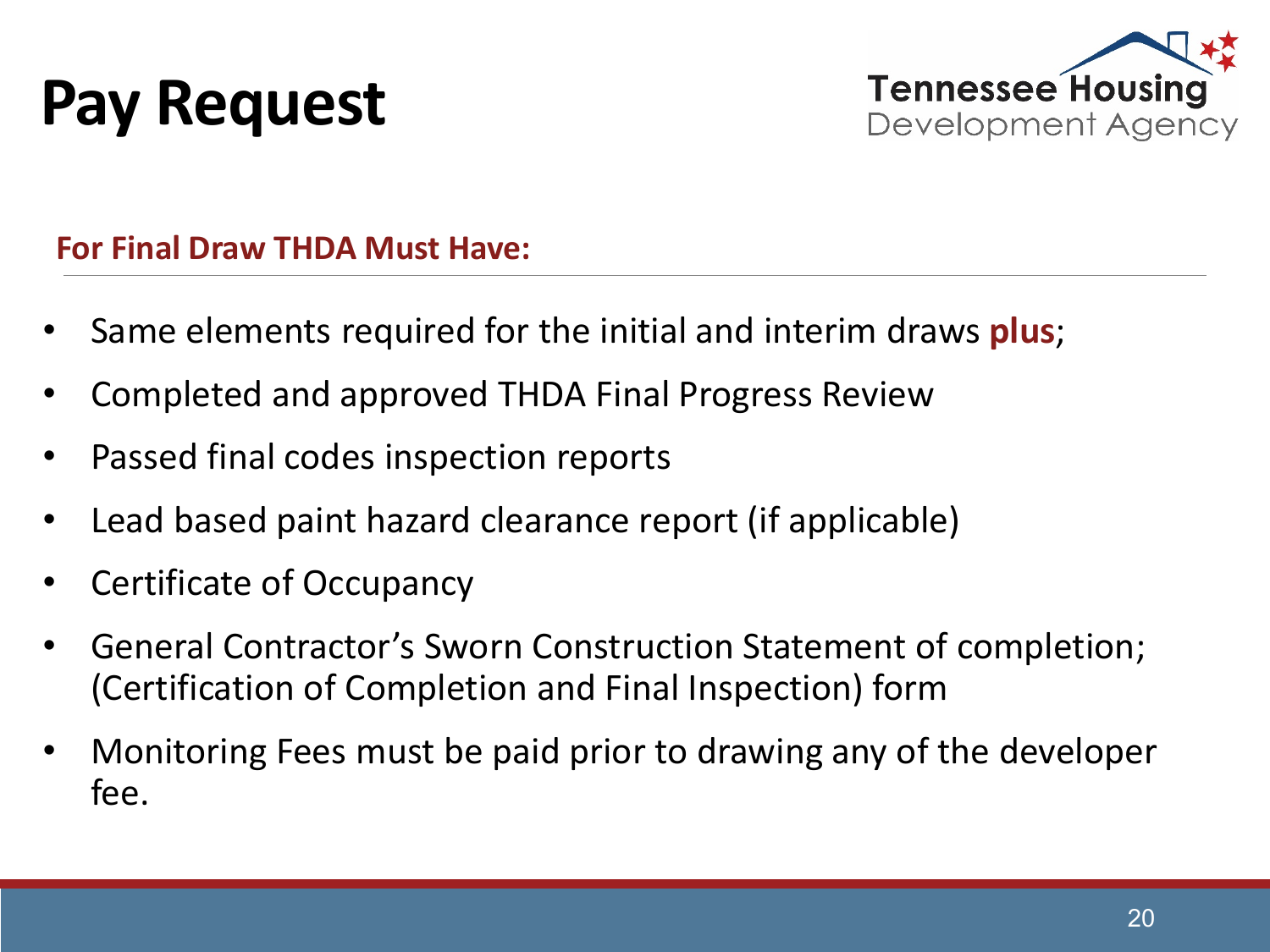



#### **For Final Draw THDA Must Have:**

- Same elements required for the initial and interim draws **plus**;
- Completed and approved THDA Final Progress Review
- Passed final codes inspection reports
- Lead based paint hazard clearance report (if applicable)
- Certificate of Occupancy
- General Contractor's Sworn Construction Statement of completion; (Certification of Completion and Final Inspection) form
- Monitoring Fees must be paid prior to drawing any of the developer fee.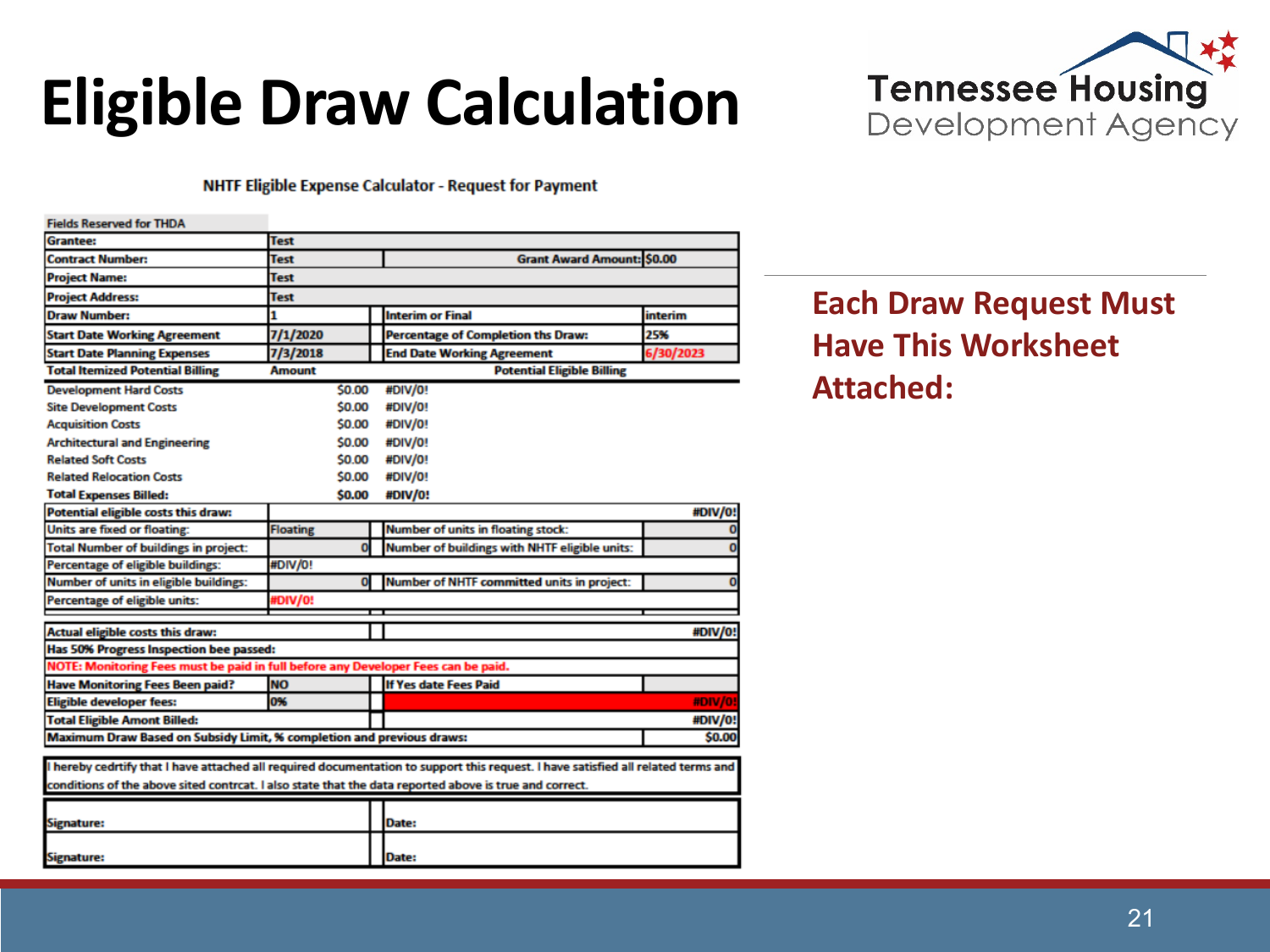## **Eligible Draw Calculation**



#### NHTF Eligible Expense Calculator - Request for Payment

| <b>Fields Reserved for THDA</b>                                                                                                   |                 |  |                                               |           |
|-----------------------------------------------------------------------------------------------------------------------------------|-----------------|--|-----------------------------------------------|-----------|
| <b>Grantee:</b>                                                                                                                   | <b>Test</b>     |  |                                               |           |
| <b>Contract Number:</b>                                                                                                           | Test            |  | <b>Grant Award Amount: \$0.00</b>             |           |
| <b>Project Name:</b>                                                                                                              | Test            |  |                                               |           |
| <b>Project Address:</b>                                                                                                           | Test            |  |                                               |           |
| Draw Number:                                                                                                                      | 1               |  | <b>Interim or Final</b>                       | interim   |
| <b>Start Date Working Agreement</b>                                                                                               | 7/1/2020        |  | <b>Percentage of Completion ths Draw:</b>     | 25%       |
| <b>Start Date Planning Expenses</b>                                                                                               | 7/3/2018        |  | <b>End Date Working Agreement</b>             | 6/30/2023 |
| <b>Total Itemized Potential Billing</b>                                                                                           | <b>Amount</b>   |  | <b>Potential Eligible Billing</b>             |           |
| <b>Development Hard Costs</b>                                                                                                     | \$0.00          |  | #DIV/0!                                       |           |
| <b>Site Development Costs</b>                                                                                                     | \$0.00          |  | #DIV/0!                                       |           |
| <b>Acquisition Costs</b>                                                                                                          | \$0.00          |  | #DIV/0!                                       |           |
| <b>Architectural and Engineering</b>                                                                                              | \$0.00          |  | #DIV/0!                                       |           |
| <b>Related Soft Costs</b>                                                                                                         | \$0.00          |  | #DIV/0!                                       |           |
| <b>Related Relocation Costs</b>                                                                                                   | \$0.00          |  | #DIV/0!                                       |           |
| <b>Total Expenses Billed:</b>                                                                                                     | \$0.00          |  | #DIV/0!                                       |           |
| <b>Potential eligible costs this draw:</b>                                                                                        |                 |  |                                               | #DIV/0!   |
| <b>Units are fixed or floating:</b>                                                                                               | <b>Floating</b> |  | <b>Number of units in floating stock:</b>     |           |
| <b>Total Number of buildings in project:</b>                                                                                      | $\mathbf{0}$    |  | Number of buildings with NHTF eligible units: |           |
| Percentage of eligible buildings:                                                                                                 | #DIV/0!         |  |                                               |           |
| <b>Number of units in eligible buildings:</b>                                                                                     | $\mathbf 0$     |  | Number of NHTF committed units in project:    |           |
| Percentage of eligible units:                                                                                                     | <b>#DIV/0!</b>  |  |                                               |           |
|                                                                                                                                   |                 |  |                                               |           |
| #DIV/0!<br><b>Actual eligible costs this draw:</b>                                                                                |                 |  |                                               |           |
| Has 50% Progress Inspection bee passed:                                                                                           |                 |  |                                               |           |
| NOTE: Monitoring Fees must be paid in full before any Developer Fees can be paid.                                                 |                 |  |                                               |           |
| <b>Have Monitoring Fees Been paid?</b>                                                                                            | <b>NO</b>       |  | <b>If Yes date Fees Paid</b>                  |           |
| <b>Eligible developer fees:</b>                                                                                                   | 0%              |  |                                               | #DIV/0!   |
| <b>Total Eligible Amont Billed:</b>                                                                                               |                 |  |                                               | #DIV/0!   |
| Maximum Draw Based on Subsidy Limit, % completion and previous draws:<br>\$0.00                                                   |                 |  |                                               |           |
| I hereby cedrtify that I have attached all required documentation to support this request. I have satisfied all related terms and |                 |  |                                               |           |
| conditions of the above sited contrcat. I also state that the data reported above is true and correct.                            |                 |  |                                               |           |
|                                                                                                                                   |                 |  |                                               |           |
| Signature:                                                                                                                        |                 |  | Date:                                         |           |
|                                                                                                                                   |                 |  |                                               |           |
| Signature:                                                                                                                        |                 |  | Date:                                         |           |

#### **Each Draw Request Must Have This Worksheet Attached:**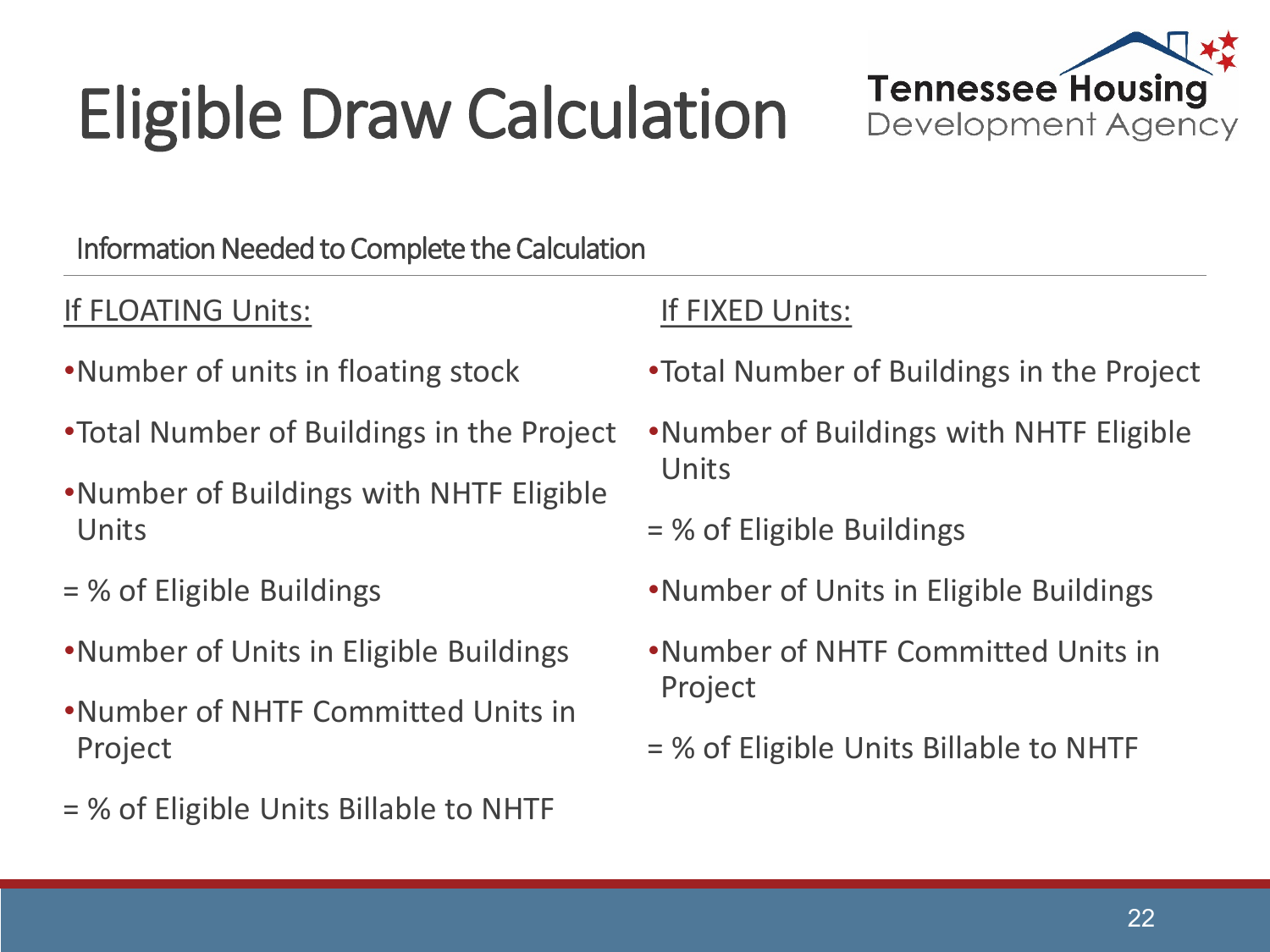# Eligible Draw Calculation



Information Needed to Complete the Calculation

#### If FLOATING Units:

- •Number of units in floating stock
- •Total Number of Buildings in the Project
- •Number of Buildings with NHTF Eligible Units
- = % of Eligible Buildings
- •Number of Units in Eligible Buildings
- •Number of NHTF Committed Units in Project
- = % of Eligible Units Billable to NHTF

#### If FIXED Units:

- •Total Number of Buildings in the Project
- •Number of Buildings with NHTF Eligible Units
- = % of Eligible Buildings
- •Number of Units in Eligible Buildings
- •Number of NHTF Committed Units in Project
- = % of Eligible Units Billable to NHTF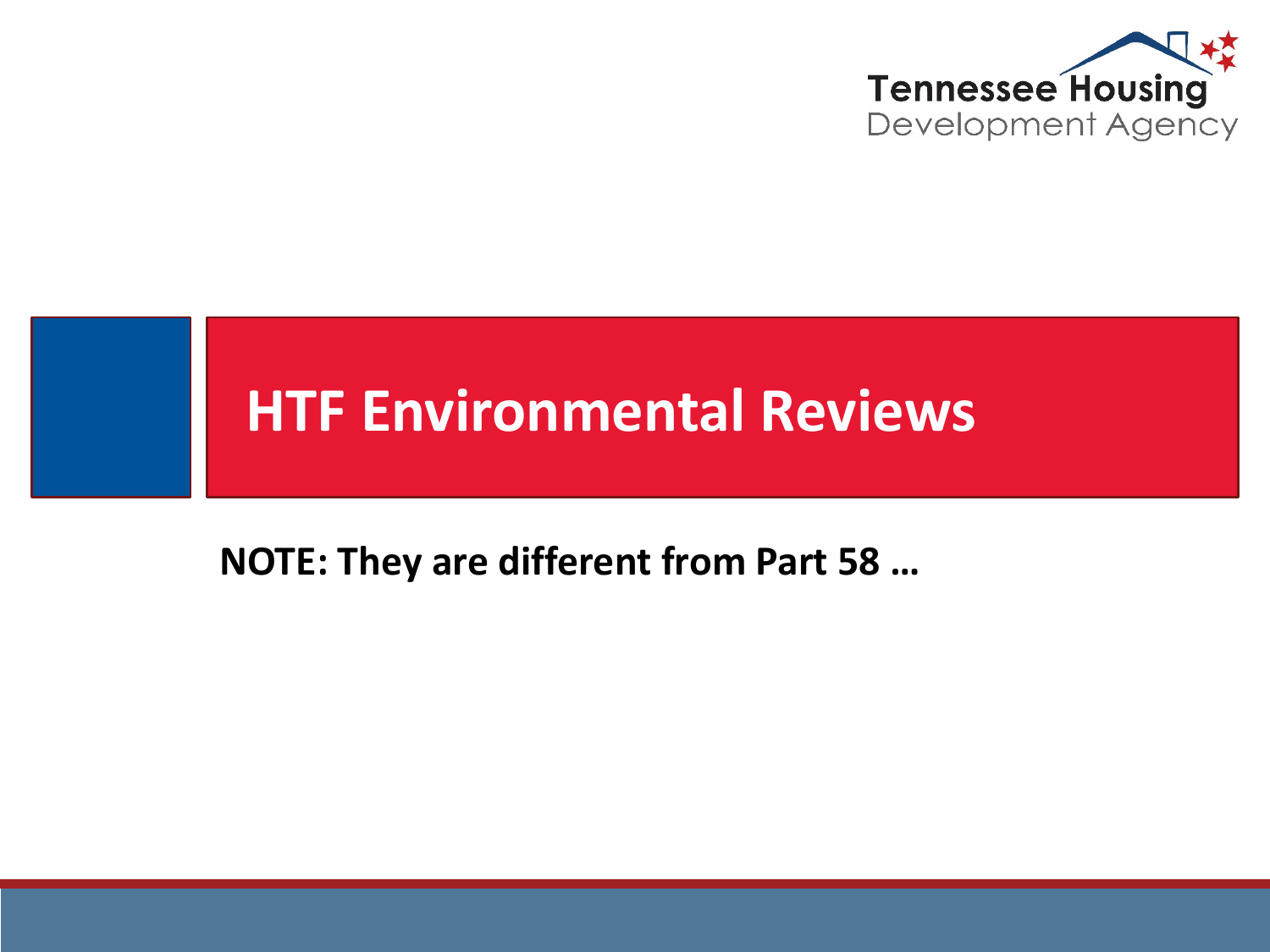

# **HTF Environmental Reviews**

**NOTE: They are different from Part 58 …**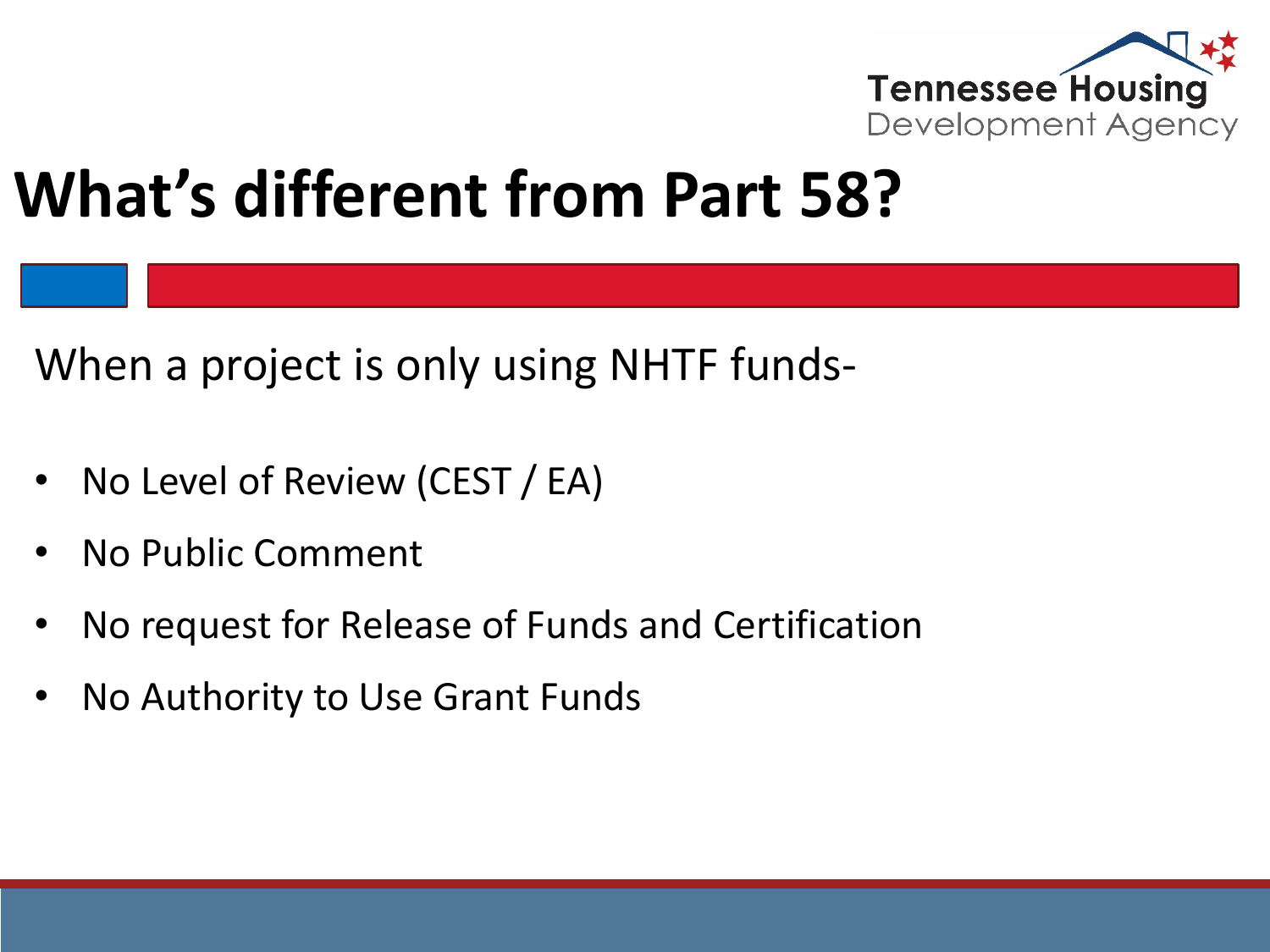

#### **What's different from Part 58?**

When a project is only using NHTF funds-

- No Level of Review (CEST / EA)
- No Public Comment
- No request for Release of Funds and Certification
- No Authority to Use Grant Funds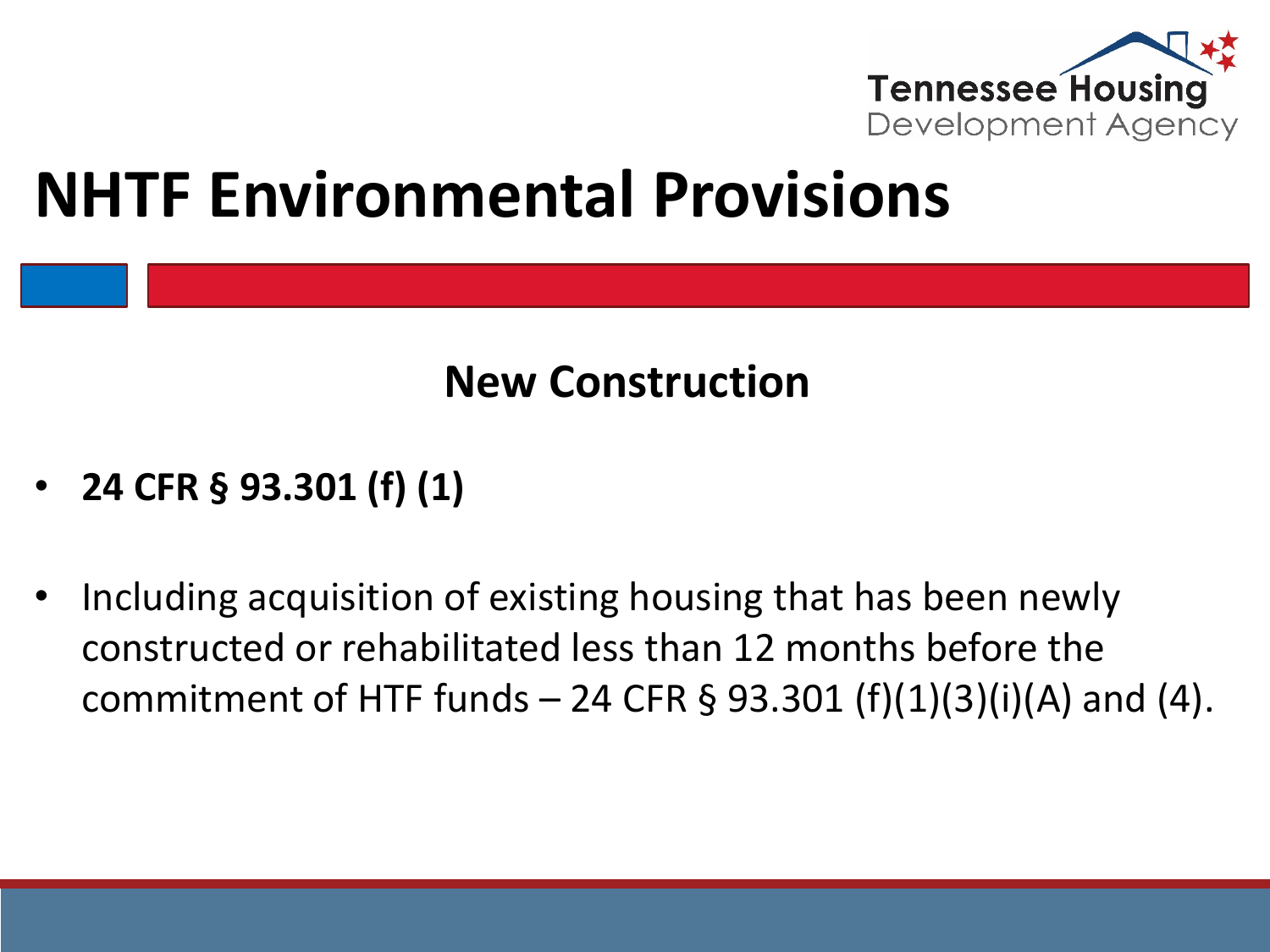

#### **NHTF Environmental Provisions**

#### **New Construction**

- **24 CFR § 93.301 (f) (1)**
- Including acquisition of existing housing that has been newly constructed or rehabilitated less than 12 months before the commitment of HTF funds  $-$  24 CFR § 93.301 (f)(1)(3)(i)(A) and (4).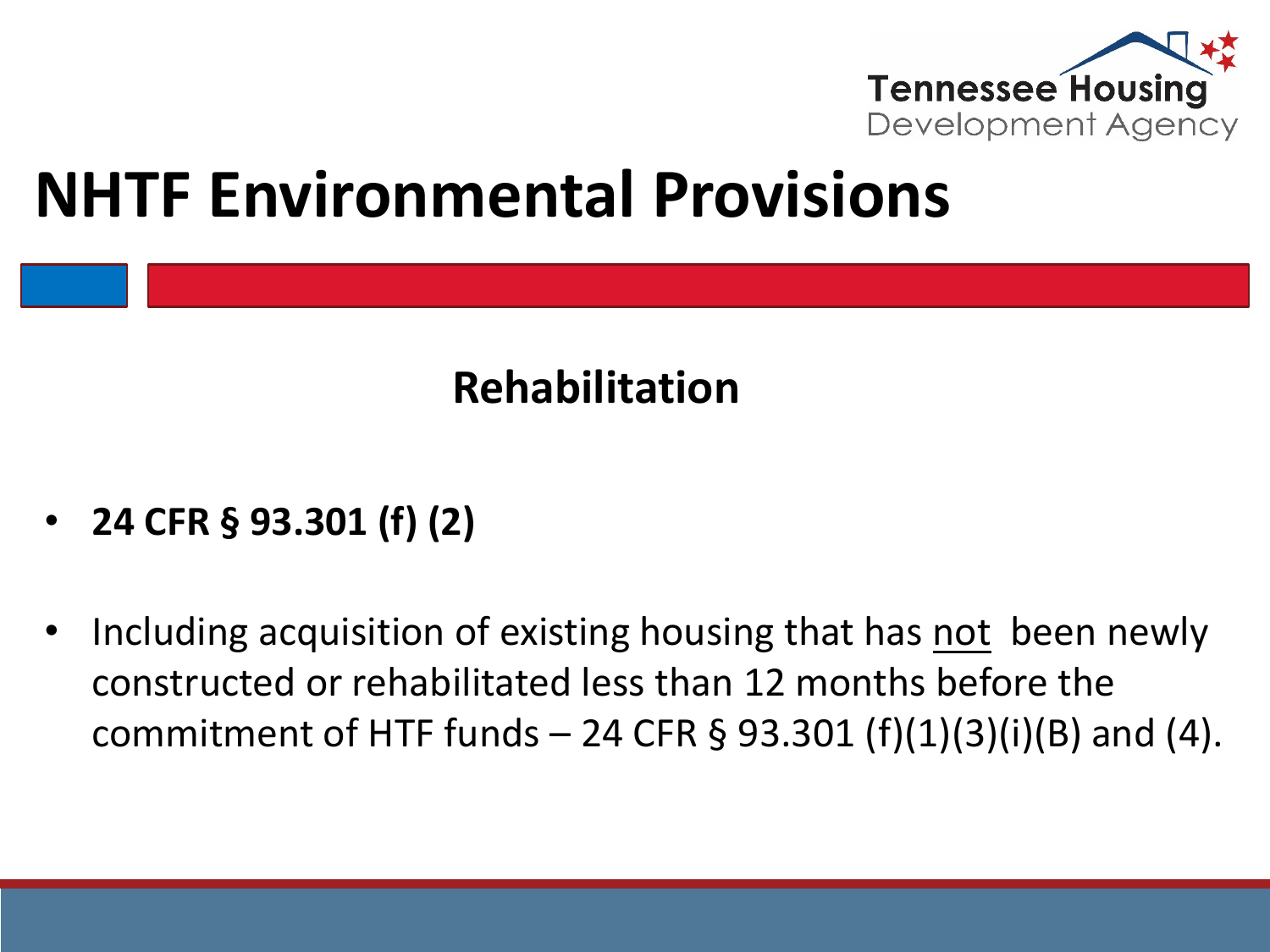

#### **NHTF Environmental Provisions**

#### **Rehabilitation**

- **24 CFR § 93.301 (f) (2)**
- Including acquisition of existing housing that has not been newly constructed or rehabilitated less than 12 months before the commitment of HTF funds  $-$  24 CFR § 93.301 (f)(1)(3)(i)(B) and (4).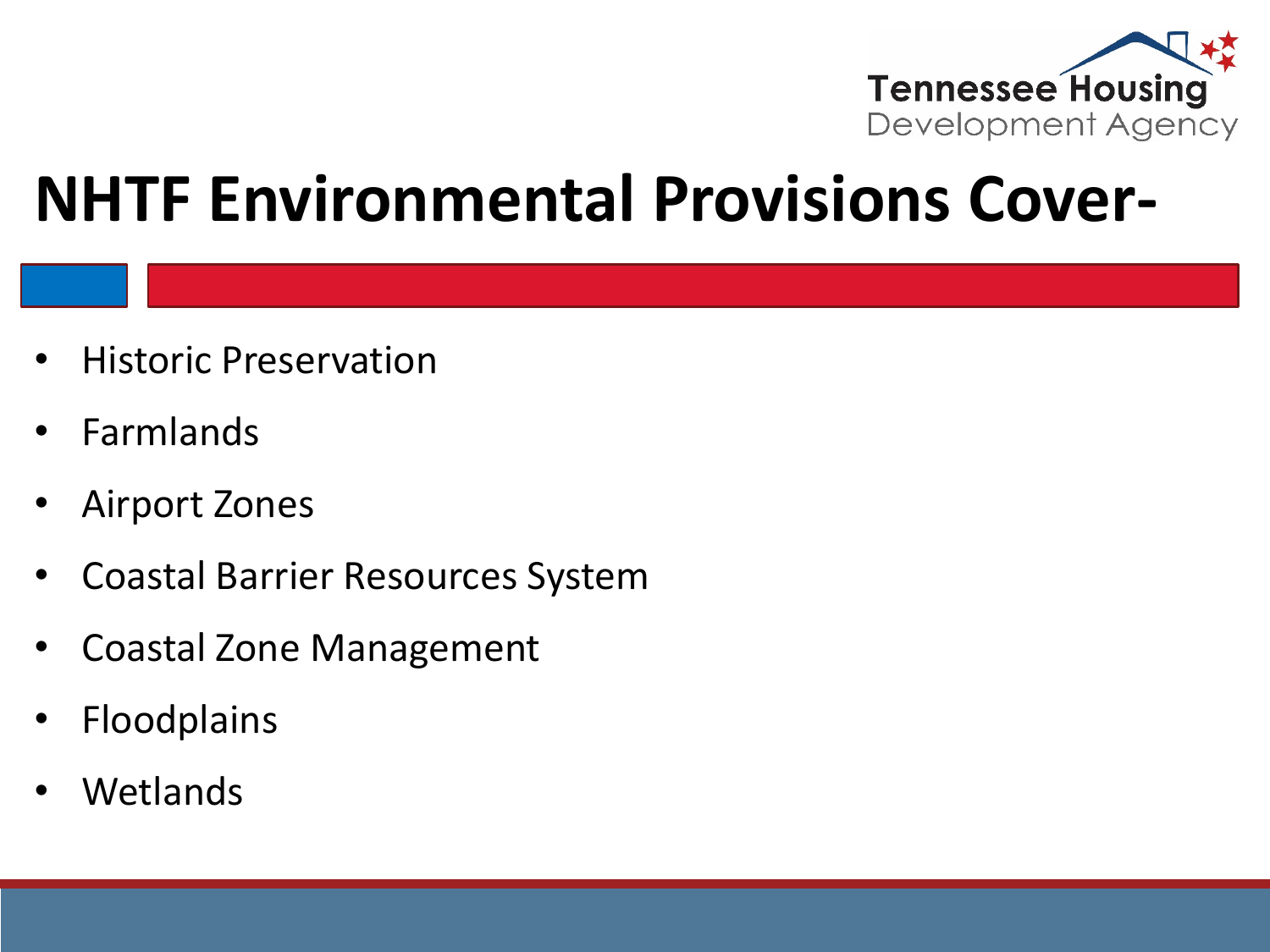

#### **NHTF Environmental Provisions Cover-**

- Historic Preservation
- **Farmlands**
- Airport Zones
- Coastal Barrier Resources System
- Coastal Zone Management
- **Floodplains**
- Wetlands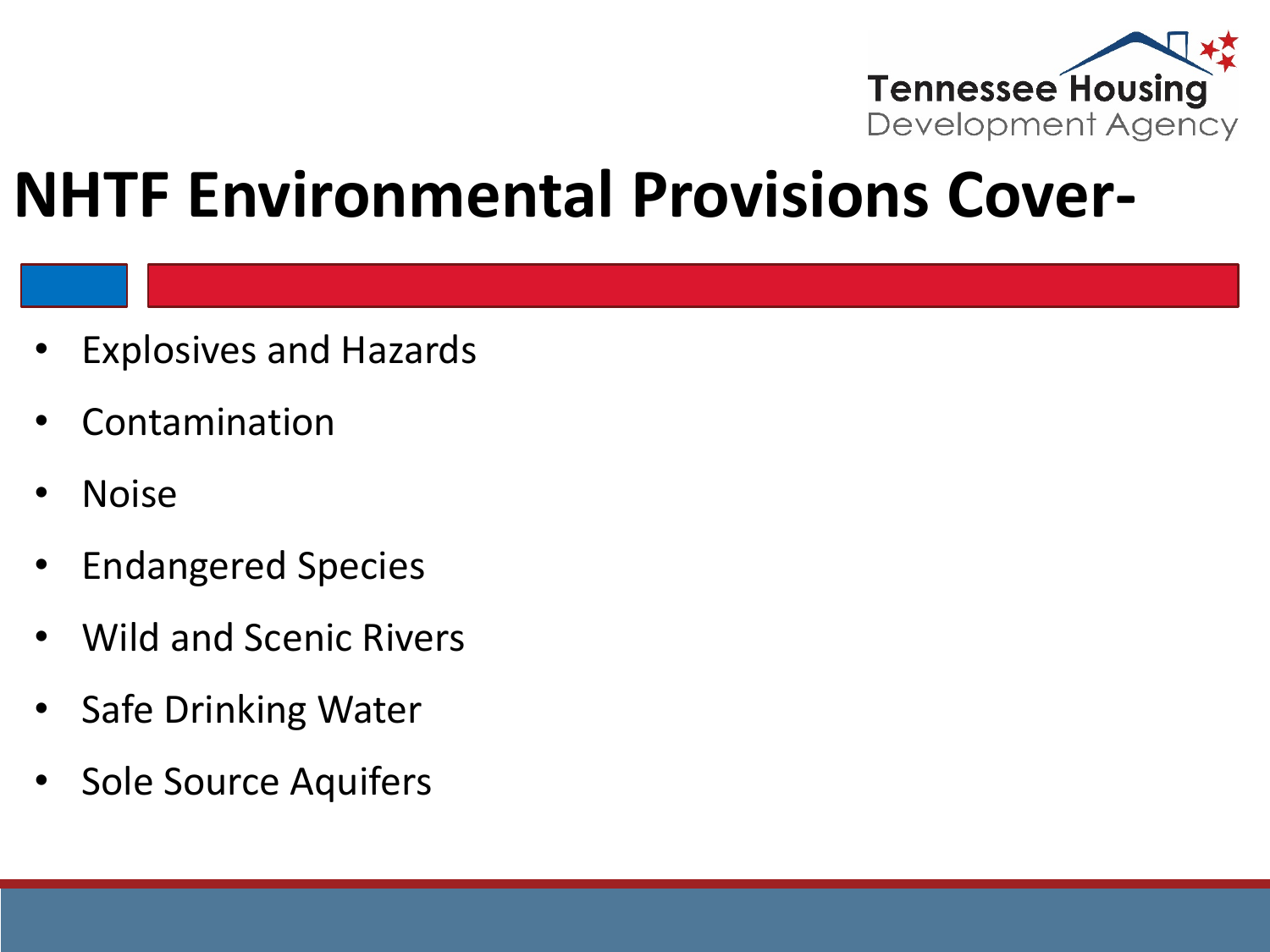

#### **NHTF Environmental Provisions Cover-**

- Explosives and Hazards
- **Contamination**
- Noise
- Endangered Species
- Wild and Scenic Rivers
- Safe Drinking Water
- Sole Source Aquifers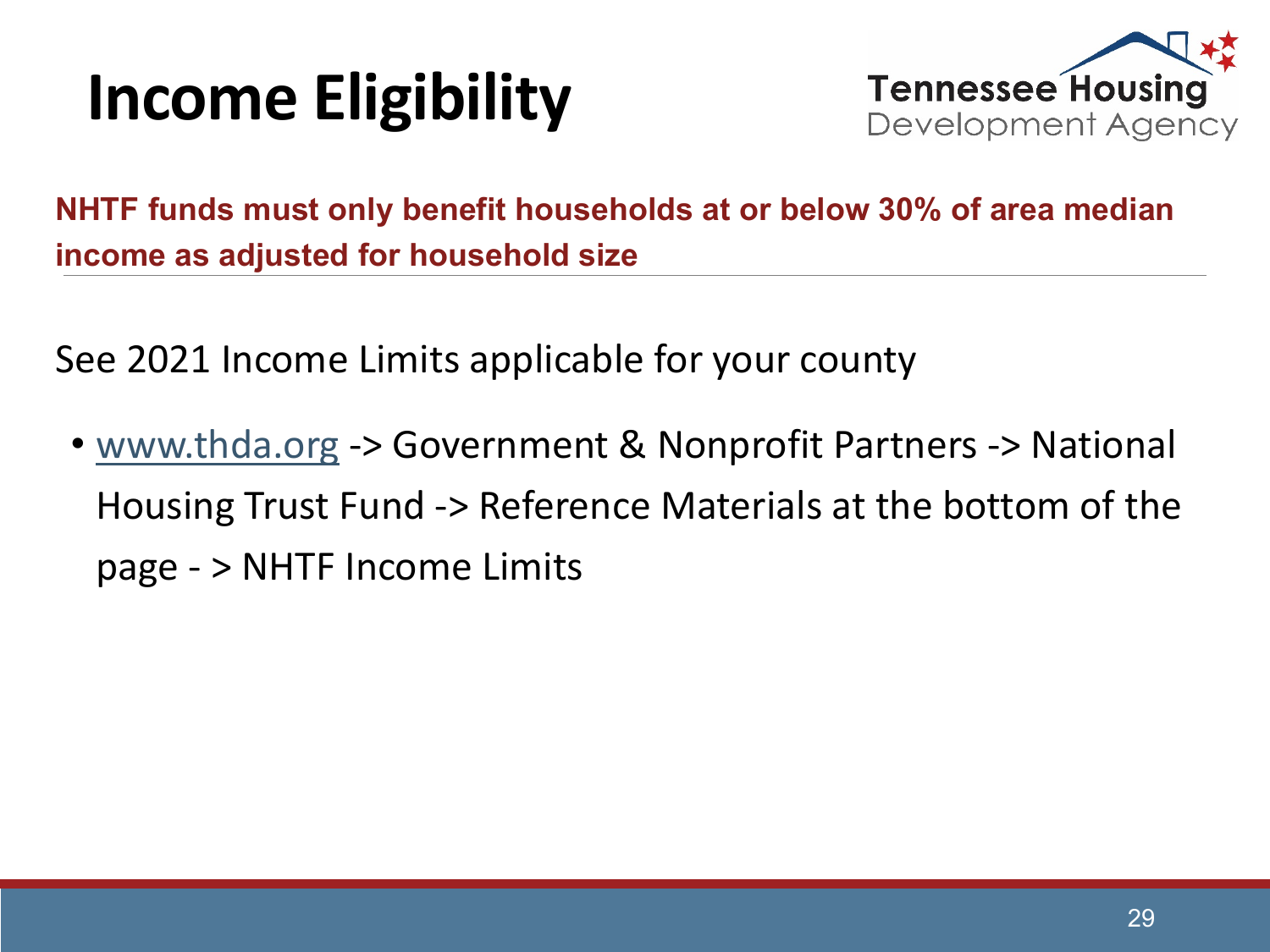## **Income Eligibility**



**NHTF funds must only benefit households at or below 30% of area median income as adjusted for household size**

See 2021 Income Limits applicable for your county

• [www.thda.org](http://www.thda.org/) -> Government & Nonprofit Partners -> National Housing Trust Fund -> Reference Materials at the bottom of the page - > NHTF Income Limits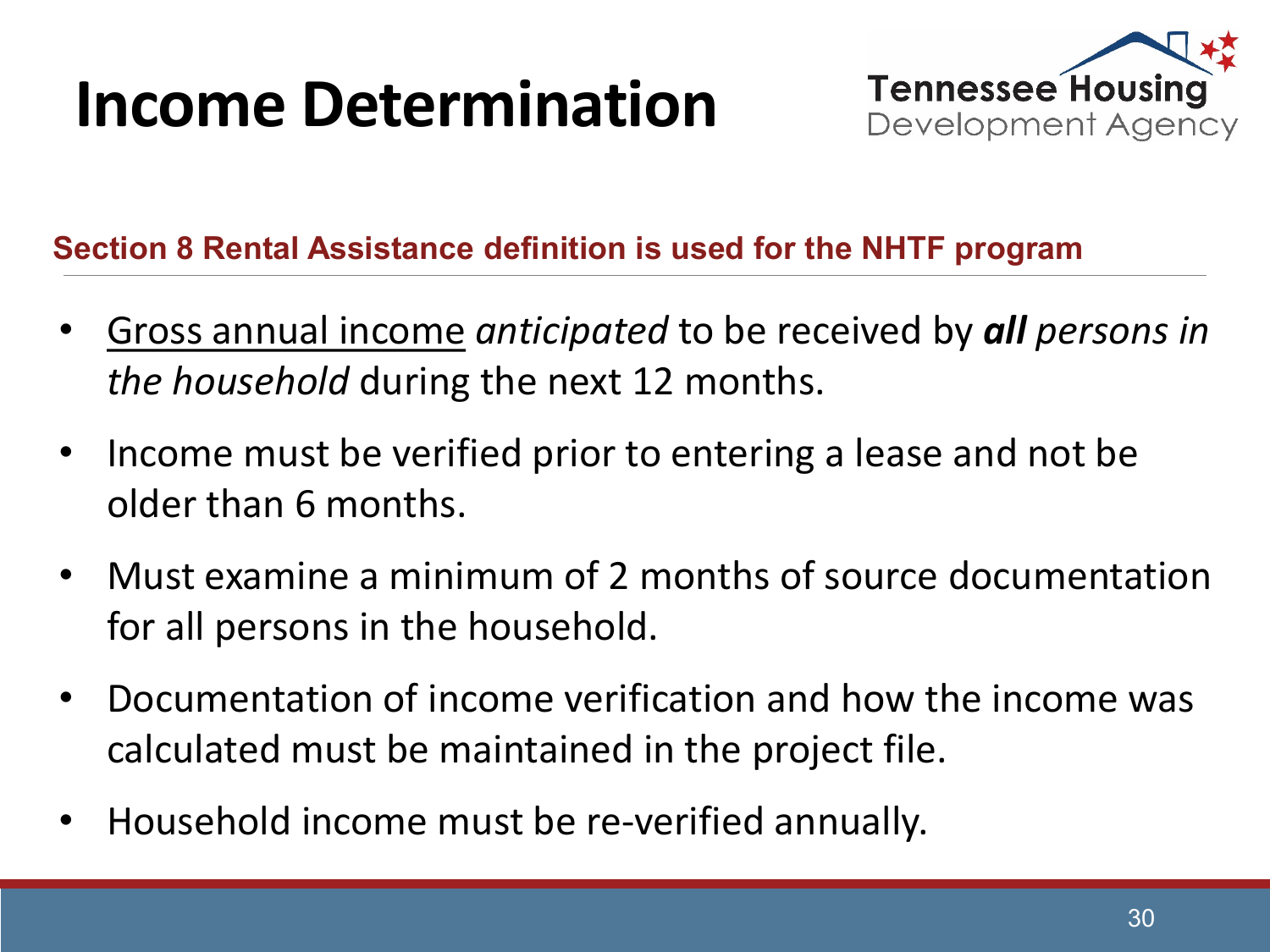#### **Income Determination**



#### **Section 8 Rental Assistance definition is used for the NHTF program**

- Gross annual income *anticipated* to be received by *all persons in the household* during the next 12 months.
- Income must be verified prior to entering a lease and not be older than 6 months.
- Must examine a minimum of 2 months of source documentation for all persons in the household.
- Documentation of income verification and how the income was calculated must be maintained in the project file.
- Household income must be re-verified annually.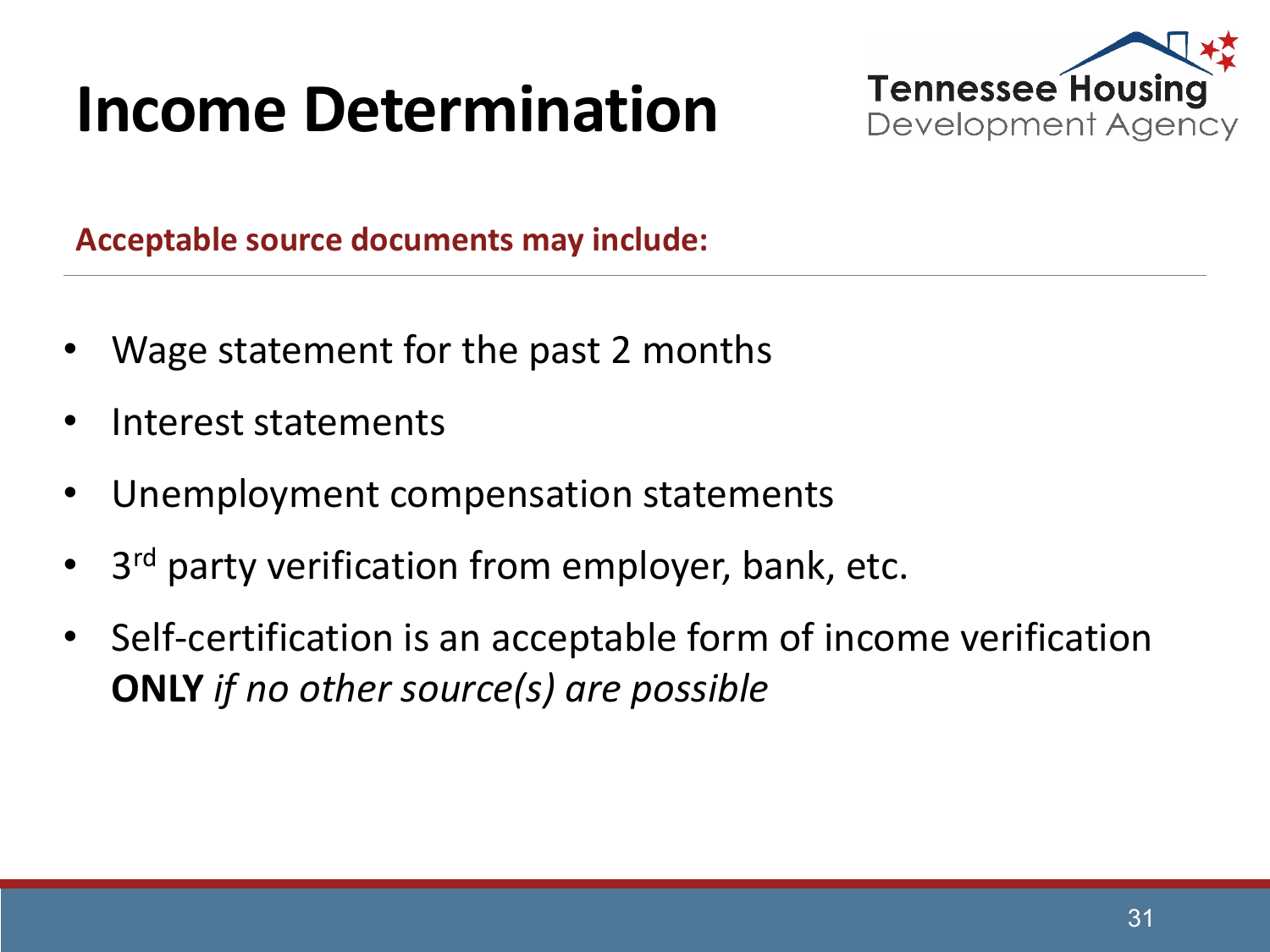## **Income Determination**



**Acceptable source documents may include:**

- Wage statement for the past 2 months
- Interest statements
- Unemployment compensation statements
- 3<sup>rd</sup> party verification from employer, bank, etc.
- Self-certification is an acceptable form of income verification **ONLY** *if no other source(s) are possible*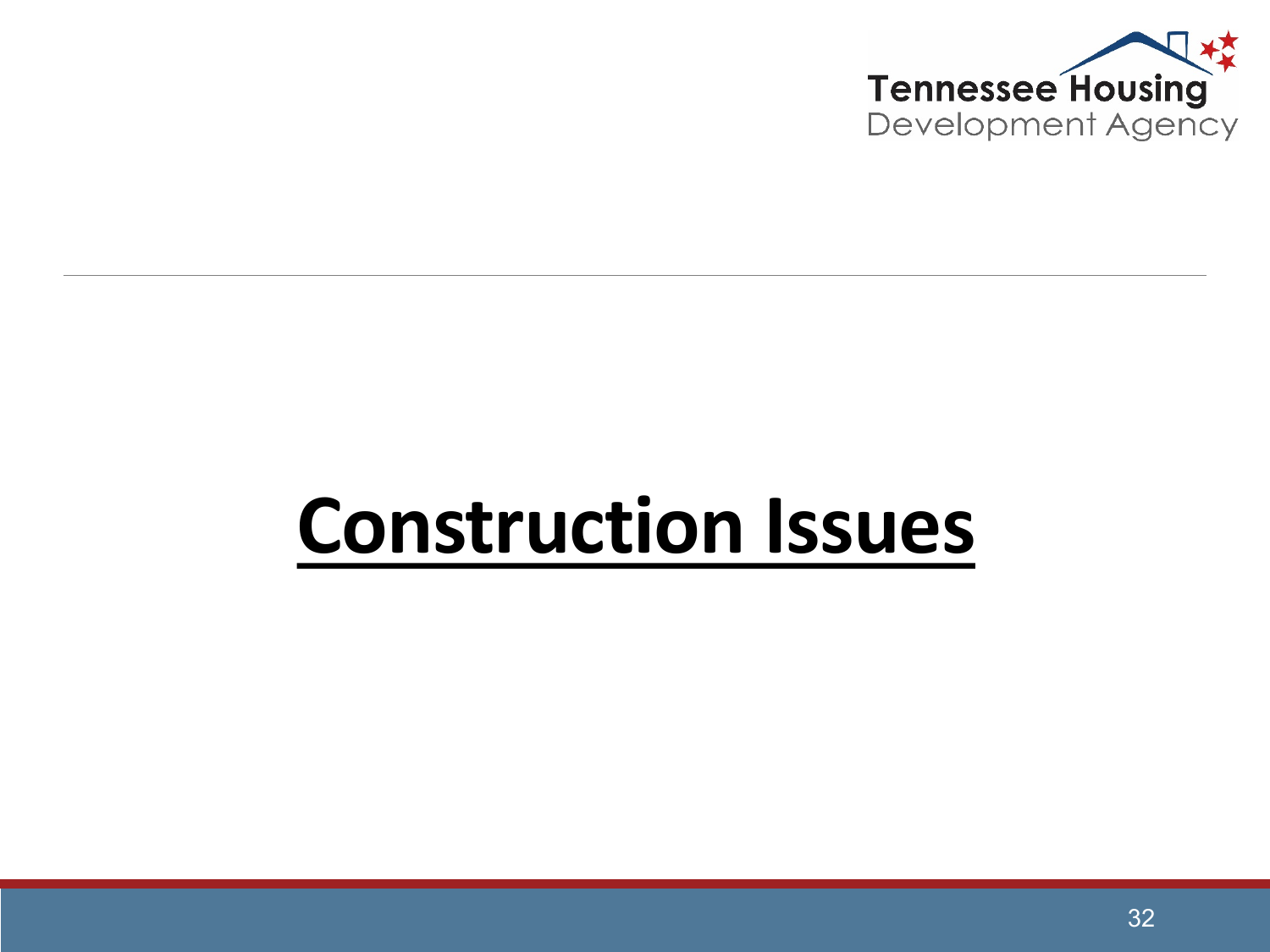

## **Construction Issues**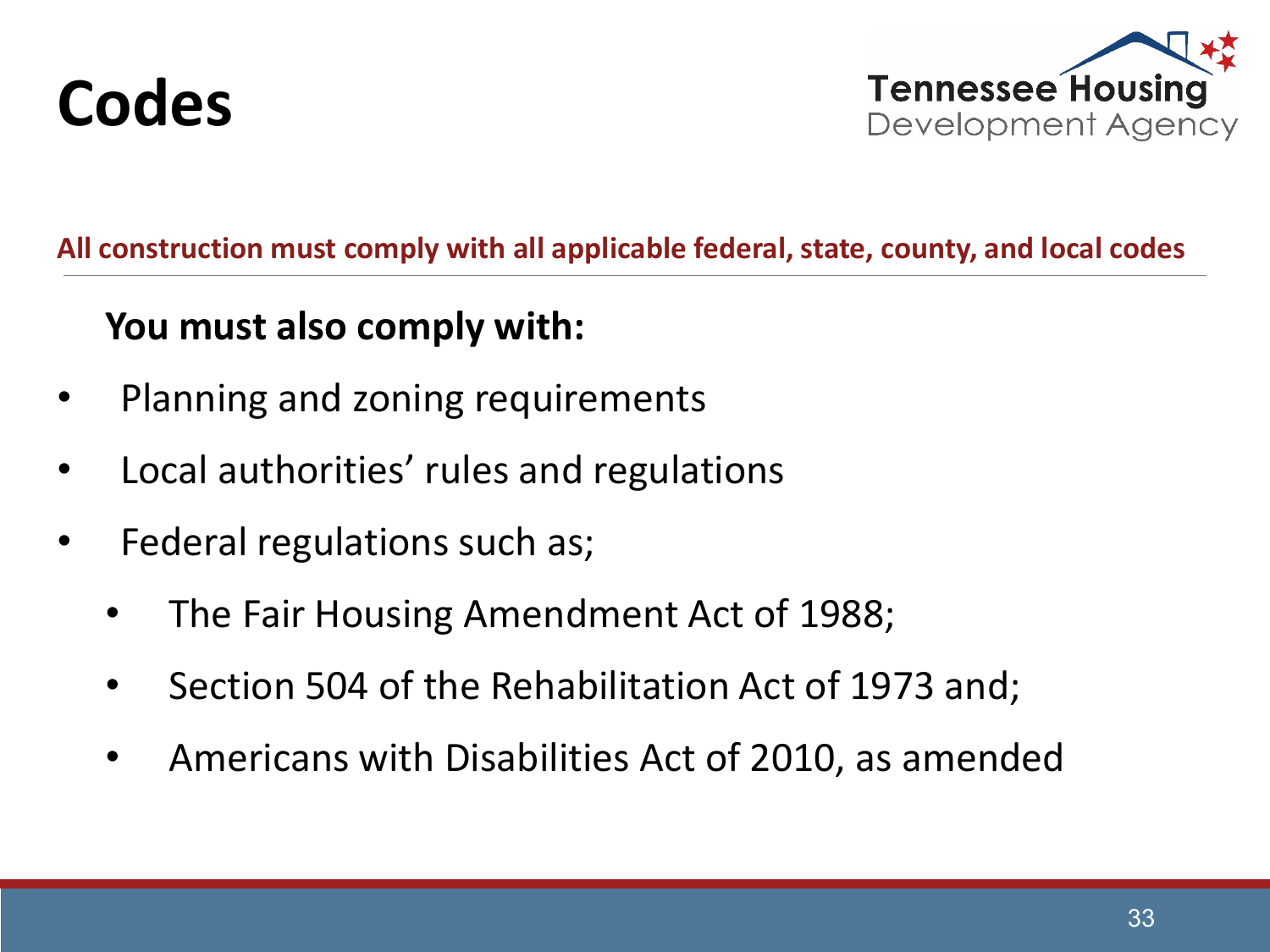



#### **All construction must comply with all applicable federal, state, county, and local codes**

#### **You must also comply with:**

- Planning and zoning requirements
- Local authorities' rules and regulations
- Federal regulations such as;
	- The Fair Housing Amendment Act of 1988;
	- Section 504 of the Rehabilitation Act of 1973 and;
	- Americans with Disabilities Act of 2010, as amended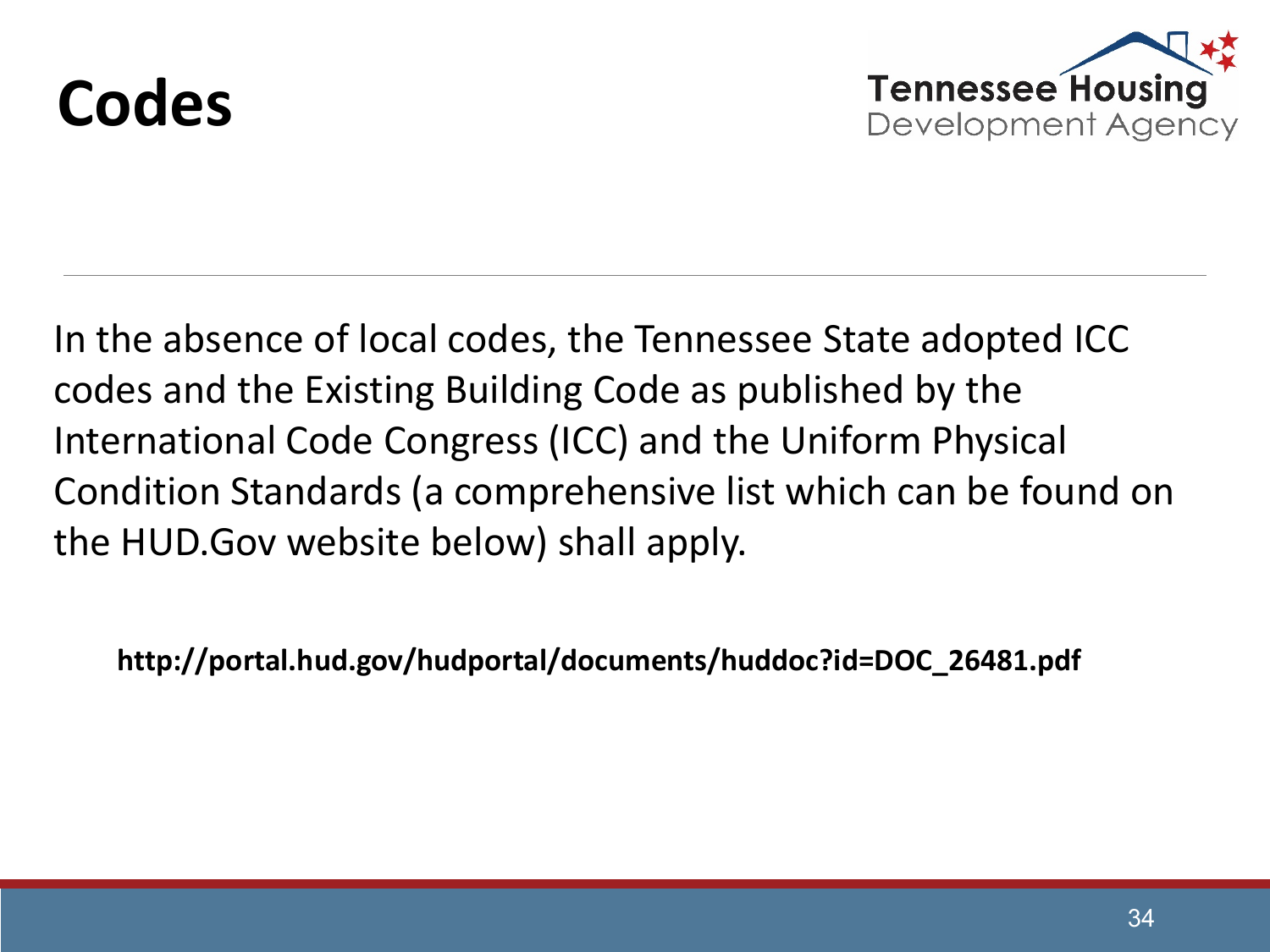



In the absence of local codes, the Tennessee State adopted ICC codes and the Existing Building Code as published by the International Code Congress (ICC) and the Uniform Physical Condition Standards (a comprehensive list which can be found on the HUD.Gov website below) shall apply.

**http://portal.hud.gov/hudportal/documents/huddoc?id=DOC\_26481.pdf**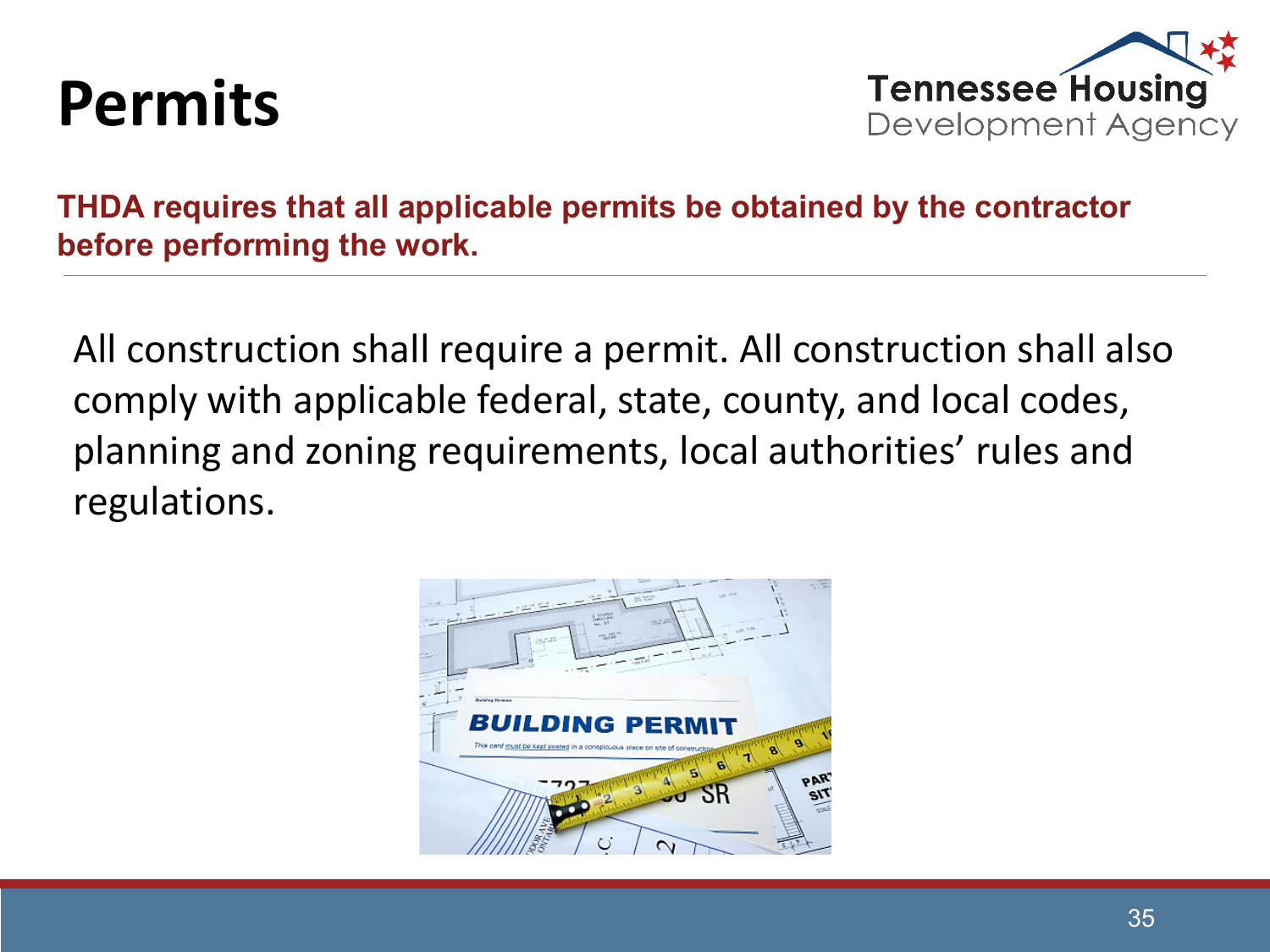#### **Permits**



**THDA requires that all applicable permits be obtained by the contractor before performing the work.** 

All construction shall require a permit. All construction shall also comply with applicable federal, state, county, and local codes, planning and zoning requirements, local authorities' rules and regulations.

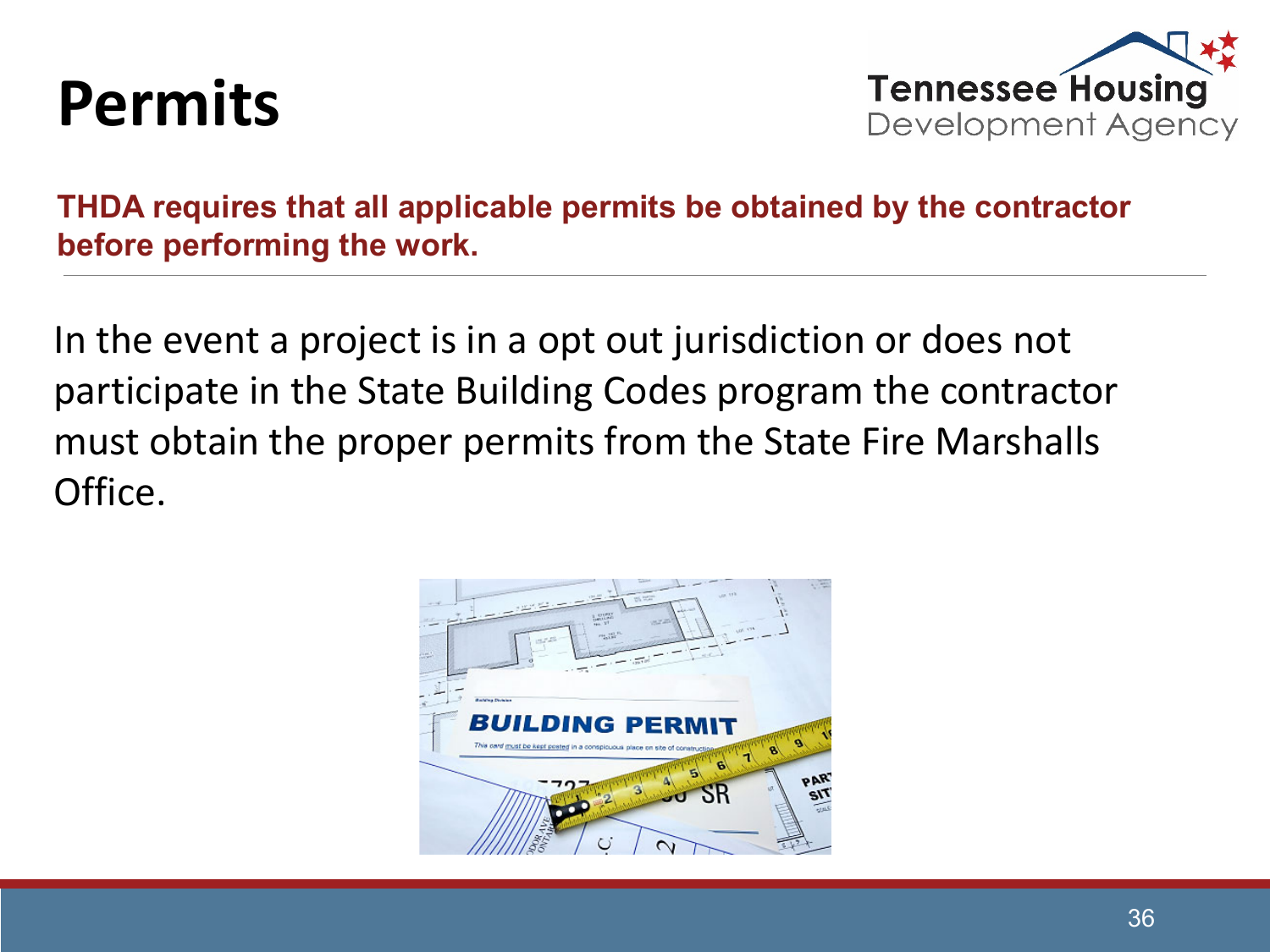#### **Permits**



**THDA requires that all applicable permits be obtained by the contractor before performing the work.** 

In the event a project is in a opt out jurisdiction or does not participate in the State Building Codes program the contractor must obtain the proper permits from the State Fire Marshalls Office.

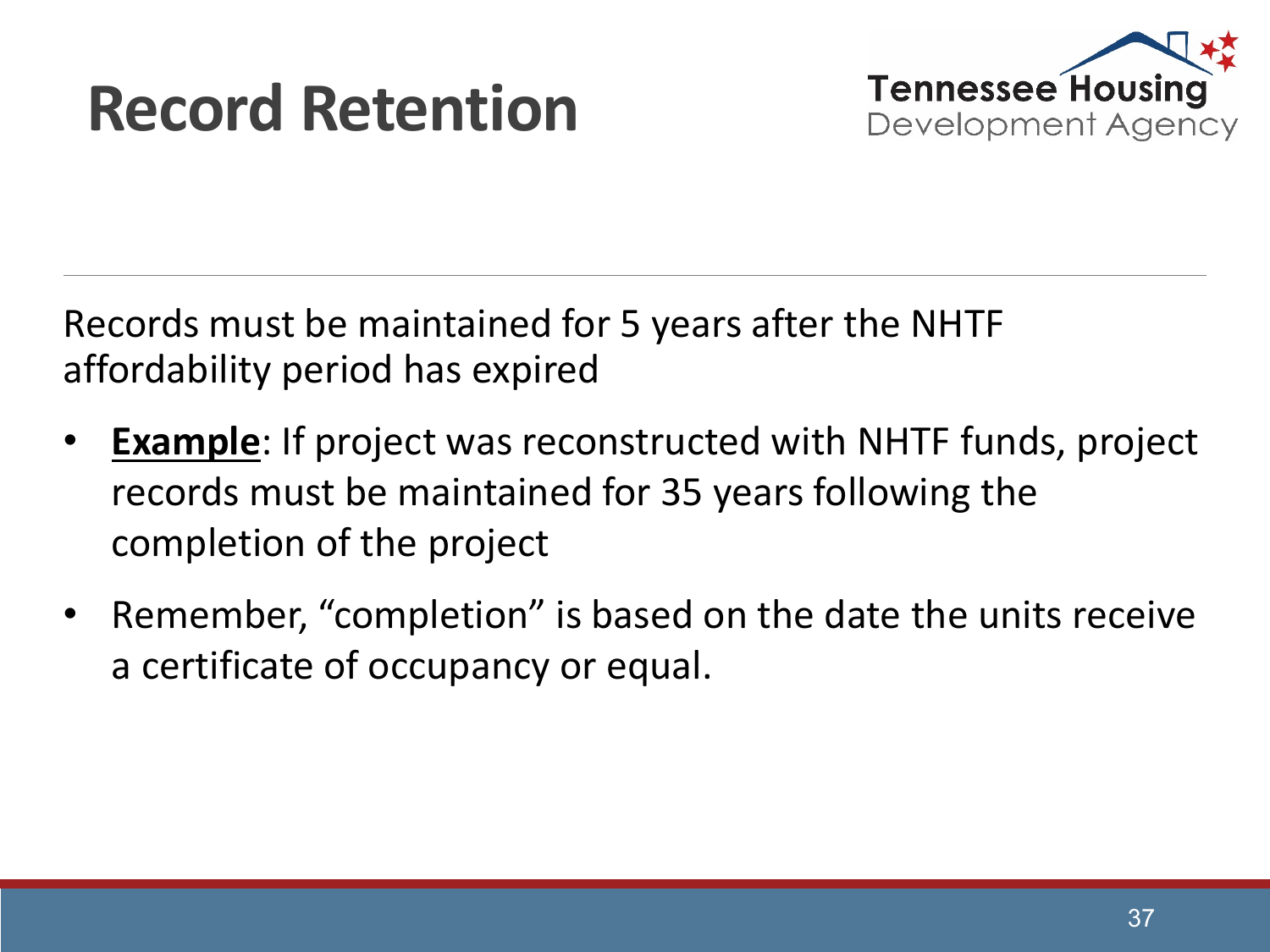#### **Record Retention**



Records must be maintained for 5 years after the NHTF affordability period has expired

- **Example**: If project was reconstructed with NHTF funds, project records must be maintained for 35 years following the completion of the project
- Remember, "completion" is based on the date the units receive a certificate of occupancy or equal.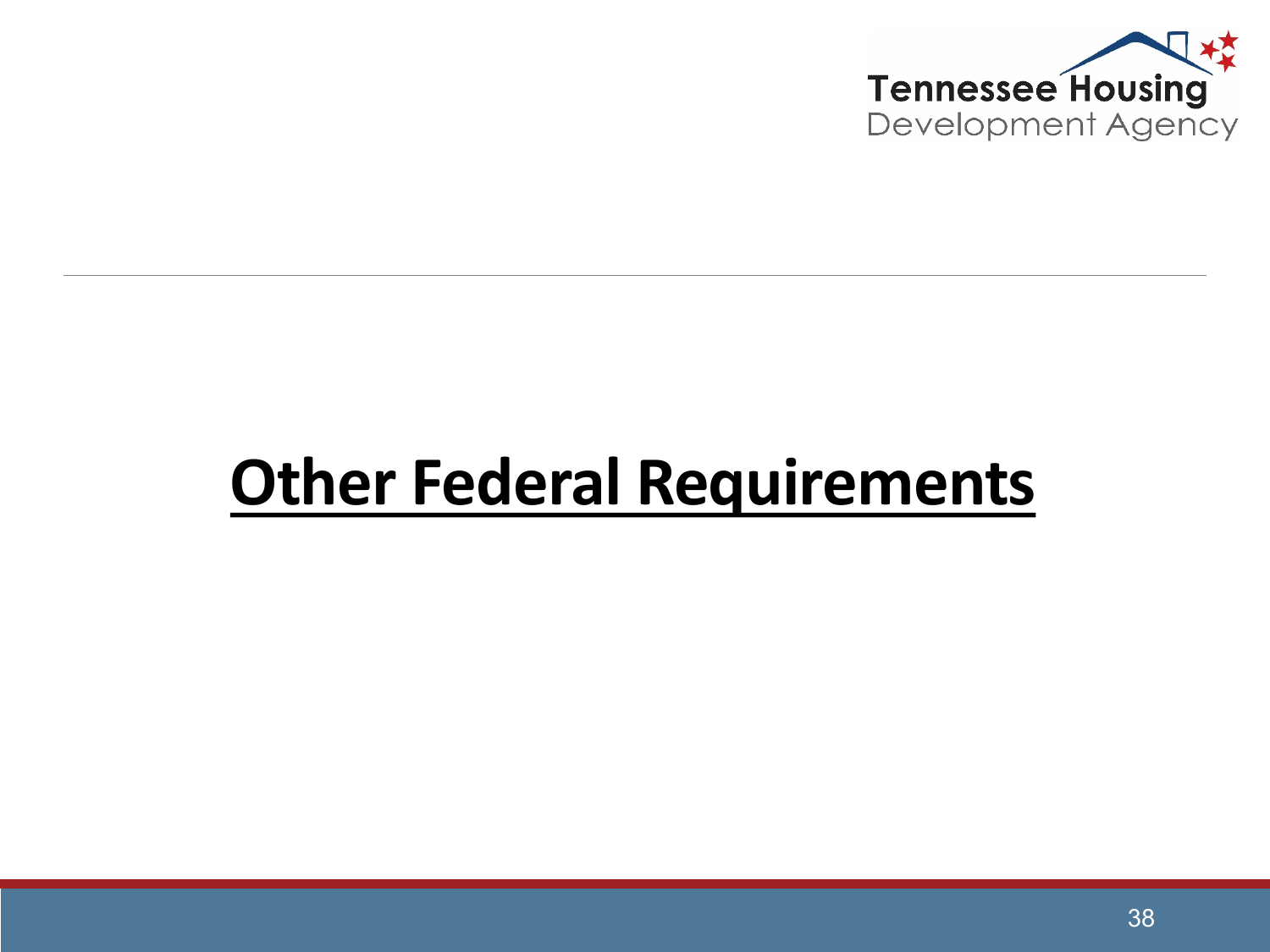

#### **Other Federal Requirements**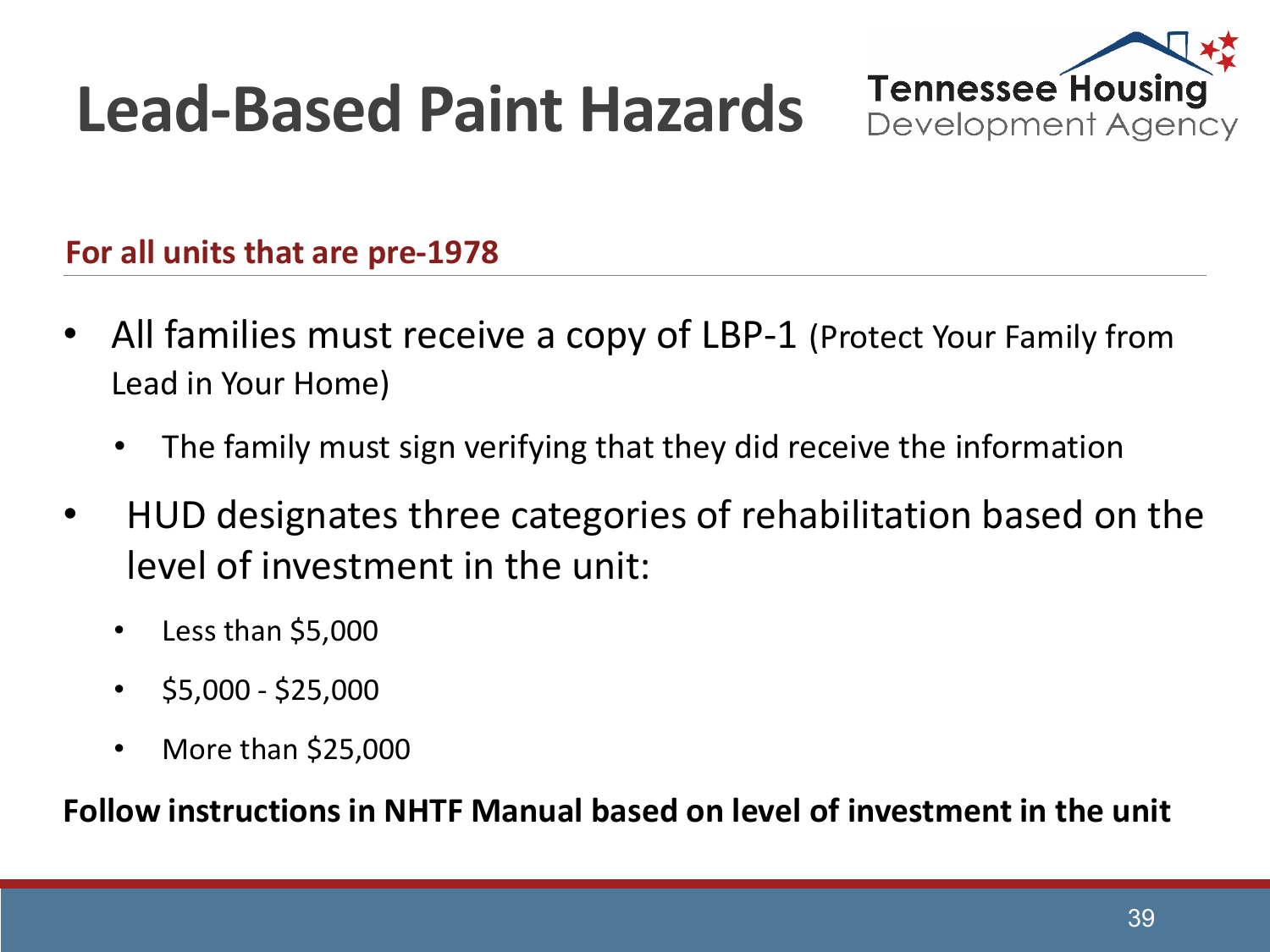## **Lead-Based Paint Hazards**



**For all units that are pre-1978**

- All families must receive a copy of LBP-1 (Protect Your Family from Lead in Your Home)
	- The family must sign verifying that they did receive the information
- HUD designates three categories of rehabilitation based on the level of investment in the unit:
	- Less than \$5,000
	- $\cdot$  \$5,000 \$25,000
	- More than \$25,000

**Follow instructions in NHTF Manual based on level of investment in the unit**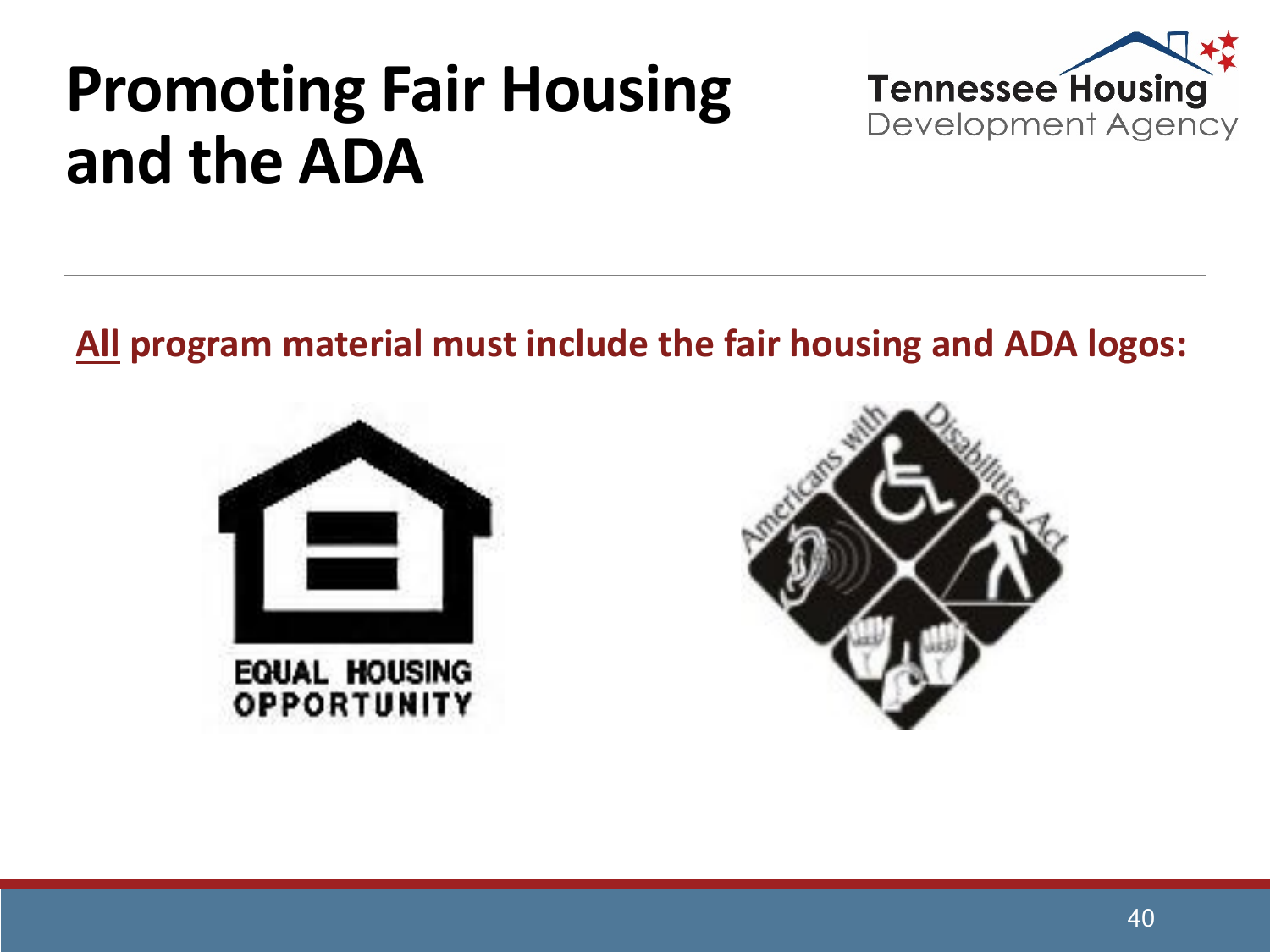#### **Promoting Fair Housing and the ADA**



**All program material must include the fair housing and ADA logos:**



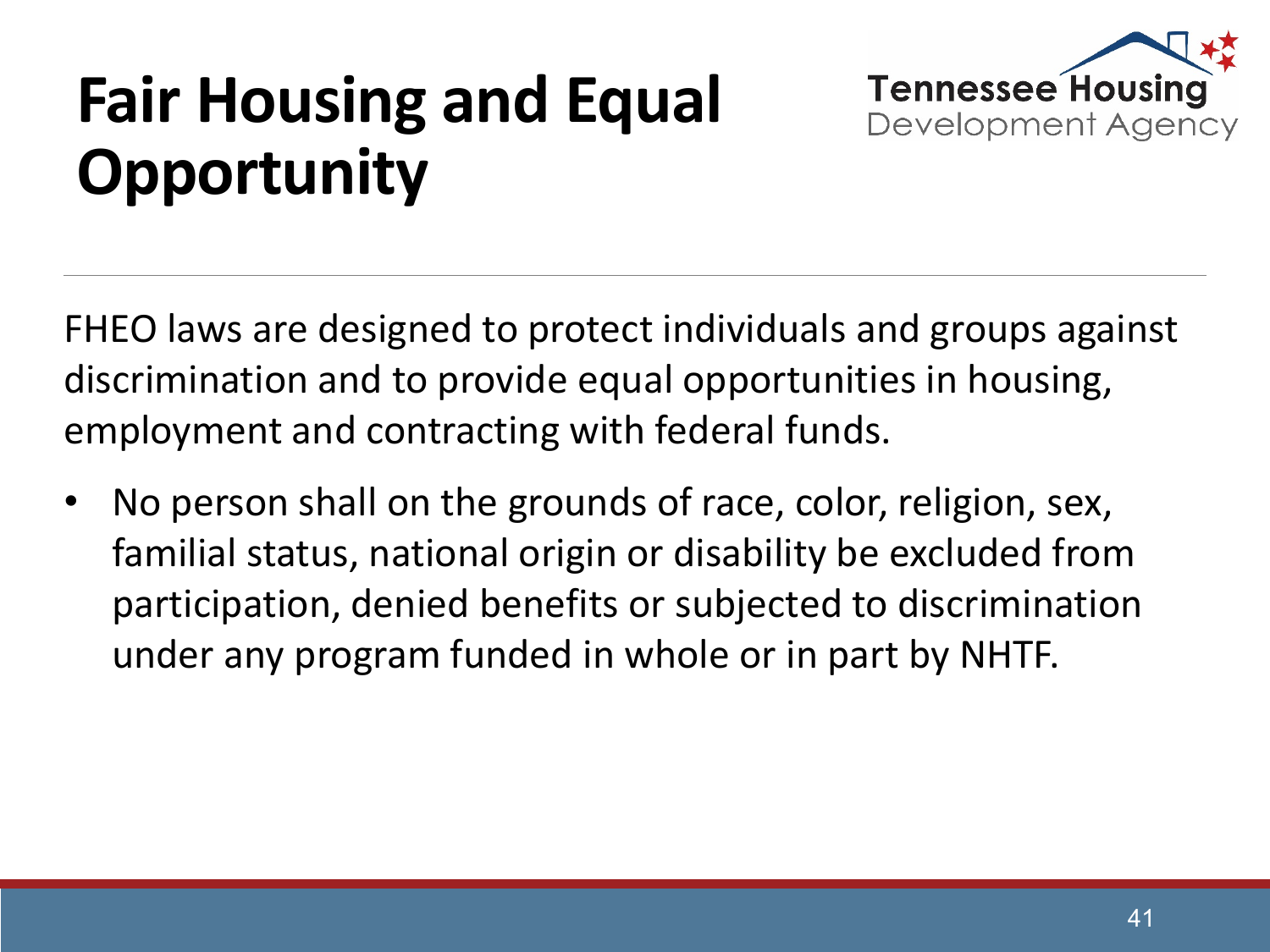## **Fair Housing and Equal Opportunity**



FHEO laws are designed to protect individuals and groups against discrimination and to provide equal opportunities in housing, employment and contracting with federal funds.

• No person shall on the grounds of race, color, religion, sex, familial status, national origin or disability be excluded from participation, denied benefits or subjected to discrimination under any program funded in whole or in part by NHTF.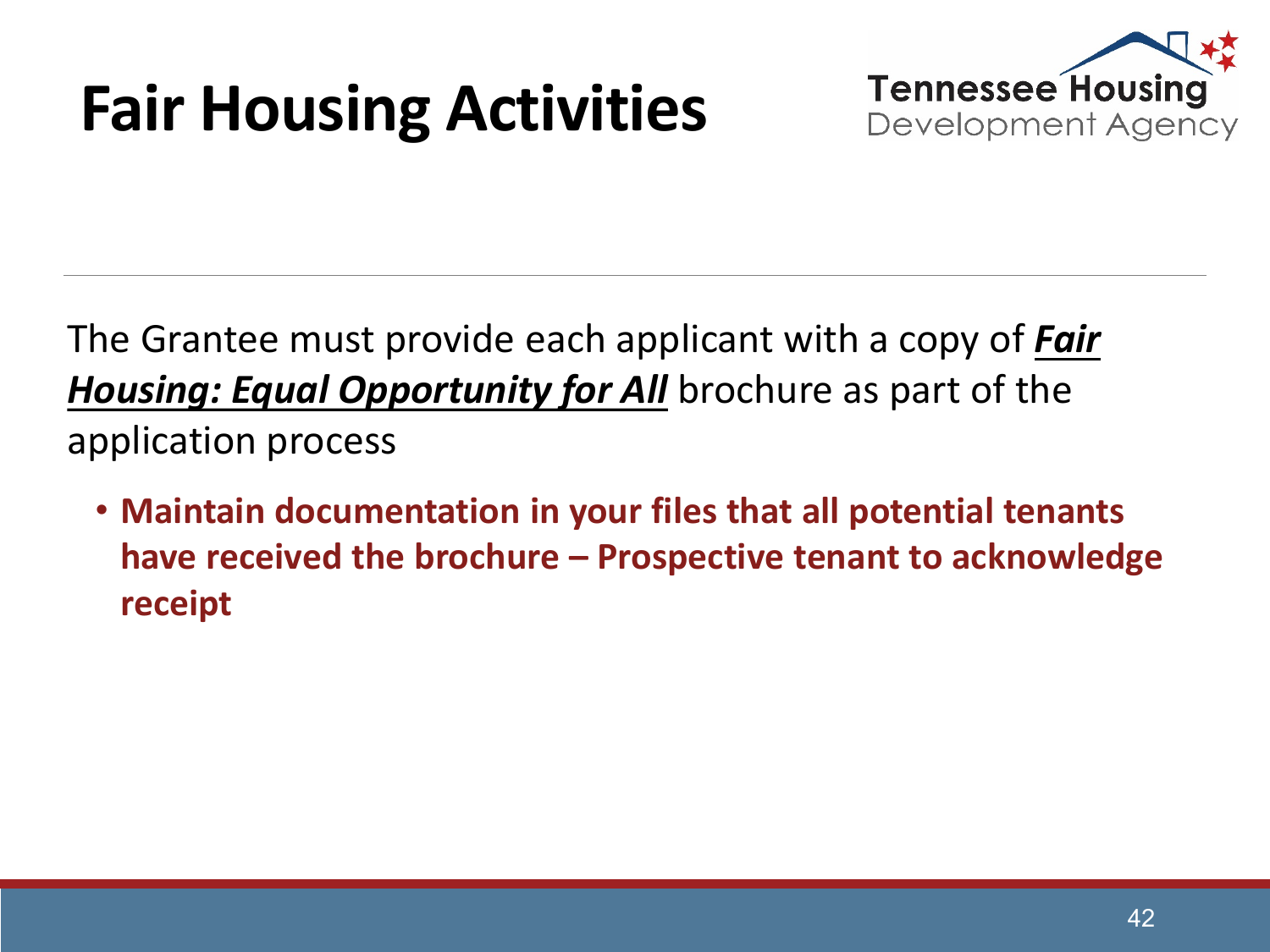## **Fair Housing Activities**



The Grantee must provide each applicant with a copy of *Fair Housing: Equal Opportunity for All* brochure as part of the application process

• **Maintain documentation in your files that all potential tenants have received the brochure – Prospective tenant to acknowledge receipt**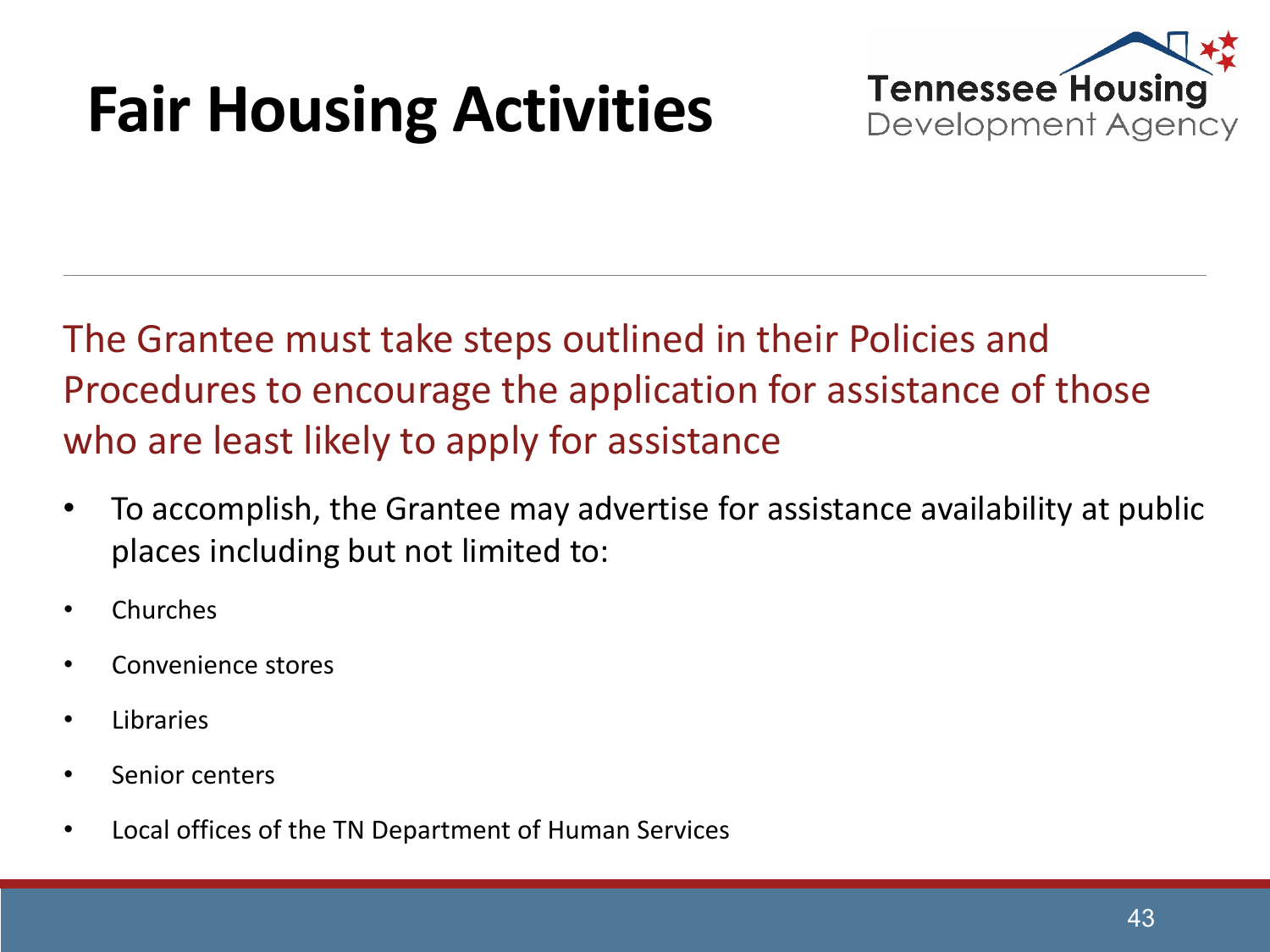## **Fair Housing Activities**



The Grantee must take steps outlined in their Policies and Procedures to encourage the application for assistance of those who are least likely to apply for assistance

- To accomplish, the Grantee may advertise for assistance availability at public places including but not limited to:
- Churches
- Convenience stores
- Libraries
- Senior centers
- Local offices of the TN Department of Human Services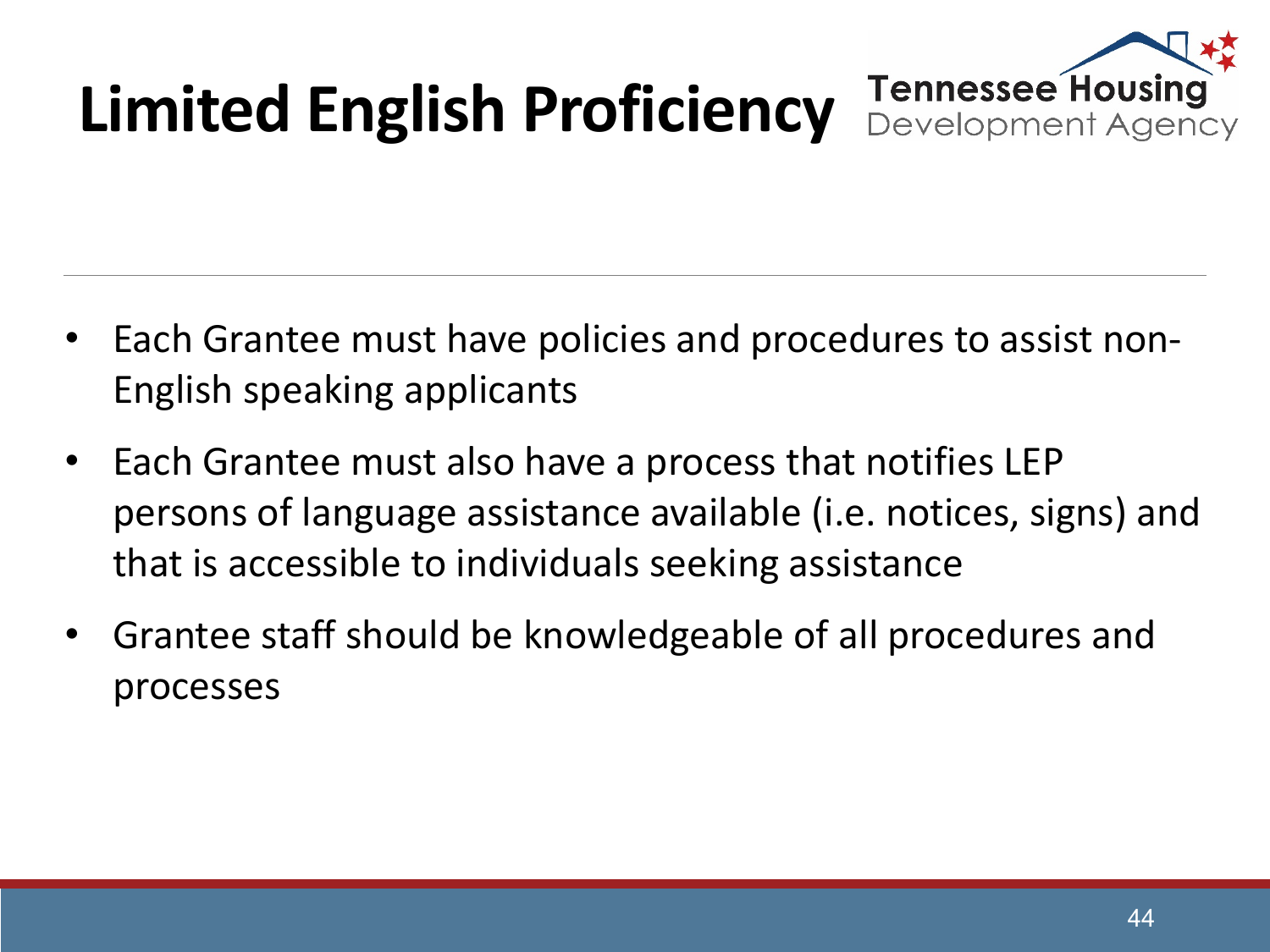# **Limited English Proficiency**

**Tennessee Housing** Development Agency

- Each Grantee must have policies and procedures to assist non-English speaking applicants
- Each Grantee must also have a process that notifies LEP persons of language assistance available (i.e. notices, signs) and that is accessible to individuals seeking assistance
- Grantee staff should be knowledgeable of all procedures and processes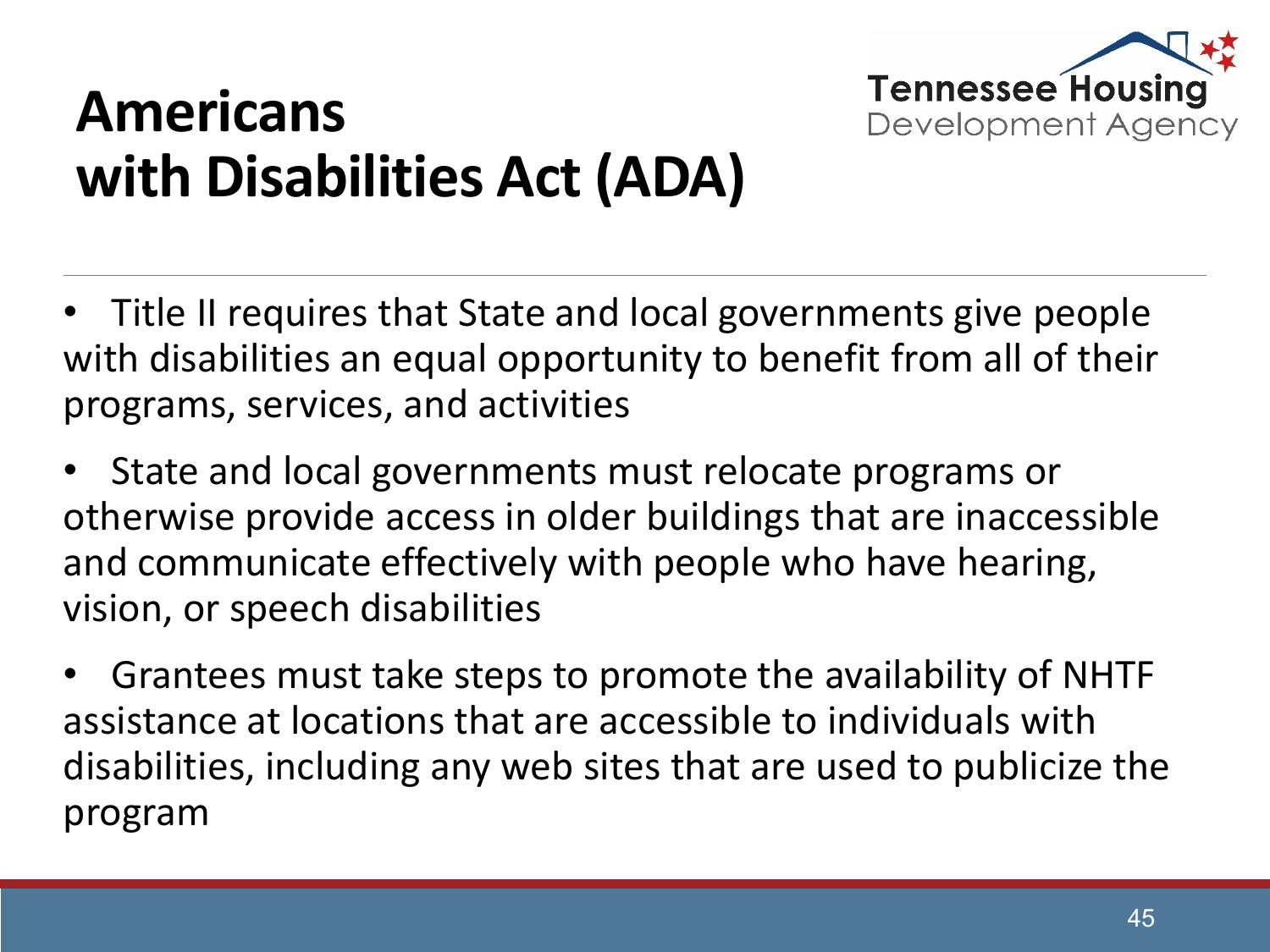

#### **Americans with Disabilities Act (ADA)**

• Title II requires that State and local governments give people with disabilities an equal opportunity to benefit from all of their programs, services, and activities

• State and local governments must relocate programs or otherwise provide access in older buildings that are inaccessible and communicate effectively with people who have hearing, vision, or speech disabilities

• Grantees must take steps to promote the availability of NHTF assistance at locations that are accessible to individuals with disabilities, including any web sites that are used to publicize the program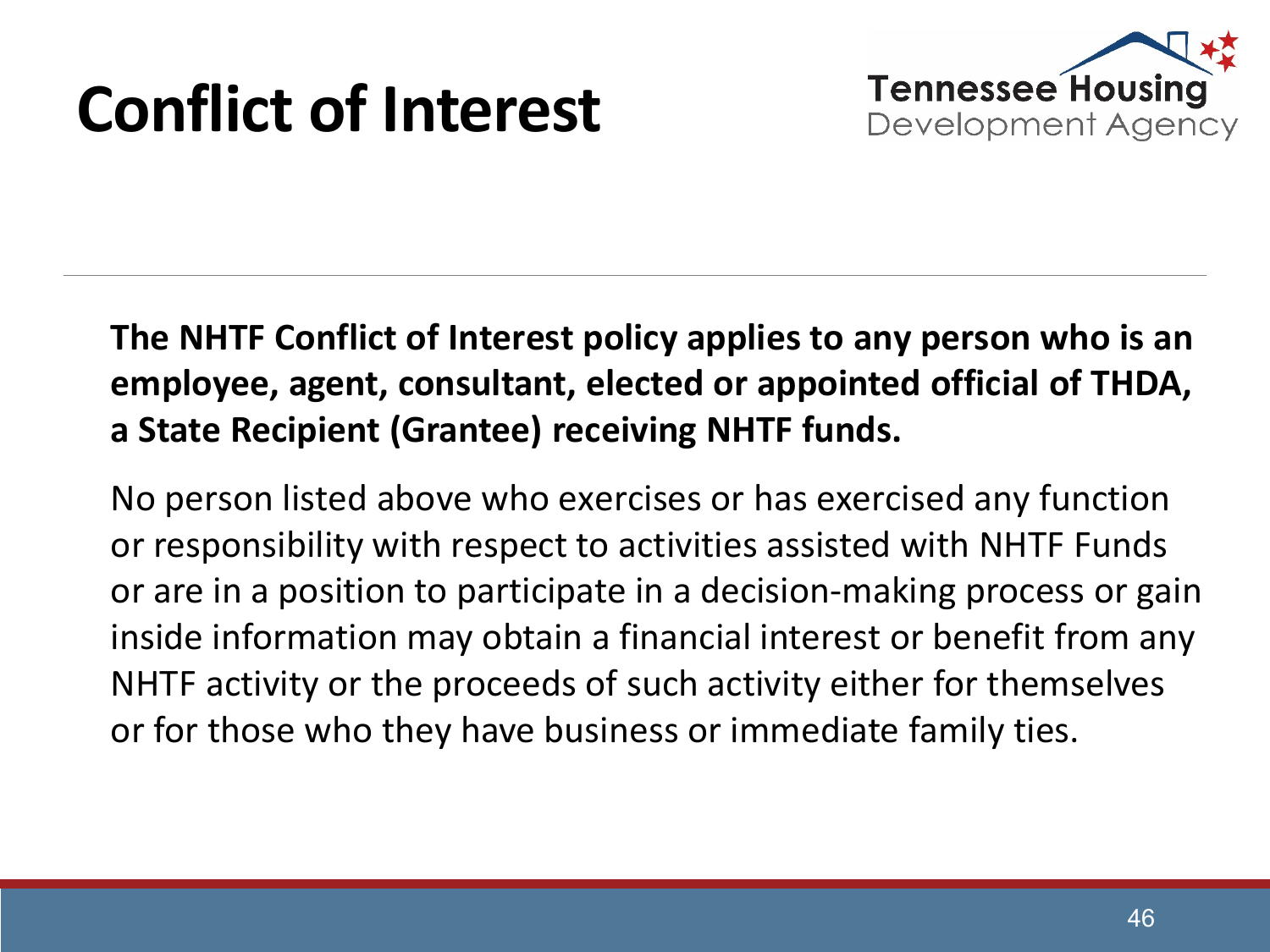## **Conflict of Interest**



#### **The NHTF Conflict of Interest policy applies to any person who is an employee, agent, consultant, elected or appointed official of THDA, a State Recipient (Grantee) receiving NHTF funds.**

No person listed above who exercises or has exercised any function or responsibility with respect to activities assisted with NHTF Funds or are in a position to participate in a decision-making process or gain inside information may obtain a financial interest or benefit from any NHTF activity or the proceeds of such activity either for themselves or for those who they have business or immediate family ties.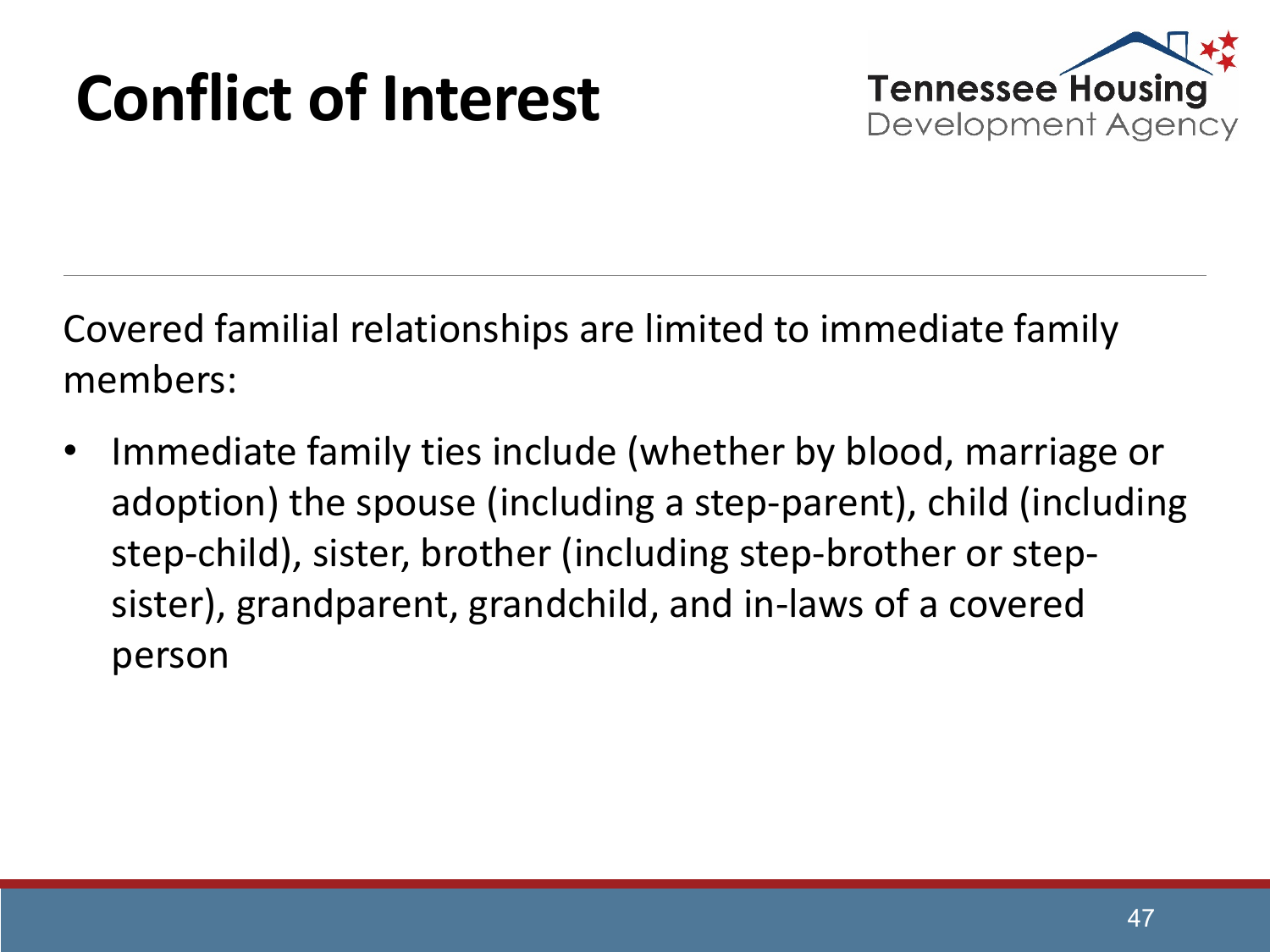## **Conflict of Interest**



Covered familial relationships are limited to immediate family members:

• Immediate family ties include (whether by blood, marriage or adoption) the spouse (including a step-parent), child (including step-child), sister, brother (including step-brother or stepsister), grandparent, grandchild, and in-laws of a covered person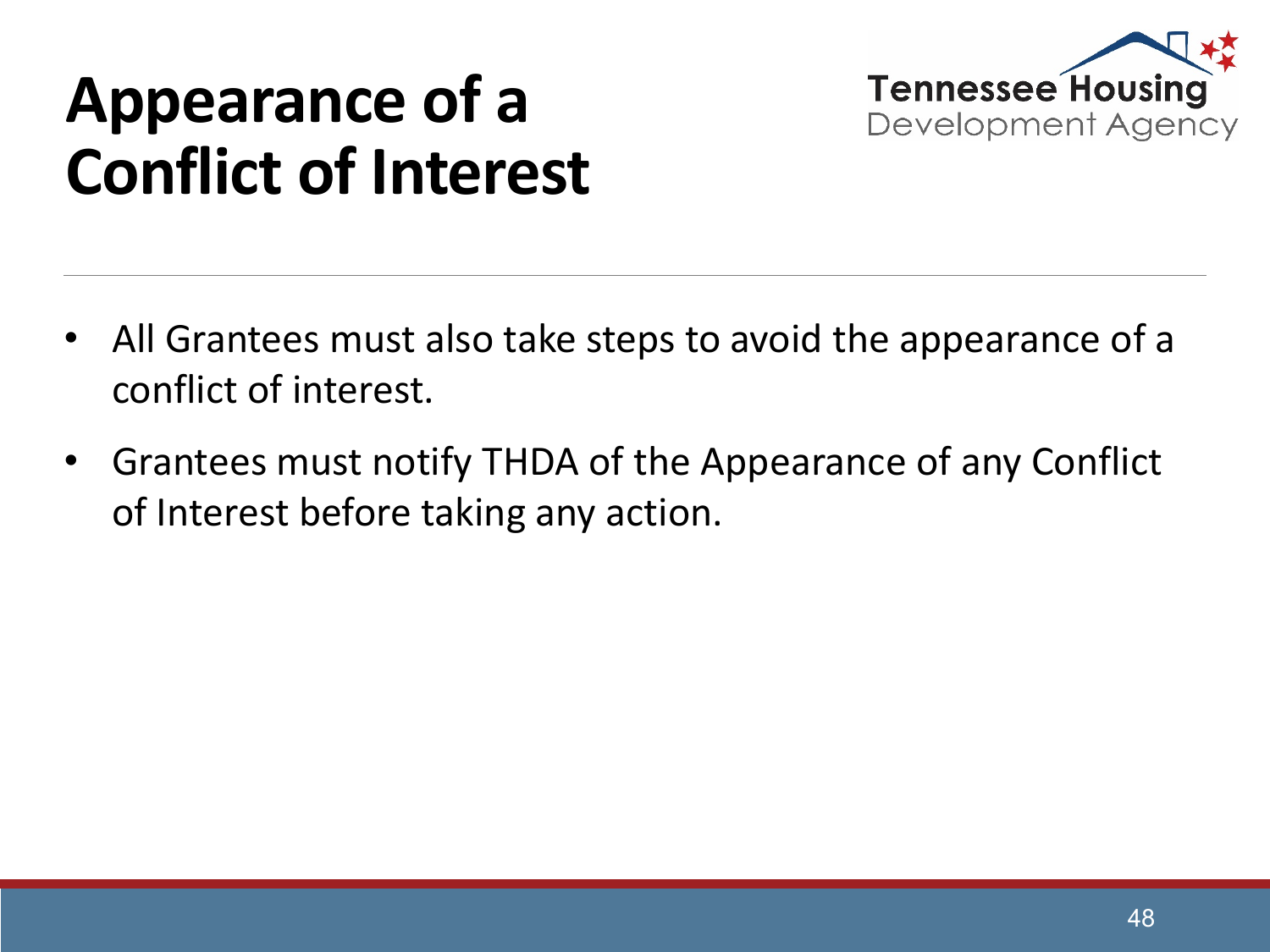

#### **Appearance of a Conflict of Interest**

- All Grantees must also take steps to avoid the appearance of a conflict of interest.
- Grantees must notify THDA of the Appearance of any Conflict of Interest before taking any action.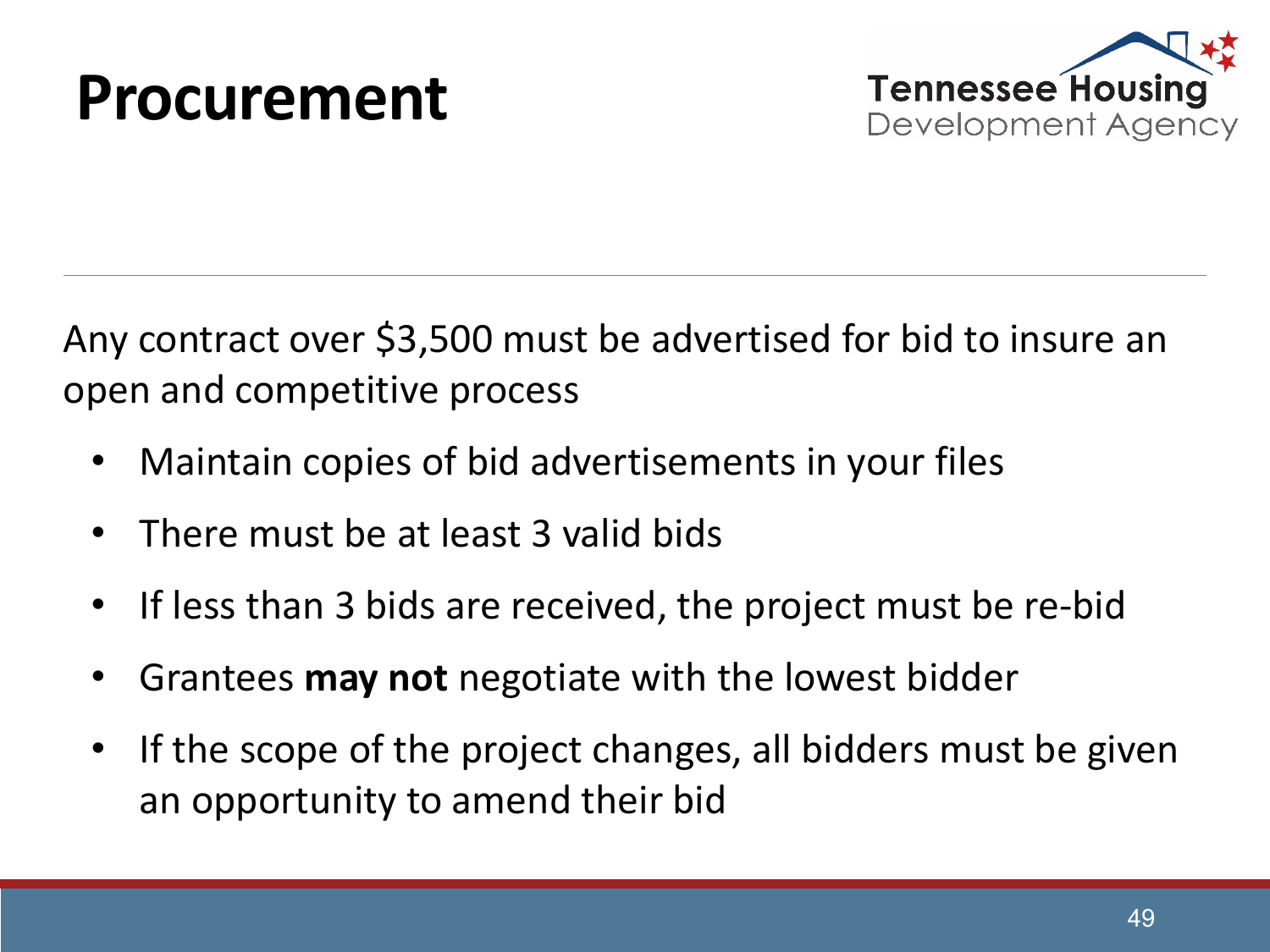#### **Procurement**



Any contract over \$3,500 must be advertised for bid to insure an open and competitive process

- Maintain copies of bid advertisements in your files
- There must be at least 3 valid bids
- If less than 3 bids are received, the project must be re-bid
- Grantees **may not** negotiate with the lowest bidder
- If the scope of the project changes, all bidders must be given an opportunity to amend their bid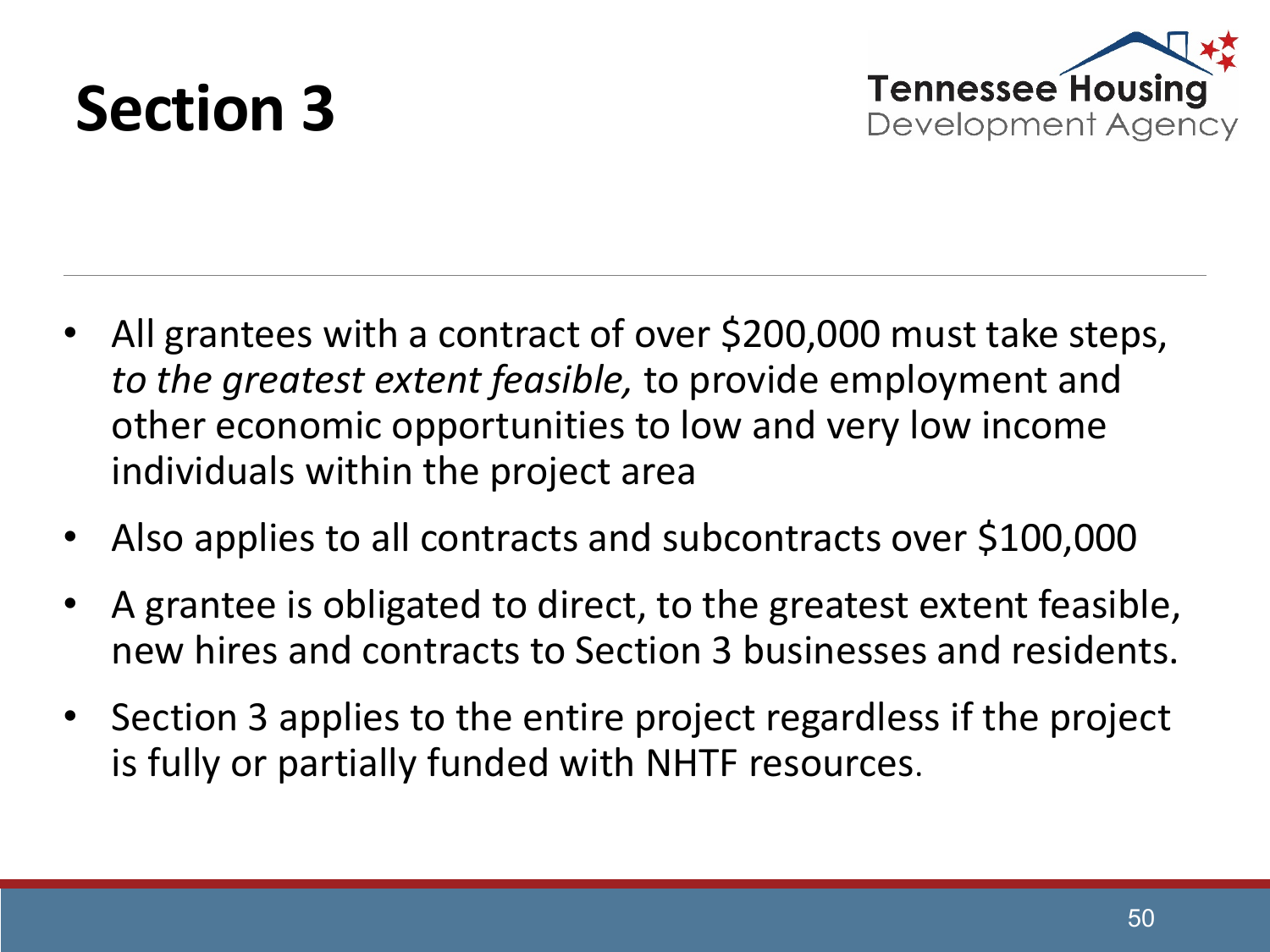



- All grantees with a contract of over \$200,000 must take steps, *to the greatest extent feasible,* to provide employment and other economic opportunities to low and very low income individuals within the project area
- Also applies to all contracts and subcontracts over \$100,000
- A grantee is obligated to direct, to the greatest extent feasible, new hires and contracts to Section 3 businesses and residents.
- Section 3 applies to the entire project regardless if the project is fully or partially funded with NHTF resources.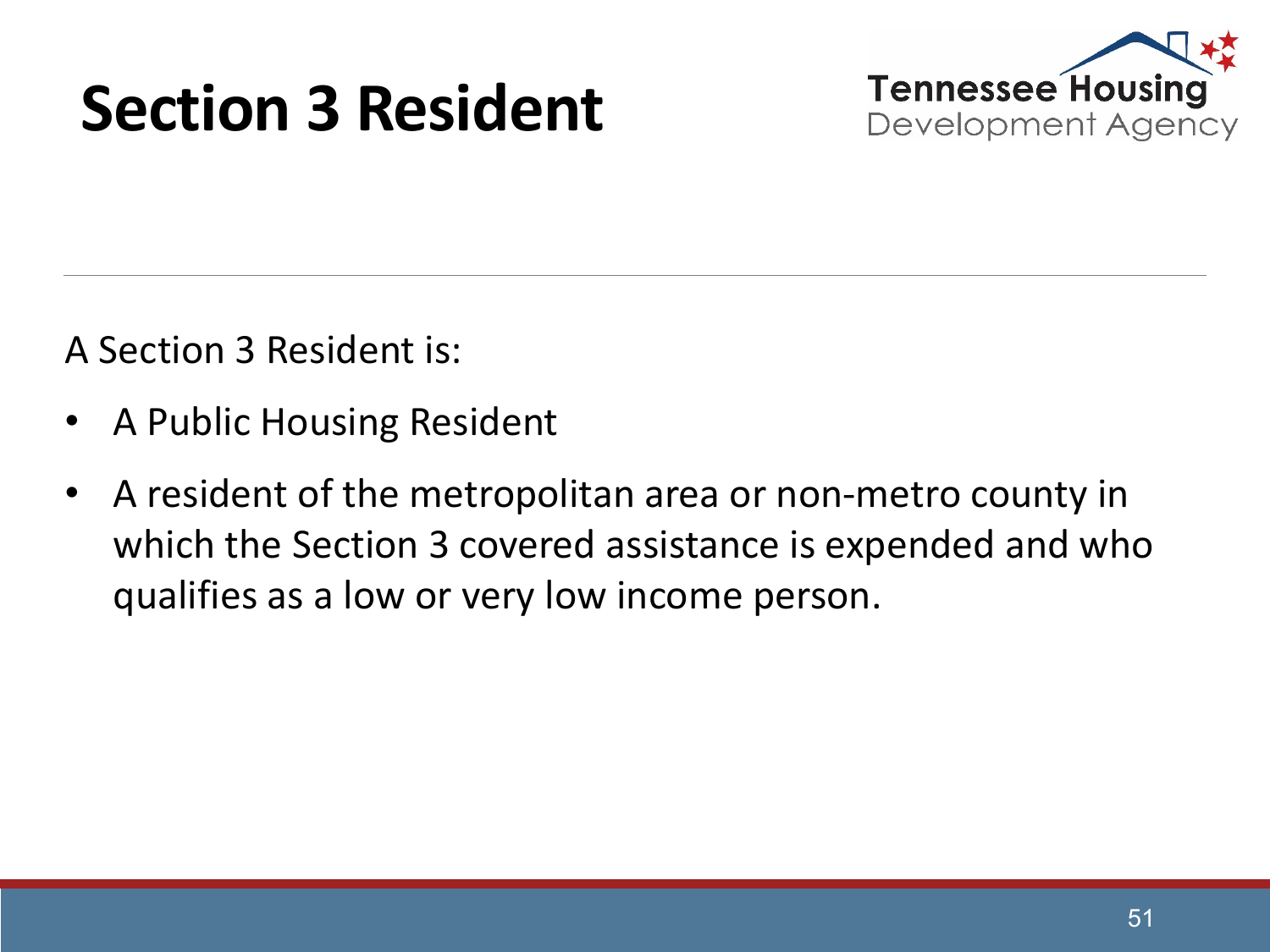#### **Section 3 Resident**



A Section 3 Resident is:

- A Public Housing Resident
- A resident of the metropolitan area or non-metro county in which the Section 3 covered assistance is expended and who qualifies as a low or very low income person.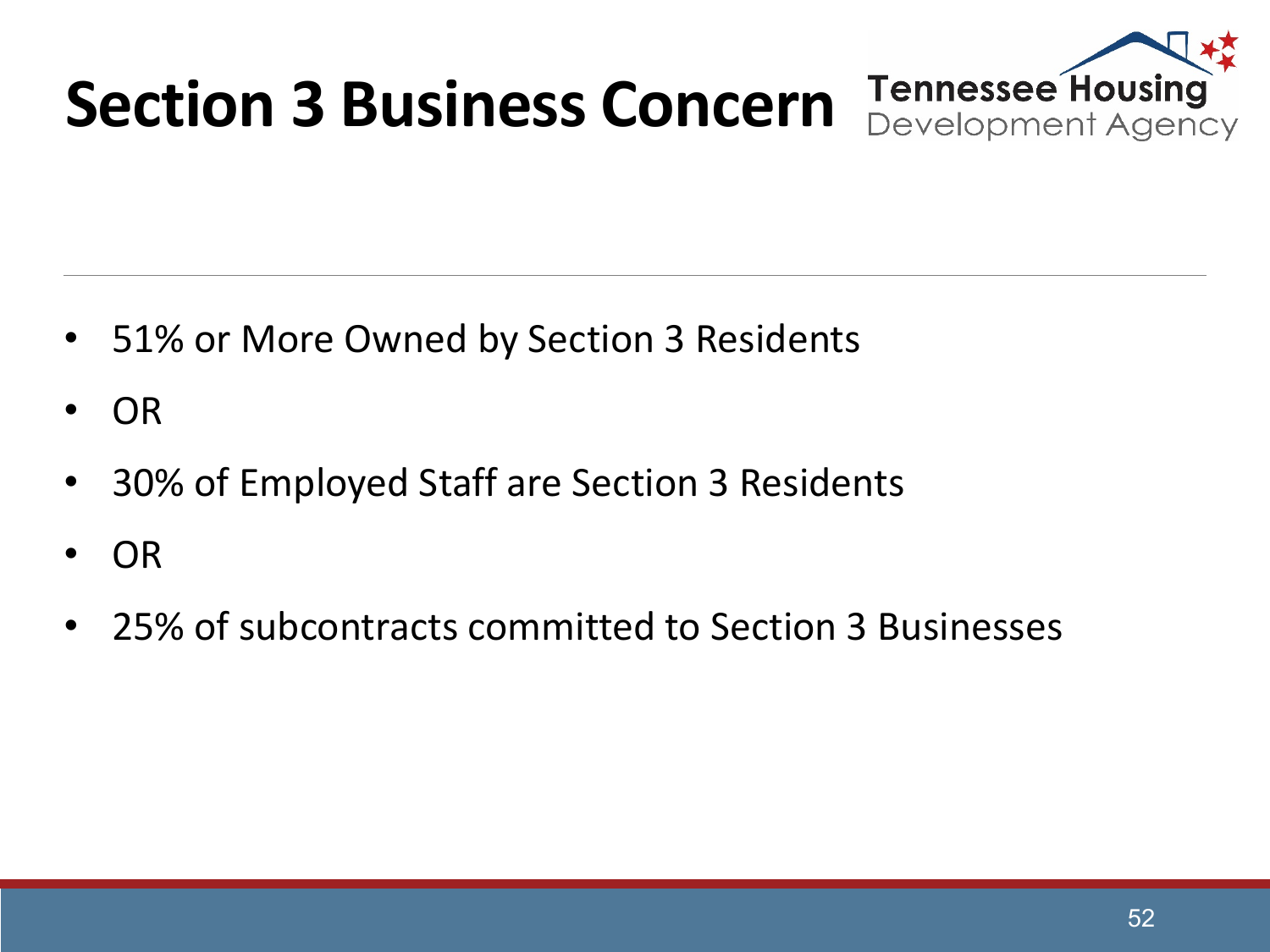

- 51% or More Owned by Section 3 Residents
- OR
- 30% of Employed Staff are Section 3 Residents
- OR
- 25% of subcontracts committed to Section 3 Businesses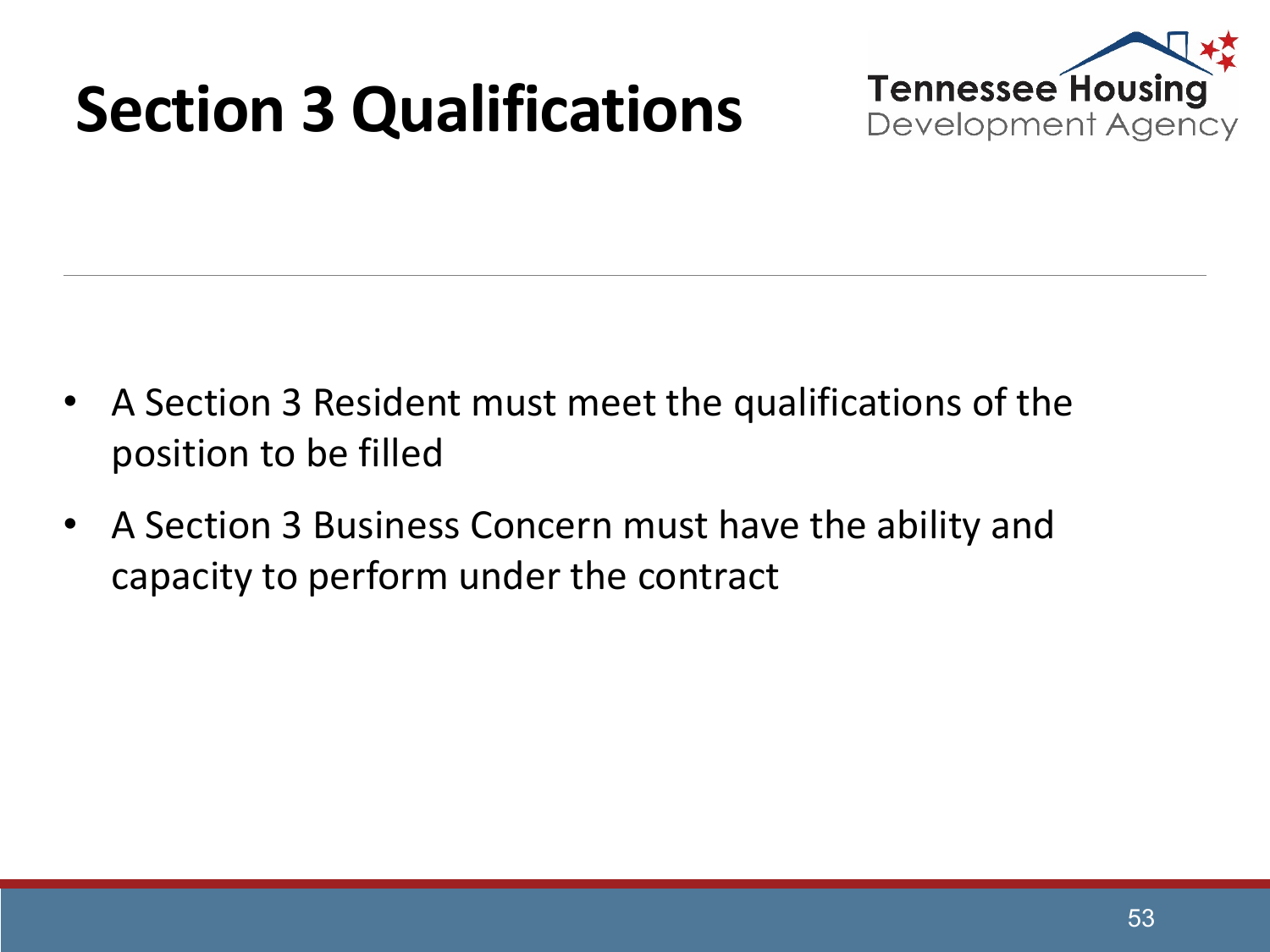## **Section 3 Qualifications**



- A Section 3 Resident must meet the qualifications of the position to be filled
- A Section 3 Business Concern must have the ability and capacity to perform under the contract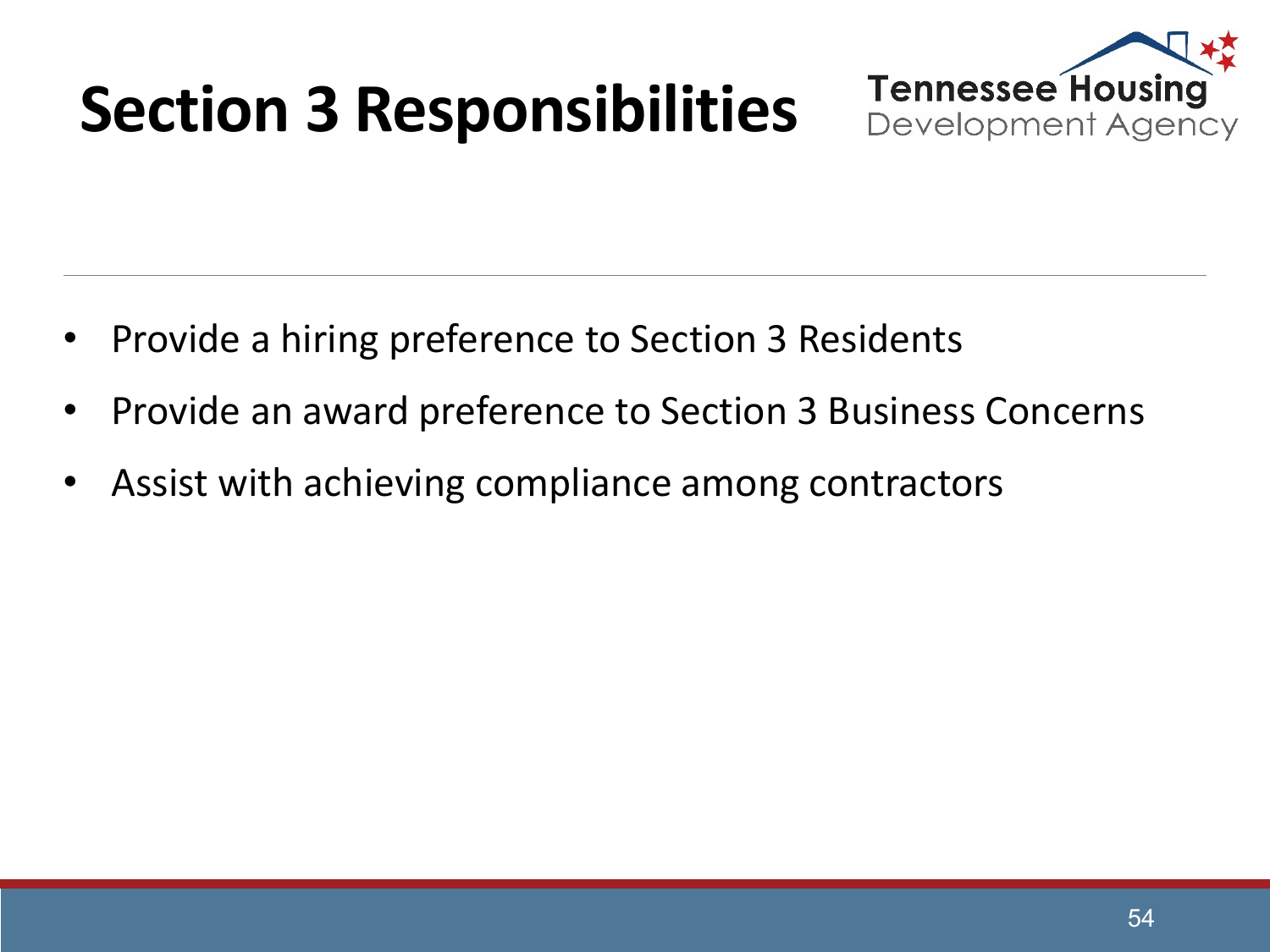## **Section 3 Responsibilities**



- Provide a hiring preference to Section 3 Residents
- Provide an award preference to Section 3 Business Concerns
- Assist with achieving compliance among contractors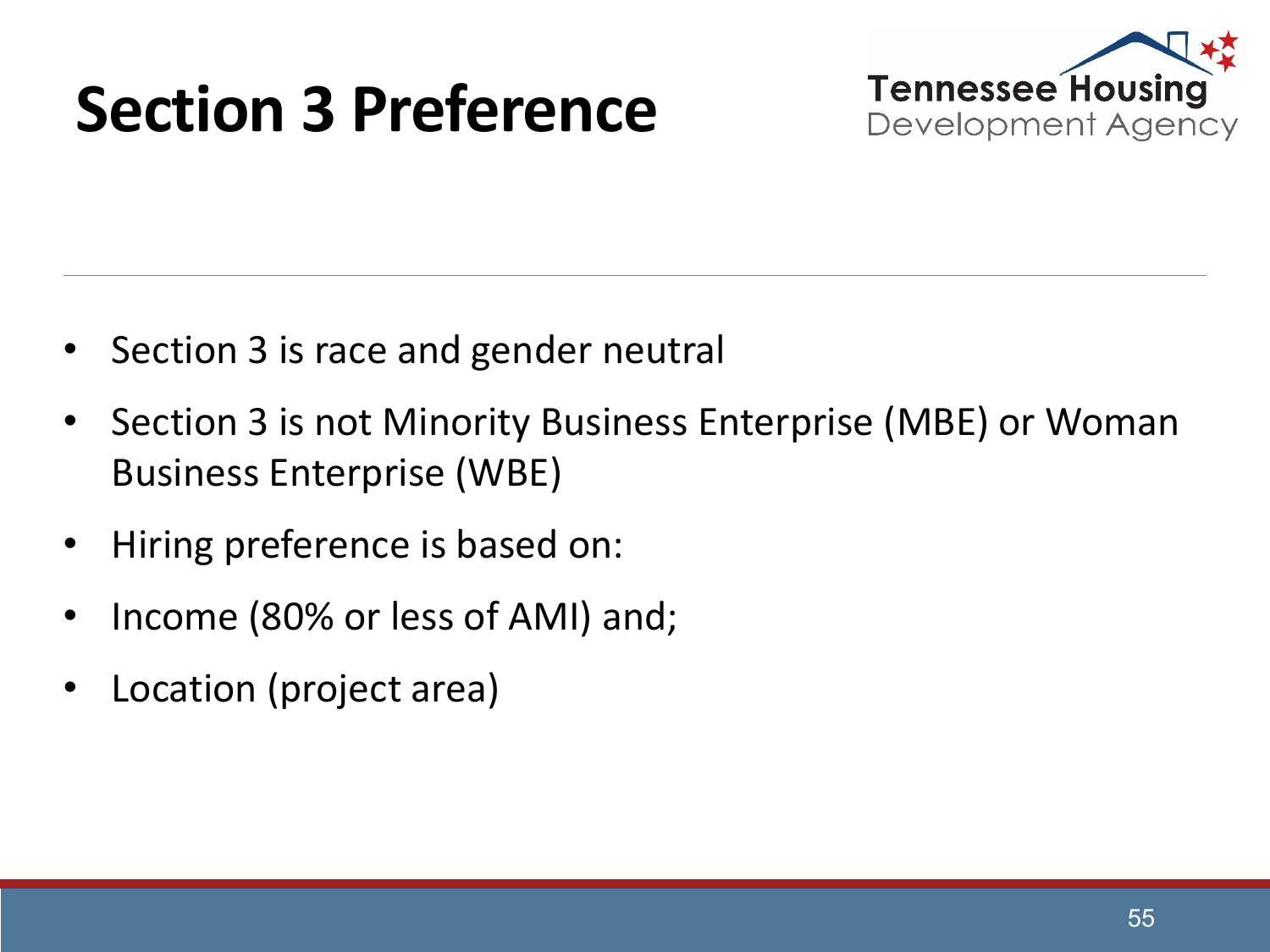#### **Section 3 Preference**



- Section 3 is race and gender neutral
- Section 3 is not Minority Business Enterprise (MBE) or Woman Business Enterprise (WBE)
- Hiring preference is based on:
- Income (80% or less of AMI) and;
- Location (project area)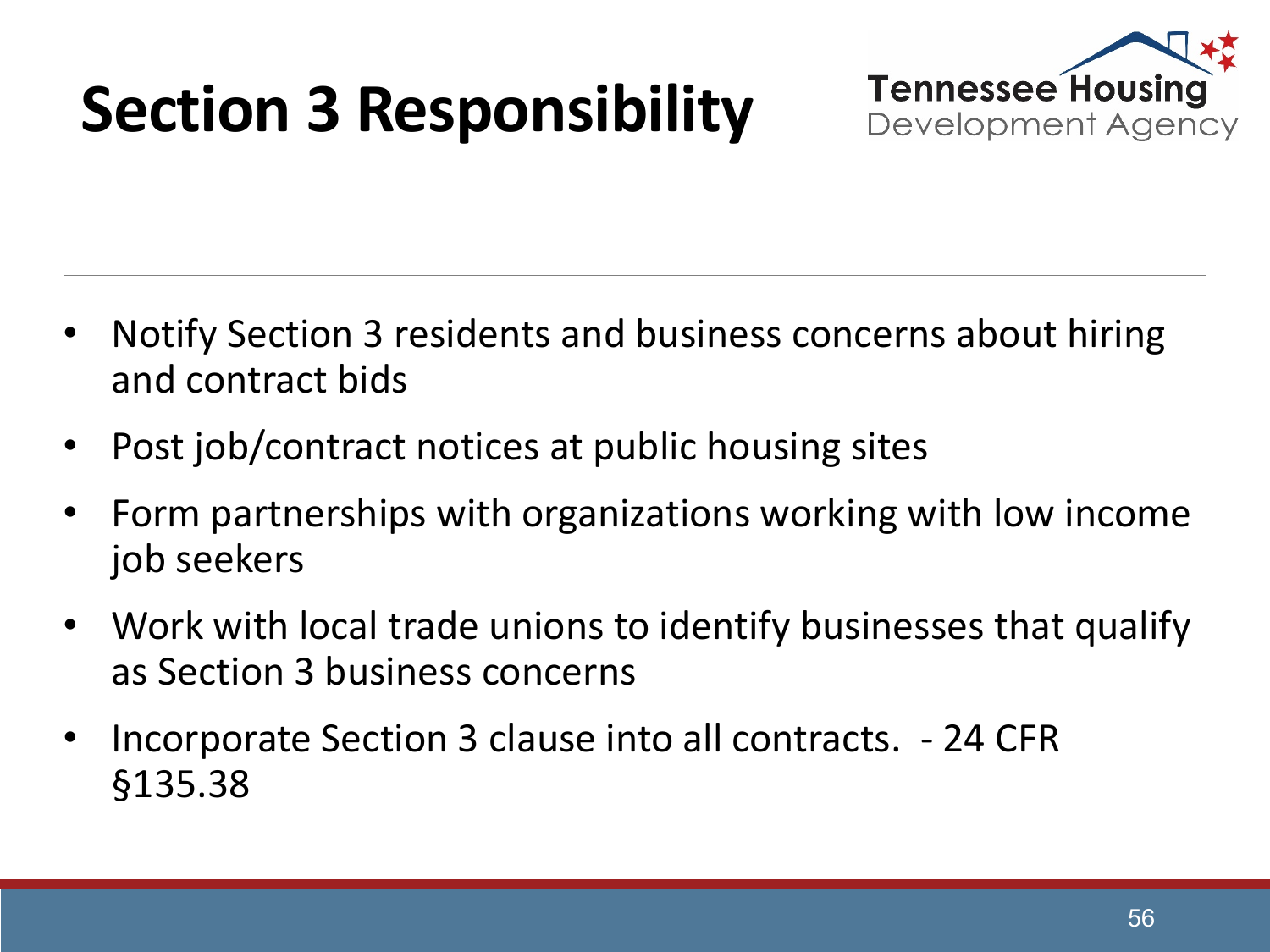## **Section 3 Responsibility**



- Notify Section 3 residents and business concerns about hiring and contract bids
- Post job/contract notices at public housing sites
- Form partnerships with organizations working with low income job seekers
- Work with local trade unions to identify businesses that qualify as Section 3 business concerns
- Incorporate Section 3 clause into all contracts. 24 CFR §135.38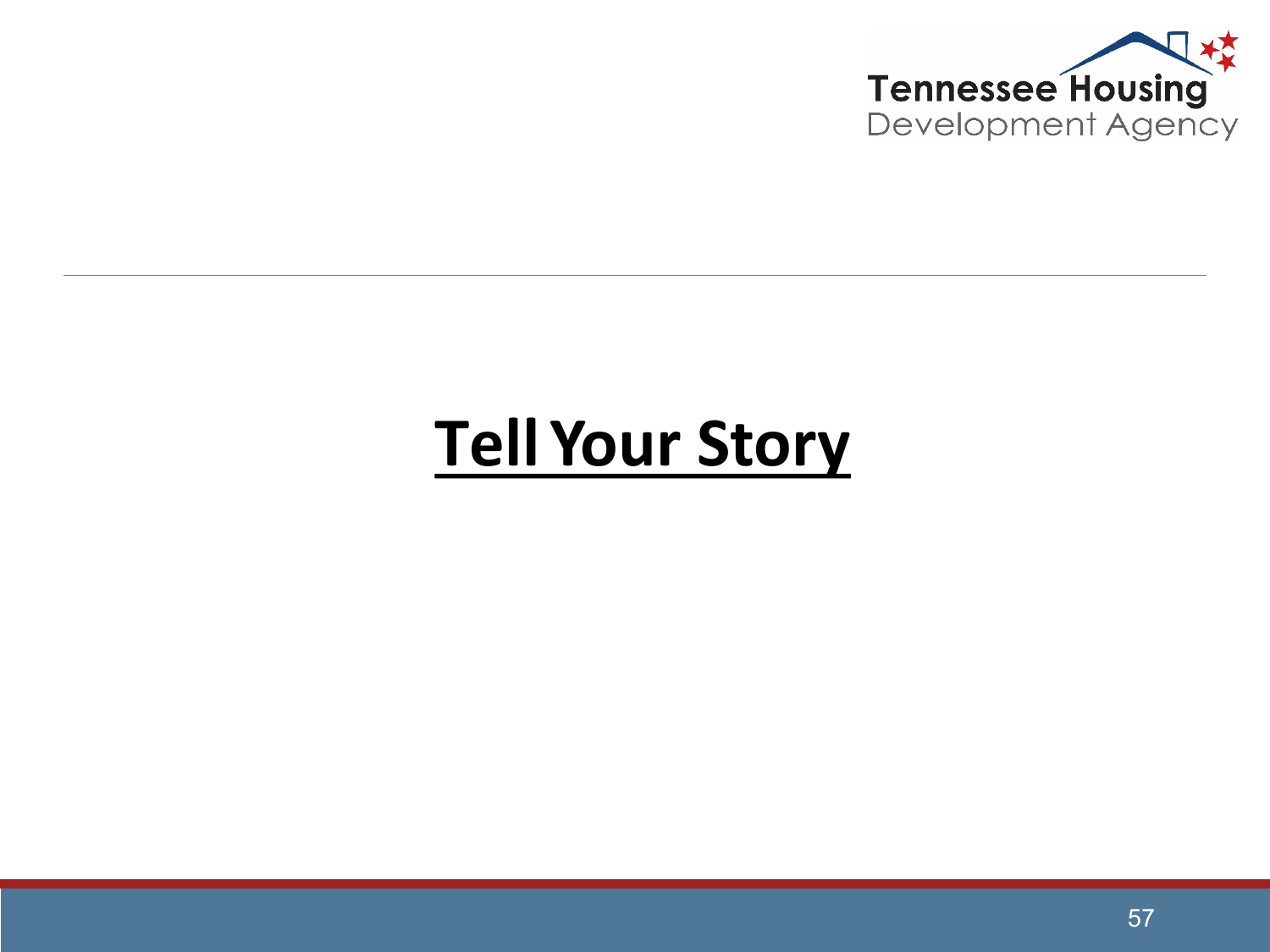

#### **Tell Your Story**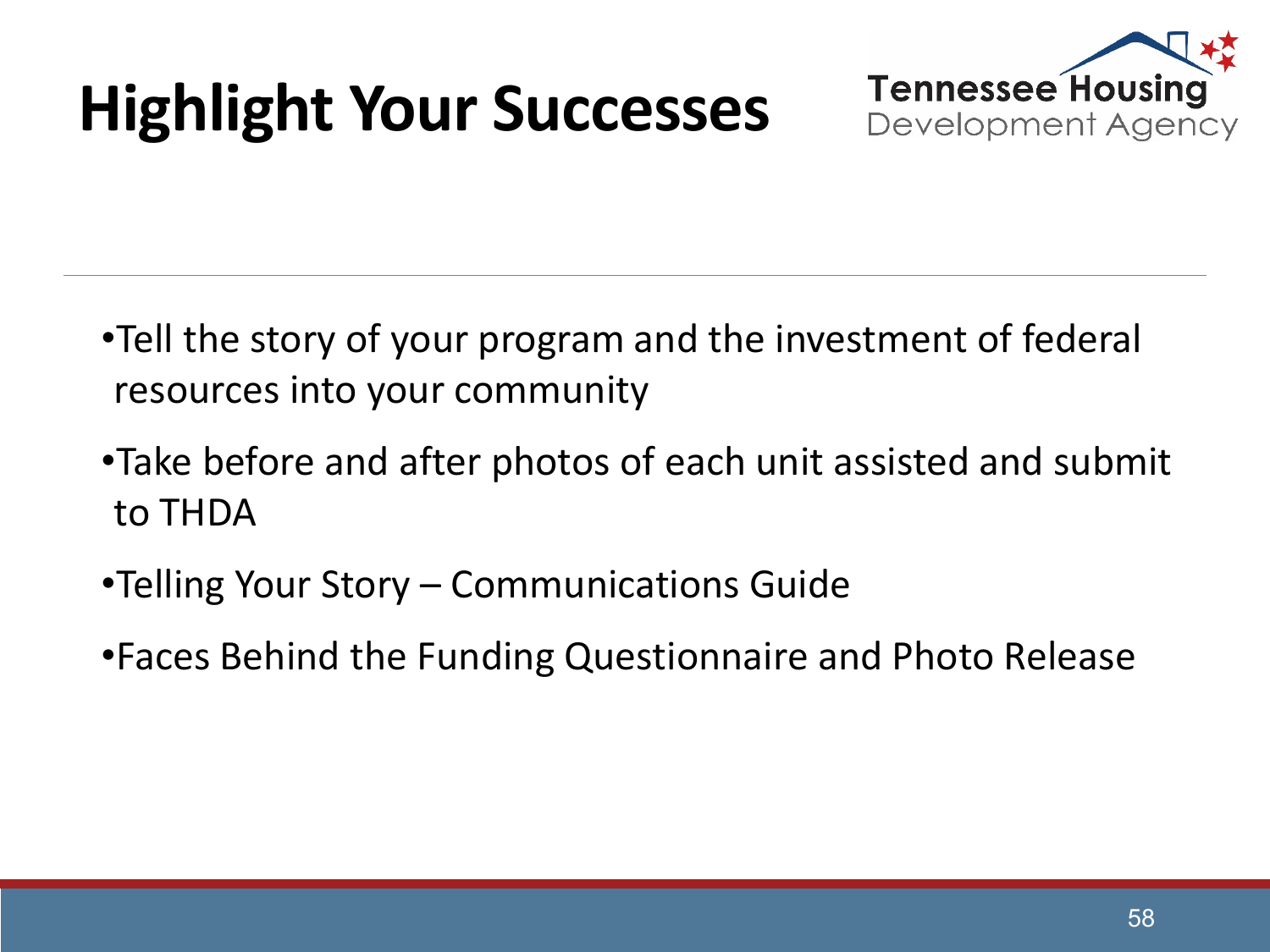## **Highlight Your Successes**



- •Tell the story of your program and the investment of federal resources into your community
- •Take before and after photos of each unit assisted and submit to THDA
- •Telling Your Story Communications Guide
- •Faces Behind the Funding Questionnaire and Photo Release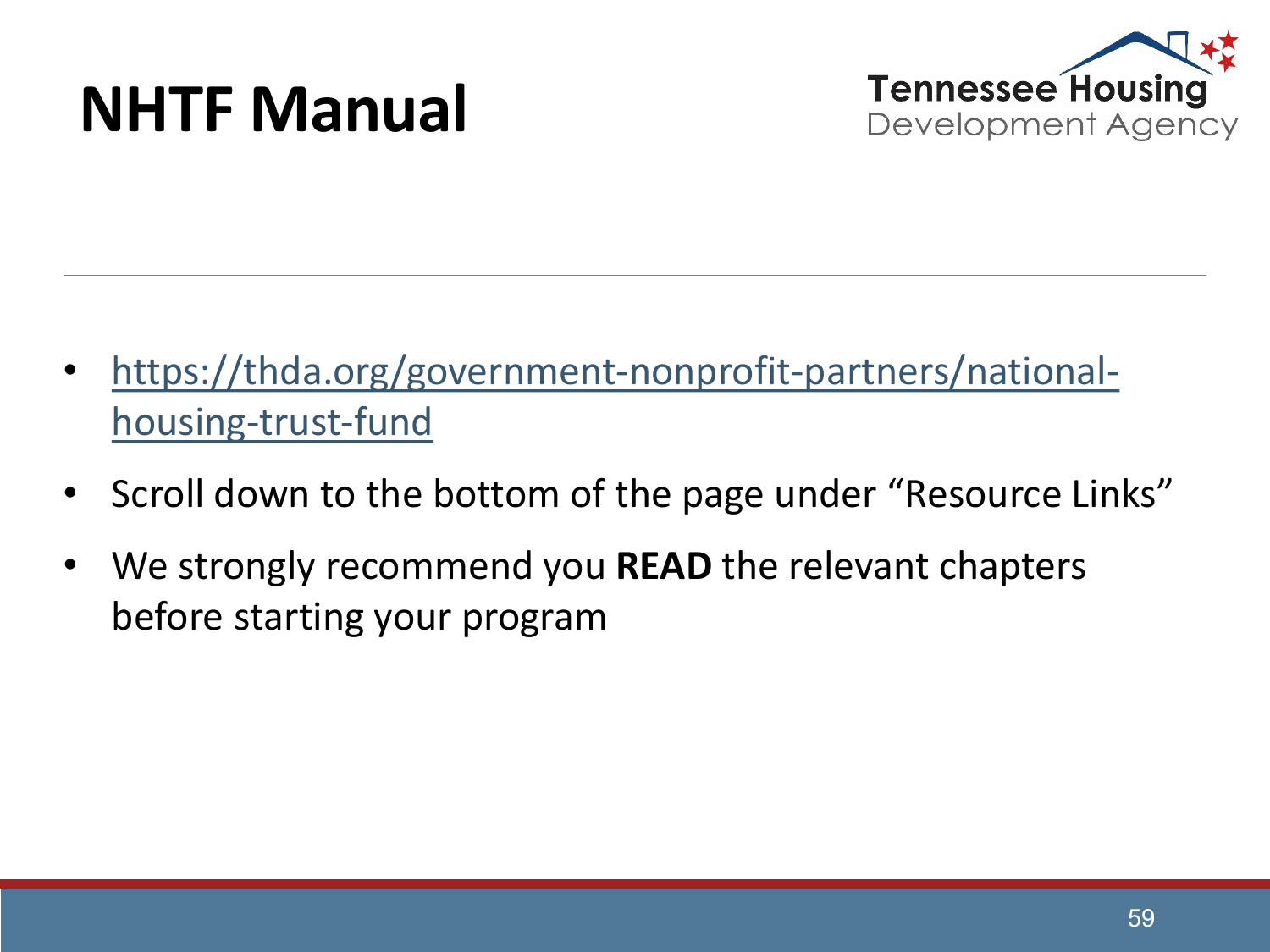#### **NHTF Manual**



- [https://thda.org/government-nonprofit-partners/national](https://thda.org/government-nonprofit-partners/national-housing-trust-fund)housing-trust-fund
- Scroll down to the bottom of the page under "Resource Links"
- We strongly recommend you READ the relevant chapters before starting your program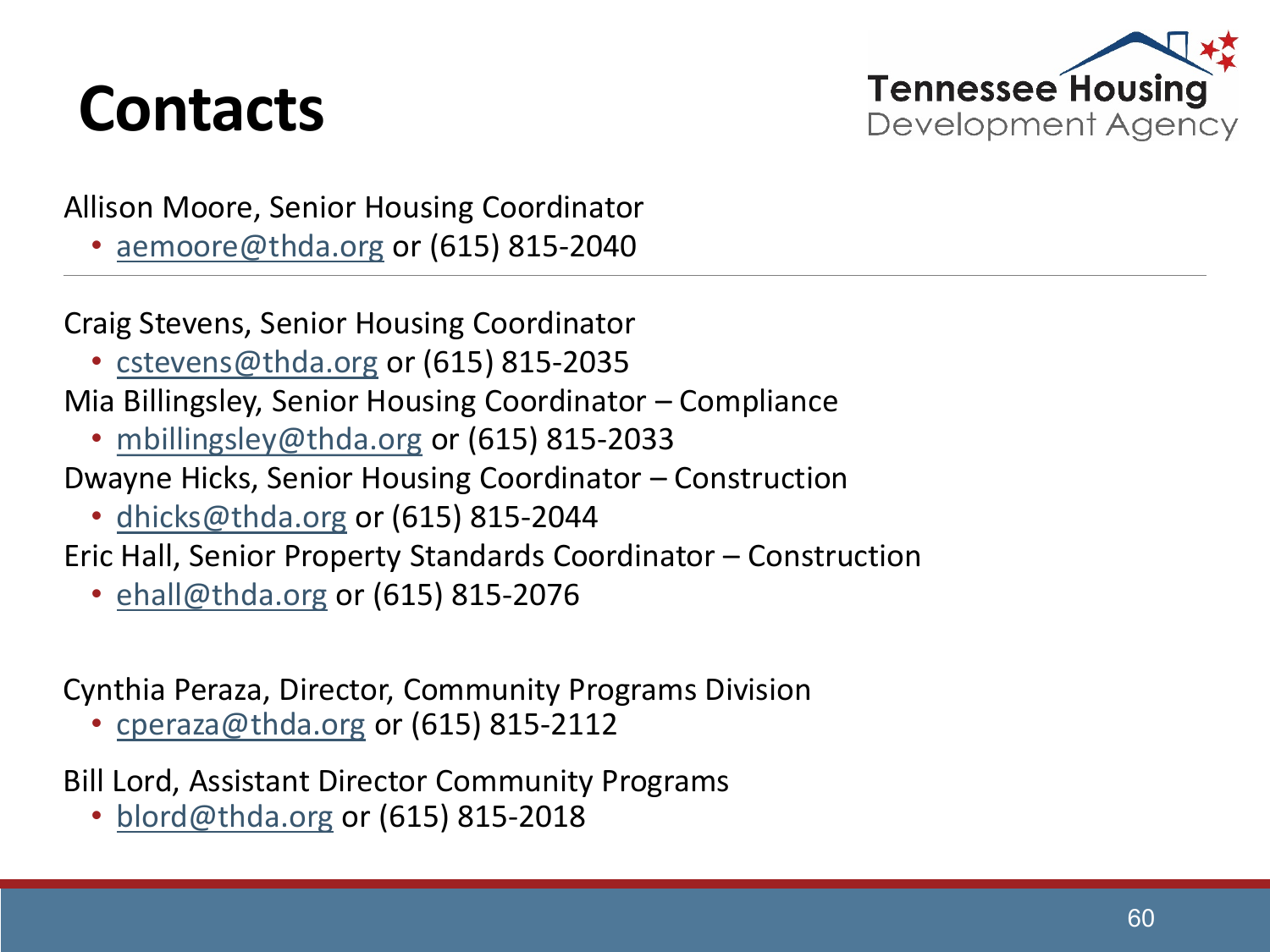#### **Contacts**



Allison Moore, Senior Housing Coordinator

• [aemoore@thda.org](mailto:aemoore@thda.org) or (615) 815-2040

Craig Stevens, Senior Housing Coordinator

• [cstevens@thda.org](mailto:cstevens@thda.org) or (615) 815-2035

Mia Billingsley, Senior Housing Coordinator – Compliance

• [mbillingsley@thda.org](mailto:mbillingsley@thda.org) or (615) 815-2033

Dwayne Hicks, Senior Housing Coordinator – Construction

• [dhicks@thda.org](mailto:dhicks@thda.org) or (615) 815-2044

Eric Hall, Senior Property Standards Coordinator – Construction

• [ehall@thda.org](mailto:ehall@thda.org) or (615) 815-2076

Cynthia Peraza, Director, Community Programs Division

• [cperaza@thda.org](mailto:cperaza@thda.org) or (615) 815-2112

Bill Lord, Assistant Director Community Programs

• [blord@thda.org](mailto:blord@thda.org) or (615) 815-2018